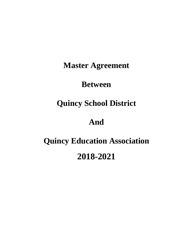**Master Agreement**

# **Between**

# **Quincy School District**

# **And**

# **Quincy Education Association 2018-2021**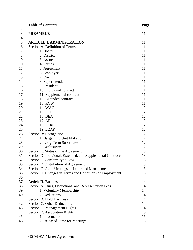| <b>Table of Contents</b>                                    | <b>Page</b> |
|-------------------------------------------------------------|-------------|
| <b>PREAMBLE</b>                                             | 11          |
| <b>ARTICLE I. ADMINISTRATION</b>                            | 11          |
| Section A: Definition of Terms                              | 11          |
| 1. Board                                                    | 11          |
| 2. District                                                 | 11          |
| 3. Association                                              | 11          |
| 4. Parties                                                  | 11          |
| 5. Agreement                                                | 11          |
| 6. Employee                                                 | 11          |
| 7. Day                                                      | 11          |
| 8. Superintendent                                           | 11          |
| 9. President                                                | 11          |
| 10. Individual contract                                     | 11          |
| 11. Supplemental contract                                   | 11          |
| 12. Extended contract                                       | 11          |
| 13. RCW                                                     | 11          |
| 14. WAC                                                     | 12          |
| 15. SPI                                                     | 12          |
| 16. BEA                                                     | 12          |
| 17. AR                                                      | 12          |
| <b>18. PERC</b>                                             | 12          |
| <b>19. LEAP</b>                                             | 12          |
| Section B: Recognition                                      | 12          |
| 1. Bargaining Unit Makeup                                   | 12          |
| 2. Long-Term Substitutes                                    | 12          |
| 3. Exclusivity                                              | 12          |
| Section C. Status of the Agreement                          | 13          |
| Section D. Individual, Extended, and Supplemental Contracts | 13          |
| Section E. Conformity to Law                                | 13          |
| Section F. Distribution of Agreement                        | 13          |
|                                                             | 13          |
| Section G. Joint Meetings of Labor and Management           | 13          |
| Section H. Changes in Terms and Conditions of Employment    |             |
| <b>Article II. Business</b>                                 | 14          |
|                                                             |             |
| Section A: Dues, Deductions, and Representation Fees        | 14<br>14    |
| 1. Voluntary Membership                                     |             |
| 2. Deductions<br><b>Section B: Hold Harmless</b>            | 14          |
|                                                             | 14          |
| Section C: Other Deductions                                 | 14          |
| <b>Section D: Management Rights</b>                         | 14          |
| Section E: Association Rights                               | 15          |
| 1. Information                                              | 15          |
| 2. Released Time for Meetings                               | 15          |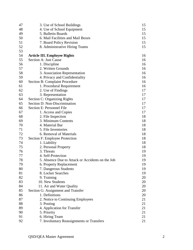| 47 | 3. Use of School Buildings                       | 15 |
|----|--------------------------------------------------|----|
| 48 | 4. Use of School Equipment                       | 15 |
| 49 | 5. Bulletin Boards                               | 15 |
| 50 | 6. Mail Facilities and Mail Boxes                | 15 |
| 51 | 7. Board Policy Revision                         | 15 |
| 52 | 8. Administrative Hiring Teams                   | 15 |
| 53 |                                                  |    |
| 54 | <b>Article III. Employee Rights</b>              | 16 |
| 55 | Section A: Just Cause                            | 16 |
| 56 | 1. Discipline                                    | 16 |
| 57 | 2. Written Grounds                               | 16 |
| 58 | 3. Association Representation                    | 16 |
| 59 | 4. Privacy and Confidentiality                   | 16 |
| 60 | <b>Section B: Complaint Procedure</b>            | 16 |
| 61 | 1. Procedural Requirement                        | 16 |
| 62 | 2. Use of Findings                               | 17 |
| 63 | 3. Representation                                | 17 |
| 64 | <b>Section C: Organizing Rights</b>              | 17 |
| 65 | Section D: Non-Discrimination                    | 17 |
| 66 | Section E: Personnel File                        | 17 |
| 67 | 1. Access and Copies                             | 17 |
| 68 | 2. File Inspection                               | 18 |
| 69 | 3. Minimum Contents                              | 18 |
| 70 | 4. Material Bar                                  | 18 |
| 71 | 5. File Inventories                              | 18 |
| 72 | 6. Removal of Materials                          | 18 |
| 73 | Section F: Employee Protection                   | 18 |
| 74 | 1. Liability                                     | 18 |
| 75 | 2. Personal Property                             | 18 |
| 76 | 3. Threats                                       | 19 |
| 77 | 4. Self-Protection                               | 19 |
| 78 | 5. Absence Due to Attack or Accidents on the Job | 19 |
| 79 | 6. Property Replacement                          | 19 |
| 80 | 7. Dangerous Students                            | 19 |
| 81 | 8. Locker Searches                               | 19 |
| 82 | 9. Training                                      | 20 |
| 83 | 10. New Students                                 | 20 |
| 84 | 11. Air and Water Quality                        | 20 |
| 85 | Section G: Assignment and Transfer               | 20 |
| 86 | 1. Definitions                                   | 20 |
| 87 | 2. Notice to Continuing Employees                | 21 |
| 88 | 3. Posting                                       | 21 |
| 89 | 4. Application for Transfer                      | 21 |
| 90 | 5. Priority                                      | 21 |
| 91 | 6. Hiring Team                                   | 21 |
| 92 | 7. Involuntary Reassignments or Transfers        | 21 |
|    |                                                  |    |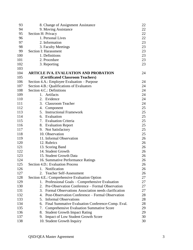| 93  | 8. Change of Assignment Assistance                             | 22 |
|-----|----------------------------------------------------------------|----|
| 94  | 9. Moving Assistance                                           | 22 |
| 95  | Section H: Privacy                                             | 22 |
| 96  | 1. Personal Lives                                              | 22 |
| 97  | 2. Information                                                 | 23 |
| 98  | 3. Faculty Meetings                                            | 23 |
| 99  | Section I: Harassment                                          | 23 |
| 100 | 1. Definitions                                                 | 23 |
| 101 | 2. Procedure                                                   | 23 |
| 102 | 3. Reporting                                                   | 23 |
| 103 |                                                                |    |
| 104 | <b>ARTICLE IVA. EVALUATION AND PROBATION</b>                   | 24 |
| 105 | (Certificated Classroom Teachers)                              |    |
| 106 | Section 4.A.: Employee Evaluation – Purpose                    | 24 |
| 107 | Section 4.B.: Qualifications of Evaluators                     | 24 |
| 108 | Section 4.C.: Definitions                                      | 24 |
| 109 | Artifacts<br>1.                                                | 24 |
| 110 | Evidence<br>2.                                                 | 24 |
| 111 | 3. Classroom Teacher                                           | 24 |
| 112 | 4.<br>Component                                                | 25 |
| 113 | <b>Instructional Framework</b><br>5.                           | 25 |
| 114 | 6. Evaluation                                                  | 25 |
| 115 | 7. Evaluation Criteria                                         | 25 |
| 116 | 8.<br><b>Evaluation Report</b>                                 | 25 |
| 117 | <b>Not Satisfactory</b><br>9.                                  | 25 |
| 118 | 10. Observation                                                | 25 |
| 119 | 11. Informal Observation                                       | 26 |
| 120 | 12. Rubrics                                                    | 26 |
| 121 | 13. Scoring Band                                               | 26 |
| 122 | 14. Student Growth                                             | 26 |
| 123 | 15. Student Growth Data                                        | 26 |
| 124 | 16. Summative Performance Ratings                              | 26 |
| 125 | Section 4.D.: Evaluation Process                               | 26 |
| 126 | Notification<br>1.                                             | 26 |
| 127 | <b>Teacher Self-Assessment</b><br>2.                           | 26 |
| 128 | Section 4.E.: Comprehensive Evaluation Option                  | 27 |
| 129 | 1. Professional Goals - Comprehensive Evaluation               | 27 |
| 130 | Pre-Observation Conference – Formal Observation<br>$2_{\cdot}$ | 27 |
| 131 | 3. Formal Observations Association needs clarification         | 27 |
| 132 | Post-Observation Conference – Formal Observation<br>4.         | 28 |
| 133 | <b>Informal Observations</b><br>5.                             | 28 |
| 134 | Final Summative Evaluation Conference-Comp. Eval.<br>6.        | 28 |
| 135 | <b>Comprehensive Evaluation Summative Score</b><br>7.          | 29 |
| 136 | 8.<br><b>Student Growth Impact Rating</b>                      | 29 |
| 137 | <b>Impact of Low Student Growth Score</b><br>9.                | 30 |
| 138 | 10. Student Growth Inquiry                                     | 30 |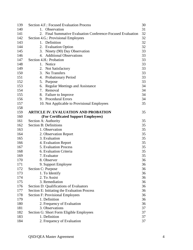| 139 | Section 4.F.: Focused Evaluation Process                    | 30 |
|-----|-------------------------------------------------------------|----|
| 140 | 1. Observation                                              | 31 |
| 141 | 2. Final Summative Evaluation Conference-Focused Evaluation | 32 |
| 142 | Section 4.G.: Provisional Employees                         | 32 |
| 143 | 1. Definition                                               | 32 |
| 144 | <b>Evaluation Option</b><br>2.                              | 32 |
| 145 | Ninety (90) Day Observation<br>3.                           | 33 |
| 146 | <b>Additional Observations</b><br>4.                        | 33 |
| 147 | Section 4.H.: Probation                                     | 33 |
| 148 | 1. Notice                                                   | 33 |
| 149 | Not Satisfactory<br>2.                                      | 33 |
| 150 | No Transfers<br>3.                                          | 33 |
| 151 | <b>Probationary Period</b><br>4.                            | 33 |
| 152 | 5.<br>Purpose                                               | 33 |
| 153 | <b>Regular Meetings and Assistance</b><br>6.                | 34 |
| 154 | 7. Removal                                                  | 34 |
| 155 | Failure to Improve<br>8.                                    | 34 |
| 156 | <b>Procedural Errors</b><br>9.                              | 34 |
| 157 | 10. Not Applicable to Provisional Employees                 | 35 |
| 158 |                                                             |    |
| 159 | <b>ARTICLE IV. EVALUATION AND PROBATION</b>                 | 35 |
| 160 | (For Certificated Support Employees)                        |    |
| 161 | Section A: Authority                                        | 35 |
| 162 | <b>Section B: Definitions</b>                               | 35 |
| 163 | 1. Observation                                              | 35 |
| 164 | 2. Observation Report                                       | 35 |
| 165 | 3. Evaluation                                               | 35 |
| 166 | 4. Evaluation Report                                        | 35 |
| 167 | 5. Evaluation Process                                       | 35 |
| 168 | 6. Evaluation Criteria                                      | 35 |
| 169 | 7. Evaluator                                                | 35 |
| 170 | 8. Observer                                                 | 36 |
| 171 | 9. Support Employee                                         | 36 |
| 172 | Section C: Purpose                                          | 36 |
| 173 | 1. To Identify                                              | 36 |
| 174 | 2. To Assist                                                | 36 |
| 175 | 3. Remediation                                              | 36 |
| 176 | Section D: Qualifications of Evaluators                     | 36 |
| 177 | Section E: Initiating the Evaluation Process                | 36 |
| 178 | <b>Section F: Provisional Employees</b>                     | 36 |
| 179 | 1. Definition                                               | 36 |
| 180 | 2. Frequency of Evaluation                                  | 36 |
| 181 | 3. Observations                                             | 37 |
| 182 | Section G: Short Form Eligible Employees                    | 37 |
| 183 | 1. Definition                                               | 37 |
| 184 | 2. Frequency of Evaluation                                  | 37 |
|     |                                                             |    |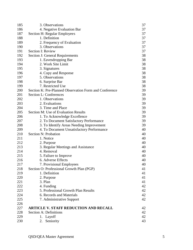| 185 | 3. Observations                                        | 37 |
|-----|--------------------------------------------------------|----|
| 186 | 4. Negative Evaluation Bar                             | 37 |
| 187 | Section H: Regular Employees                           | 37 |
| 188 | 1. Definition                                          | 37 |
| 189 | 2. Frequency of Evaluation                             | 37 |
| 190 | 3. Observations                                        | 37 |
| 191 | <b>Section I: Review</b>                               | 37 |
| 192 | Section J: General Requirements                        | 38 |
| 193 | 1. Eavesdropping Bar                                   | 38 |
| 194 | 2. Work Site Limit                                     | 38 |
| 195 | 3. Signatures                                          | 38 |
| 196 | 4. Copy and Response                                   | 38 |
| 197 | 5. Observations                                        | 38 |
| 198 | 6. Surprise Bar                                        | 38 |
| 199 | 7. Restricted Use                                      | 38 |
| 200 | Section K: Pre-Planned Observation Form and Conference | 39 |
| 201 | Section L: Conferences                                 | 39 |
| 202 | 1. Observations                                        | 39 |
| 203 | 2. Evaluations                                         | 39 |
| 204 | 3. Time and Place                                      | 39 |
| 205 | Section M: Use of Evaluation Results                   | 39 |
| 206 | 1. To Acknowledge Excellence                           | 39 |
| 207 | 2. To Document Satisfactory Performance                | 39 |
| 208 | 3. To Identify Areas Needing Improvement               | 39 |
| 209 | 4. To Document Unsatisfactory Performance              | 40 |
| 210 | Section N: Probation                                   | 40 |
| 211 | 1. Notice                                              | 40 |
| 212 | 2. Purpose                                             | 40 |
| 213 | 3. Regular Meetings and Assistance                     | 40 |
| 214 | 4. Removal                                             | 40 |
| 215 | 5. Failure to Improve                                  | 40 |
| 216 | 6. Adverse Effects                                     | 40 |
| 217 | 7. Provisional Employees                               | 40 |
| 218 | Section O: Professional Growth Plan (PGP)              | 41 |
| 219 | 1. Definition                                          | 41 |
| 220 | 2. Purpose                                             | 41 |
| 221 | 3. Plan                                                | 41 |
| 222 | 4. Funding                                             | 42 |
| 223 | 5. Professional Growth Plan Results                    | 42 |
| 224 | 6. Records and Materials                               | 42 |
| 225 | 7. Administrative Support                              | 42 |
| 226 |                                                        |    |
| 227 | <b>ARTICLE V. STAFF REDUCTION AND RECALL</b>           | 42 |
| 228 | Section A: Definitions                                 | 42 |
| 229 | 1. Layoff                                              | 42 |
| 230 | Seniority<br>2.                                        | 43 |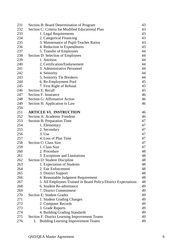| 231 | Section B: Board Determination of Program                      | 43 |
|-----|----------------------------------------------------------------|----|
| 232 | Section C: Criteria for Modified Educational Plan              | 43 |
| 233 | 1. Legal Requirements                                          | 43 |
| 234 | 2. Categorical Financing                                       | 43 |
| 235 | 3. Maintenance of Pupil-Teacher Ratios                         | 43 |
| 236 | 4. Reduction in Expenditures                                   | 43 |
| 237 | 5. Transfer of Employees                                       | 44 |
| 238 | Section D: Selection of Employees                              | 44 |
| 239 | 1. Attrition                                                   | 44 |
| 240 | 2. Certification/Endorsement                                   | 44 |
| 241 | 3. Administrative Personnel                                    | 44 |
| 242 | 4. Seniority                                                   | 44 |
| 243 | 5. Seniority Tie Breakers                                      | 44 |
| 244 | 6. Re-Employment Pool                                          | 45 |
| 245 | 7. First Right of Refusal                                      | 45 |
| 246 | Section E: Recall                                              | 45 |
| 247 | Section F: Insurance                                           | 46 |
| 248 | Section G: Affirmative Action                                  | 46 |
| 249 | Section H: Application to Law                                  | 46 |
| 250 |                                                                |    |
| 251 | <b>ARTICLE VI. INSTRUCTION</b>                                 | 46 |
| 252 | Section A: Academic Freedom                                    | 46 |
| 253 | Section B: Preparation Time                                    | 47 |
| 254 | 1. Elementary                                                  | 47 |
| 255 | 2. Secondary                                                   | 47 |
| 256 | 3. Use                                                         | 47 |
| 257 | 4. Loss of Plan Time                                           | 47 |
| 258 | Section C: Class Size                                          | 47 |
| 259 | 1. Class Size                                                  | 47 |
| 260 | 2. Procedure                                                   | 48 |
| 261 | 3. Exceptions and Limitations                                  | 48 |
| 262 | Section D: Student Discipline                                  | 48 |
| 263 | 1. Expectation of Students                                     | 48 |
| 264 | 2. Fair Enforcement                                            | 48 |
| 265 | 3. District Support                                            | 48 |
| 266 | 4. Reasonable Judgment Requirement                             | 48 |
| 267 | 5. All Employees-Trained in Board Policy/District Expectations | 48 |
| 268 | 6. Student Re-admittance                                       | 49 |
| 269 | 7. District Commitment                                         | 49 |
|     | <b>Section E: Student Grades</b>                               |    |
| 270 |                                                                | 49 |
| 271 | 1. Student Grading Changes                                     | 49 |
| 272 | 2. Computer Records                                            | 49 |
| 273 | 3. Grade Reports                                               | 49 |
| 274 | 4. Building Grading Standards                                  | 49 |
| 275 | Section F: District Learning Improvement Teams                 | 49 |
| 276 | <b>Building Learning Improvement Teams</b><br>I.               | 49 |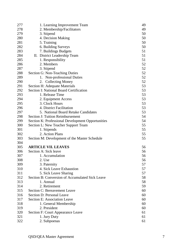| 277 | 1. Learning Improvement Team                      | 49 |
|-----|---------------------------------------------------|----|
| 278 | 2. Membership/Facilitators                        | 49 |
| 279 | 3. Stipend                                        | 50 |
| 280 | 4. Decision Making                                | 50 |
| 281 | 5. Training                                       | 50 |
| 282 | 6. Building Surveys                               | 50 |
| 283 | 7. Buildings Budgets                              | 51 |
| 284 | II. District Leadership Team                      | 51 |
| 285 | 1. Responsibility                                 | 51 |
| 286 | 2. Members                                        | 52 |
| 287 | 3. Stipend                                        | 52 |
| 288 | Section G: Non-Teaching Duties                    | 52 |
| 289 | 1. Non-professional Duties                        | 52 |
| 290 | <b>Collecting Money</b><br>2.                     | 52 |
| 291 | Section H: Adequate Materials                     | 53 |
| 292 | <b>Section I: National Board Certification</b>    | 53 |
| 293 | 1. Release Time                                   | 53 |
| 294 | 2. Equipment Access                               | 53 |
| 295 | 3. Clock Hours                                    | 53 |
| 296 | 4. District Facilitation                          | 53 |
| 297 | 5. National Board Retake Candidates               | 53 |
| 298 | Section J: Tuition Reimbursement                  | 54 |
| 299 | Section K: Professional Development Opportunities | 54 |
| 300 | Section L: New Teacher Support Team               | 55 |
| 301 | 1. Stipends                                       | 55 |
| 302 | 2. Action Plans                                   | 55 |
| 303 | Section M: Development of the Master Schedule     | 55 |
| 304 |                                                   |    |
| 305 | <b>ARTICLE VII. LEAVES</b>                        | 56 |
| 306 | Section A: Sick leave                             | 56 |
| 307 | 1. Accumulation                                   | 56 |
| 308 | 2. Use                                            | 56 |
| 309 | 3. Paternity                                      | 57 |
| 310 | 4. Sick Leave Exhaustion                          | 57 |
| 311 | 5. Sick Leave Sharing                             | 57 |
| 312 | Section B: Conversion of Accumulated Sick Leave   | 58 |
| 313 | 1. Annual                                         | 58 |
| 314 | 2. Retirement                                     | 59 |
| 315 | Section C: Bereavement Leave                      | 60 |
| 316 | Section D: Personal Leave                         | 60 |
| 317 | Section E: Association Leave                      | 60 |
| 318 | 1. General Membership                             | 60 |
| 319 | 2. President                                      | 60 |
| 320 | Section F: Court Appearance Leave                 | 61 |
| 321 | 1. Jury Duty                                      | 61 |
| 322 | 2. Subpoenas                                      | 61 |
|     |                                                   |    |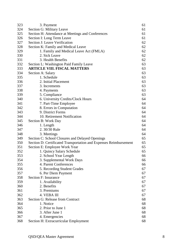| 323 | 3. Payment                                                        | 61 |
|-----|-------------------------------------------------------------------|----|
| 324 | Section G: Military Leave                                         | 61 |
| 325 | Section H: Attendance at Meetings and Conferences                 | 61 |
| 326 | Section I: Long Term Leave                                        | 61 |
| 327 | Section J: Leave Verification                                     | 62 |
| 328 | Section K: Family and Medical Leave                               | 62 |
| 329 | 1. Family and Medical Leave Act (FMLA)                            | 62 |
| 330 | 2. Sick Leave                                                     | 62 |
| 331 | 3. Health Benefits                                                | 62 |
| 332 | Section L: Washington Paid Family Leave                           | 63 |
| 333 | <b>ARTICLE VIII. FISCAL MATTERS</b>                               | 63 |
| 334 | Section A: Salary                                                 | 63 |
| 335 | 1. Schedule                                                       | 63 |
| 336 | 2. Initial Placement                                              | 63 |
| 337 | 3. Increments                                                     | 63 |
| 338 | 4. Payments                                                       | 63 |
| 339 | 5. Compliance                                                     | 63 |
| 340 | 6. University Credits/Clock Hours                                 | 64 |
| 341 | 7. Part-Time Employee                                             | 64 |
| 342 | 8. Errors in Computation                                          | 64 |
| 343 | 9. District Forms                                                 | 64 |
| 344 | 10. Retirement Notification                                       | 64 |
| 345 |                                                                   | 64 |
|     | Section B: Work Day                                               | 64 |
| 346 | 1. Length                                                         |    |
| 347 | 2.30/30 Rule                                                      | 64 |
| 348 | 3. Meetings                                                       | 64 |
| 349 | Section C: School Closures and Delayed Openings                   | 65 |
| 350 | Section D: Certificated Transportation and Expenses Reimbursement | 65 |
| 351 | Section E: Employee Work Year                                     | 65 |
| 352 | 1. Quincy Salary Schedule                                         | 65 |
| 353 | 2. School Year Length                                             | 66 |
| 354 | 3. Supplemental Work Days                                         | 66 |
| 355 | 4. Parent Conferences                                             | 66 |
| 356 | 5. Recording Student Grades                                       | 67 |
| 357 | 6. Per Diem Payment                                               | 67 |
| 358 | Section F: Insurance                                              | 67 |
| 359 | 1. Availability                                                   | 67 |
| 360 | 2. Benefits                                                       | 67 |
| 361 | 3. Premiums                                                       | 67 |
| 362 | 4. VEBA III                                                       | 67 |
| 363 | Section G: Release from Contract                                  | 68 |
| 364 | 1. Notice                                                         | 68 |
| 365 | 2. Prior to June 1                                                | 68 |
| 366 | 3. After June 1                                                   | 68 |
| 367 | 4. Emergencies                                                    | 68 |
| 368 | Section H: Extracurricular Employment                             | 68 |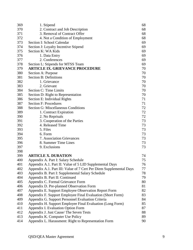| 369 | 1. Stipend                                                         | 68 |
|-----|--------------------------------------------------------------------|----|
| 370 | 2. Contract and Job Description                                    | 68 |
| 371 | 3. Removal of Contract Offer                                       | 68 |
| 372 | 4. Not a Condition of Employment                                   | 68 |
| 373 | Section I: School Calendar                                         | 69 |
| 374 | Section J: Loyalty Incentive Stipend                               | 69 |
| 375 | Section K: WA Kids                                                 | 69 |
| 376 | 1. Data Entry                                                      | 69 |
| 377 | 2. Conferences                                                     | 69 |
| 378 | Section L: Stipends for MTSS Team                                  | 69 |
| 379 | <b>ARTICLE IX. GRIEVANCE PROCEDURE</b>                             | 70 |
| 380 | Section A: Purpose                                                 | 70 |
| 381 | Section B: Definitions                                             | 70 |
| 382 | 1. Grievance                                                       | 70 |
| 383 | 2. Grievant                                                        | 70 |
| 384 | Section C: Time Limits                                             | 70 |
| 385 | Section D: Right to Representation                                 | 70 |
| 386 | Section E: Individual Rights                                       | 71 |
| 387 | <b>Section F: Procedures</b>                                       | 71 |
| 388 | <b>Section G: Miscellaneous Conditions</b>                         | 72 |
| 389 | 1. Contract Expiration                                             | 72 |
| 390 | 2. No Reprisals                                                    | 72 |
| 391 | 3. Cooperation of the Parties                                      | 73 |
| 392 | 4. Released Time                                                   | 73 |
| 393 | 5. Files                                                           | 73 |
| 394 | 6. Form                                                            | 73 |
| 395 | 7. Association Grievances                                          | 73 |
| 396 | 8. Summer Time Lines                                               | 73 |
| 397 | 9. Exclusions                                                      | 73 |
| 398 |                                                                    |    |
| 399 | <b>ARTICLE X. DURATION</b>                                         | 74 |
| 400 | Appendix A. Part I: Salary Schedule                                | 75 |
| 401 | Appendix A.1. Part II: Value of 5 LID Supplemental Days            | 76 |
| 402 | Appendix A.1. Part III: Value of 7 Cert Per Diem Supplemental Days | 77 |
| 403 | Appendix B. Part I: Supplemental Salary Schedule                   | 78 |
| 404 | Appendix B. Part II: Continued                                     | 79 |
| 405 | Appendix C. Formal Grievance Form                                  | 80 |
| 406 | Appendix D. Pre-planned Observation Form                           | 81 |
| 407 | Appendix E. Support Employee Observation Report Form               | 82 |
| 408 | Appendix F. Support Employee Final Evaluation (Short Form)         | 83 |
| 409 | Appendix G. Support Personnel Evaluation Criteria                  | 84 |
| 410 | Appendix H. Support Employee Final Evaluation (Long Form)          | 85 |
| 411 | Appendix I. Evaluation Option Form                                 | 87 |
| 412 | Appendix J. Just Cause/ The Seven Tests                            | 88 |
| 413 | Appendix K. Computer Use Policy                                    | 89 |
| 414 |                                                                    |    |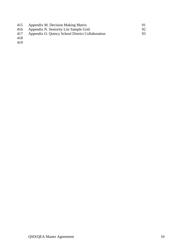| 415         | Appendix M. Decision Making Matrix               | 91  |
|-------------|--------------------------------------------------|-----|
|             | 416 Appendix N. Seniority List Sample Grid       | 92. |
| 417         | Appendix O. Quincy School District Collaboration | 93. |
| $\sqrt{40}$ |                                                  |     |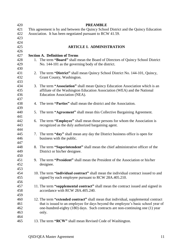| 420 |                                                                                      | <b>PREAMBLE</b>                                                                     |  |
|-----|--------------------------------------------------------------------------------------|-------------------------------------------------------------------------------------|--|
| 421 | This agreement is by and between the Quincy School District and the Quincy Education |                                                                                     |  |
| 422 | Association. It has been negotiated pursuant to RCW 41.59.                           |                                                                                     |  |
| 423 |                                                                                      |                                                                                     |  |
| 424 |                                                                                      |                                                                                     |  |
| 425 |                                                                                      | <b>ARTICLE I. ADMINISTRATION</b>                                                    |  |
| 426 |                                                                                      |                                                                                     |  |
| 427 |                                                                                      | <b>Section A. Definition of Terms</b>                                               |  |
| 428 |                                                                                      | 1. The term "Board" shall mean the Board of Directors of Quincy School District     |  |
| 429 |                                                                                      | No. 144-101 as the governing body of the district.                                  |  |
| 430 |                                                                                      |                                                                                     |  |
| 431 |                                                                                      | 2. The term "District" shall mean Quincy School District No. 144-101, Quincy,       |  |
| 432 |                                                                                      | Grant County, Washington.                                                           |  |
| 433 |                                                                                      |                                                                                     |  |
| 434 |                                                                                      | 3. The term "Association" shall mean Quincy Education Association which is an       |  |
| 435 |                                                                                      | affiliate of the Washington Education Association (WEA) and the National            |  |
| 436 |                                                                                      | Education Association (NEA).                                                        |  |
| 437 |                                                                                      |                                                                                     |  |
| 438 |                                                                                      | 4. The term "Parties" shall mean the district and the Association.                  |  |
| 439 |                                                                                      |                                                                                     |  |
| 440 |                                                                                      | 5. The term "Agreement" shall mean this Collective Bargaining Agreement.            |  |
| 441 |                                                                                      |                                                                                     |  |
| 442 | 6.                                                                                   | The term "Employee" shall mean those persons for whom the Association is            |  |
| 443 |                                                                                      | recognized as the duly authorized bargaining agent.                                 |  |
| 444 |                                                                                      |                                                                                     |  |
| 445 |                                                                                      | 7. The term "day" shall mean any day the District business office is open for       |  |
| 446 |                                                                                      | business with the public.                                                           |  |
| 447 |                                                                                      |                                                                                     |  |
| 448 |                                                                                      | 8. The term "Superintendent" shall mean the chief administrative officer of the     |  |
| 449 |                                                                                      | District or his/her designee.                                                       |  |
| 450 |                                                                                      |                                                                                     |  |
| 451 |                                                                                      | 9. The term "President" shall mean the President of the Association or his/her      |  |
| 452 |                                                                                      | designee.                                                                           |  |
| 453 |                                                                                      |                                                                                     |  |
| 454 |                                                                                      | 10. The term "individual contract" shall mean the individual contract issued to and |  |
| 455 |                                                                                      | signed by each employee pursuant to RCW 28A.405.210.                                |  |
| 456 |                                                                                      |                                                                                     |  |
| 457 |                                                                                      | 11. The term "supplemental contract" shall mean the contract issued and signed in   |  |
| 458 |                                                                                      | accordance with RCW 28A.405.240.                                                    |  |
| 459 |                                                                                      |                                                                                     |  |
| 460 |                                                                                      | 12. The term "extended contract" shall mean that individual, supplemental contract  |  |
| 461 |                                                                                      | that is issued to an employee for days beyond the employee's basic school year of   |  |
| 462 |                                                                                      | one-hundred-eighty (180) days. Such contracts are non-continuing one (1) year       |  |
| 463 |                                                                                      | only.                                                                               |  |
| 464 |                                                                                      |                                                                                     |  |
| 465 |                                                                                      | 13. The term "RCW" shall mean Revised Code of Washington.                           |  |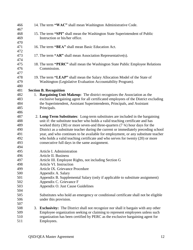| 466        | 14. The term "WAC" shall mean Washington Administrative Code.                            |
|------------|------------------------------------------------------------------------------------------|
| 467        |                                                                                          |
| 468        | 15. The term "SPI" shall mean the Washington State Superintendent of Public              |
| 469        | Instruction or his/her office.                                                           |
| 470        |                                                                                          |
| 471        | 16. The term "BEA" shall mean Basic Education Act.                                       |
| 472        |                                                                                          |
| 473        | 17. The term "AR" shall mean Association Representative(s).                              |
| 474        |                                                                                          |
| 475        | 18. The term "PERC" shall mean the Washington State Public Employee Relations            |
| 476        | Commission.                                                                              |
| 477        |                                                                                          |
| 478        | 19. The term "LEAP" shall mean the Salary Allocation Model of the State of               |
| 479        | Washington (Legislative Evaluation Accountability Program).                              |
| 480        |                                                                                          |
| 481        | <b>Section B. Recognition</b>                                                            |
| 482        | 1. Bargaining Unit Makeup: The district recognizes the Association as the                |
| 483        | exclusive bargaining agent for all certificated employees of the District excluding      |
| 484        | the Superintendent, Assistant Superintendents, Principals, and Assistant                 |
| 485        | Principals.                                                                              |
| 486        |                                                                                          |
| 487        | 2. Long-Term Substitutes: Long-term substitutes are included in the bargaining           |
| 488        | unit if: the substitute teacher who holds a valid teaching certificate and has           |
| 489        | worked thirty (30) or more seven-and three-quarters (7 $\frac{3}{4}$ ) hour days for the |
| 490        | District as a substitute teacher during the current or immediately preceding school      |
| 491        | year, and who continues to be available for employment, or any substitute teacher        |
| 492        | who holds a valid teaching certificate and who serves for twenty (20) or more            |
| 493        | consecutive full days in the same assignment.                                            |
| 494        |                                                                                          |
| 495        | Article I. Administration                                                                |
| 496<br>497 | Article II. Business                                                                     |
|            | Article III. Employee Rights, not including Section G<br>Article VI. Instruction         |
| 498<br>499 | Article IX. Grievance Procedure                                                          |
| 500        |                                                                                          |
| 501        | Appendix A. Salary                                                                       |
|            | Appendix B. Supplemental Salary (only if applicable to substitute assignment)            |
| 502        | Appendix C. Grievance F                                                                  |
| 503<br>504 | Appendix O. Just Cause Guidelines                                                        |
| 505        |                                                                                          |
| 506        | Substitutes who hold an emergency or conditional certificate shall not be eligible       |
|            | under this provision.                                                                    |
| 507        |                                                                                          |
| 508        | 3. Exclusivity: The District shall not recognize nor shall it bargain with any other     |
| 509        | Employee organization seeking or claiming to represent employees unless such             |
| 510        | organization has been certified by PERC as the exclusive bargaining agent for            |
| 511        | Employees.                                                                               |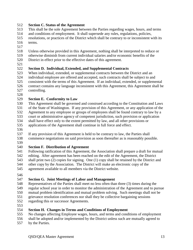#### **Section C. Status of the Agreement**

- This shall be the sole Agreement between the Parties regarding wages, hours, and terms
- and conditions of employment. It shall supersede any rules, regulations, policies,
- resolutions, or practices of the District which shall be contrary to or inconsistent with its terms.
- 
- Unless otherwise provided in this Agreement, nothing shall be interpreted to reduce or
- otherwise diminish from current individual salaries and/or economic benefits of the District in effect prior to the effective dates of this agreement.
- 
- **Section D. Individual, Extended, and Supplemental Contracts**
- When individual, extended, or supplemental contracts between the District and an individual employee are offered and accepted, such contracts shall be subject to and consistent with the terms of this Agreement. If an individual, extended, or supplemental contract contains any language inconsistent with this Agreement, this Agreement shall be
- controlling.
- 

## **Section E. Conformity to Law**

- This Agreement shall be governed and construed according to the Constitution and Laws of the State of Washington. If any provision of this Agreement, or any application of the Agreement to any employee or groups of employees shall be found contrary to law by a court or administrative agency of competent jurisdiction, such provision or application shall have effect only to the extent permitted by law, and all other provisions or
- applications of the Agreement shall continue in full force and effect.
- 
- If any provision of this Agreement is held to be contrary to law, the Parties shall commence negotiations on said provision as soon thereafter as is reasonably possible.
- 

## **Section F. Distribution of Agreement**

- Following ratification of this Agreement, the Association shall prepare a draft for mutual editing. After agreement has been reached on the edit of the Agreement, the District shall print two (2) copies for signing. One (1) copy shall be retained by the District and
- other copy by the Association. The District will make an electronic copy of the
- agreement available to all members via the District website.
- 

## **Section G. Joint Meetings of Labor and Management**

- Representatives of the Parties shall meet no less often than three (3) times during the
- regular school year in order to monitor the administration of the Agreement and to pursue
- mutual problem identification and mutual problem solving. Such meetings shall not be
- grievance resolution conferences nor shall they be collective bargaining sessions regarding this or successor Agreements.
- 

## **Section H. Changes in Terms and Conditions of Employment**

- No changes affecting Employee wages, hours, and terms and conditions of employment
- shall be adopted and/or implemented by the District unless such are mutually agreed to
- by the Parties.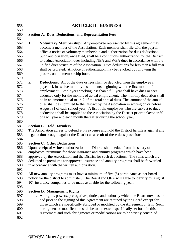- **ARTICLE II. BUSINESS Section A. Dues, Deductions, and Representation Fees 1. Voluntary Membership:** Any employee represented by this agreement may become a member of the Association. Each member shall file with the payroll office a notice of voluntary membership and authorization for dues deductions. Such authorization, once filed, shall be a continuous authorization for the District to deduct Association dues including NEA and WEA dues in accordance with the unified dues structure of the Association. Dues deductions for less than a full year shall be prorated. A notice of authorization may be revoked by following the process on the membership form. 2**. Deductions:** All of the dues or fees shall be deducted from the employee's paycheck in twelve monthly installments beginning with the first month of employment. Employees working less than a full year shall have dues or fees deducted only for the months of actual employment. The monthly deduction shall be in an amount equal to 1/12 of the total annual dues. The amount of the annual dues shall be submitted to the District by the Association in writing on or before August 31 of each school year. A list of the employees who are subject to dues deductions shall be supplied to the Association by the District prior to October 30 of each year and each month thereafter during the school year. **Section B. Hold Harmless** The Association agrees to defend at its expense and hold the District harmless against any legal action brought against the District as a result of these dues provisions. **Section C. Other Deductions** Upon receipt of written authorization, the District shall deduct from the salary of employees, premiums for those insurance and annuity programs which have been approved by the Association and the District for such deductions. The sums which are deducted as premiums for approved insurance and annuity programs shall be forwarded in accordance with the written authorization. All new annuity programs must have a minimum of five (5) participants as per board 593 policy for the district to administer. The Board and QEA will agree to identify by August  $10<sup>th</sup>$  insurance companies to be made available for the following year.  $10<sup>th</sup>$  insurance companies to be made available for the following year.
- 

## **Section D. Management Rights**

 1. All rights, powers, prerogatives, duties, and authority which the Board now has or had prior to the signing of this Agreement are retained by the Board except for those which are specifically abridged or modified by the Agreement or law. Such abridgment or modification shall be to the extent specifically set forth in this Agreement and such abridgments or modifications are to be strictly construed.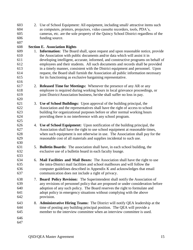2. Use of School Equipment: All equipment, including small/ attractive items such as computers, printers, projectors, video cassette recorders, tools, PDA's, cameras, etc. are the sole property of the Quincy School District regardless of the funding source. **Section E. Association Rights** 1. **Information:** The Board shall, upon request and upon reasonable notice, provide the Association with public documents and/or data which will assist it in developing intelligent, accurate, informed, and constructive programs on behalf of employees and their students. All such documents and records shall be provided in a timely manner, consistent with the District equipment and personnel. Upon request, the Board shall furnish the Association all public information necessary for its functioning as exclusive bargaining representative. 2. **Released Time for Meetings:** Whenever the presence of any AR or any employee is required during working hours in local grievance proceedings, or joint District/Association business, he/she shall suffer no loss in pay. 3. **Use of School Buildings:** Upon approval of the building principal, the Association and the representatives shall have the right of access to school building for organizational purposes before or after normal working hours providing there is no interference with any school program. 4. **Use of School Equipment:** Upon notification of the building principal, the Association shall have the right to use school equipment at reasonable times, when such equipment is not otherwise in use. The Association shall pay for the reasonable cost of all materials and supplies incidental to such use. 5. **Bulletin Boards:** The association shall have, in each school building, the exclusive use of a bulletin board in each faculty lounge. 6. **Mail Facilities and Mail Boxes:** The Association shall have the right to use the intra-District mail facilities and school mailboxes and will follow the computer guidelines described in Appendix K and acknowledges that email communication does not include a right of privacy. 7. **Board Policy Revision:** The Superintendent shall notify the Association of any revisions of personnel policy that are proposed or under consideration before adoption of any such policy. The Board reserves the right to formulate and adopt policy in emergency situations without complying with the above provision. 8. **Administrative Hiring Teams:** The District will notify QEA leadership at the time of posting any building principal position. The QEA will provide a member to the interview committee when an interview committee is used.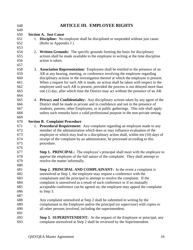| 648        | <b>ARTICLE III. EMPLOYEE RIGHTS</b>                                                                              |
|------------|------------------------------------------------------------------------------------------------------------------|
| 649        |                                                                                                                  |
| 650<br>651 | <b>Section A. Just Cause</b><br>1. Discipline: No employee shall be disciplined or suspended without just cause. |
| 652        | (Refer to Appendix J)                                                                                            |
| 653        |                                                                                                                  |
| 654        | 2. Written Grounds: The specific grounds forming the basis for disciplinary                                      |
| 655        | actions shall be made available to the employee in writing at the time discipline                                |
| 656        | action is taken.                                                                                                 |
| 657        |                                                                                                                  |
| 658        | 3. Association Representation: Employees shall be entitled to the presence of an                                 |
| 659        | AR at any hearing, meeting, or conference involving the employee regarding                                       |
| 660        | disciplinary actions or the investigation thereof at which the employee is present.                              |
| 661        | When a request for such AR is made, no action shall be taken with respect to the                                 |
| 662        | employee until such AR is present, provided the process is not delayed more than                                 |
| 663        | one (1) day, after which time the District may act without the presence of an AR.                                |
| 664        |                                                                                                                  |
| 665        | 4. Privacy and Confidentiality: Any disciplinary actions taken by any agent of the                               |
| 666        | District shall be made in private and in confidence and not in the presence of                                   |
| 667        | students, parents, other Employees, or at public gatherings. This rule shall apply                               |
| 668        | unless such remarks have a valid professional purpose in the non-private setting.                                |
| 669        |                                                                                                                  |
| 670        | <b>Section B. Complaint Procedure</b>                                                                            |
| 671        | 1. Procedural Requirement: Any complaint regarding an employee made to any                                       |
| 672        | member of the administration which does or may influence evaluation of the                                       |
| 673        | employee or which may lead to a disciplinary action shall, within ten (10) days of                               |
| 674        | receipt of the complaint by an administrator, be processed according to this                                     |
| 675        | procedure.                                                                                                       |
| 676<br>677 | <b>Step 1. PRINCIPAL:</b> The employee's principal shall meet with the employee to                               |
| 678        | apprise the employee of the full nature of the complaint. They shall attempt to                                  |
| 679        | resolve the matter informally.                                                                                   |
| 680        |                                                                                                                  |
| 681        | Step 2. PRINCIPAL AND COMPLAINANT: In the event a complaint is                                                   |
| 682        | unresolved at Step 1, the employee may request a conference with the                                             |
| 683        | complainant and the principal to attempt to resolve the complaint. If the                                        |
| 684        | complaint is unresolved as a result of such conference or if no mutually                                         |
| 685        | acceptable conference can be agreed on, the employee may appeal the complaint                                    |
| 686        | to Step 3.                                                                                                       |
| 687        |                                                                                                                  |
| 688        | Any complaint unresolved at Step 2 shall be submitted in writing by the                                          |
| 689        | complainant to the Employee and/or the principal (or supervisor) with copies to                                  |
| 690        | all other persons involved, including the superintendent.                                                        |
| 691        |                                                                                                                  |
| 692        | <b>Step 3. SUPERINTENDENT:</b> At the request of the Employee or principal, any                                  |
| 693        | complaint unresolved at Step 2 shall be reviewed by the Superintendent.                                          |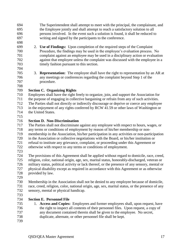- The Superintendent shall attempt to meet with the principal, the complainant, and the Employee jointly and shall attempt to reach a satisfactory solution to all persons involved. In the event such a solution is found, it shall be reduced to writing and signed by the participants to the conference.
- 
- 2. **Use of Findings:** Upon completion of the required steps of the Complaint Procedure, the findings may be used in the employee's evaluation process. No complaint against an employee may be used in a disciplinary action or evaluation against that employee unless the complaint was discussed with the employee in a timely fashion pursuant to this section.
- 3. **Representation:** The employee shall have the right to representation by an AR at any meetings or conferences regarding the complaint beyond Step 1 of the procedure.
- 

# **Section C. Organizing Rights**

- Employees shall have the right freely to organize, join, and support the Association for the purpose of engaging in collective bargaining or refrain from any of such activities. The Parties shall not directly or indirectly discourage or deprive or coerce any employee in the enjoyment of any rights conferred by RCW 41.59 or other laws of Washington or
- the United States.
- 

# **Section D. Non-Discrimination**

- The Parties shall not discriminate against any employee with respect to hours, wages, or
- any terms or conditions of employment by reason of his/her membership or non-
- membership in the Association, his/her participation in any activities or non-participation
- in the Association or collective negotiations with the Board, or his/her institution or
- refusal to institute any grievance, complaint, or proceeding under this Agreement or
- otherwise with respect to any terms or conditions of employment.
- 
- The provisions of this Agreement shall be applied without regard to domicile, race, creed,<br>
T25 religion, color, national origin, age, sex, marital status, honorably-discharged, veteran or religion, color, national origin, age, sex, marital status, honorably-discharged, veteran or military status, political activity or lack thereof, or the presence of any sensory, mental or physical disability except as required in accordance with this Agreement or as otherwise
- provided by law.
- Membership in the Association shall not be denied to any employee because of domicile, race, creed, religion, color, national origin, age, sex, marital status, or the presence of any sensory, mental or physical handicap.
- 
- **Section E. Personnel File**
- 1. **Access and Copies:** Employees and former employees shall, upon request, have the right to inspect all contents of their personnel files. Upon request, a copy of any document contained therein shall be given to the employee. No secret, duplicate, alternate, or other personnel file shall be kept.
-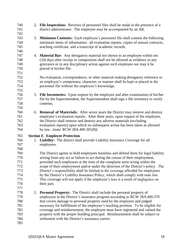| 740<br>741 | 2. File Inspections: Reviews of personnel files shall be made in the presence of a<br>district administrator. The employee may be accompanied by an AR. |
|------------|---------------------------------------------------------------------------------------------------------------------------------------------------------|
| 742        |                                                                                                                                                         |
| 743        | 3. Minimum Contents: Each employee's personnel file shall contain the following                                                                         |
| 744        | minimum items of information: all evaluation reports, copies of annual contracts,                                                                       |
| 745        | teaching certificate, and a transcript of academic records.                                                                                             |
| 746        |                                                                                                                                                         |
| 747        | 4. Material Bar: Any derogatory material not shown to an employee within ten                                                                            |
| 748        | (10) days after receipt or composition shall not be allowed as evidence in any                                                                          |
| 749        | grievance or in any disciplinary action against such employee nor may it be                                                                             |
| 750        | placed in his/her file.                                                                                                                                 |
| 751        |                                                                                                                                                         |
| 752        | No evaluation, correspondence, or other material making derogatory reference to                                                                         |
| 753        | an employee's competence, character, or manner shall be kept or placed in the                                                                           |
| 754        | personnel file without the employee's knowledge.                                                                                                        |
| 755        |                                                                                                                                                         |
| 756        | 5. File Inventories: Upon request by the employee and after examination of his/her                                                                      |
| 757        | file by the Superintendent, the Superintendent shall sign a file inventory to verify                                                                    |
| 758        | contents.                                                                                                                                               |
| 759        |                                                                                                                                                         |
| 760        | 6. <b>Removal of Materials:</b> After seven years the District may remove and destroy                                                                   |
| 761        | employee's evaluation reports. After three years, upon request of the employee,                                                                         |
| 762<br>763 | the District shall remove and destroy any adverse materials (excluding<br>evaluation reports) upon which no subsequent action has been taken as allowed |
| 764        | by law. (note: RCW 28A.400.301(8))                                                                                                                      |
| 765        | <b>Section F. Employee Protection</b>                                                                                                                   |
| 766        | 1. Liability: The district shall provide Liability Insurance Coverage for all                                                                           |
| 767        | employees.                                                                                                                                              |
| 768        |                                                                                                                                                         |
| 769        |                                                                                                                                                         |
| 770        | The District agrees to hold employees harmless and defend them for legal liability                                                                      |
| 771        | arising from any act or failure to act during the course of their employment,                                                                           |
|            | provided such employees at the time of the complaint were acting within the                                                                             |
| 772        | scope of their employment and/or under the direction of the District's policy. The                                                                      |
| 773        | District's responsibility shall be limited to the coverage afforded for employees                                                                       |
| 774        | by the District's Liability Insurance Policy, which shall comply with state law.                                                                        |
| 775        | This coverage will not apply if the employee's loss is a result of negligence on                                                                        |
| 776        | their part.                                                                                                                                             |
| 777        |                                                                                                                                                         |
| 778        | 2. Personal Property: The District shall include the personal property of                                                                               |
| 779        | employees in the District's insurance program according to RCW 28A.400.370                                                                              |
| 780        | that covers damage to personal property used by the employee and judged                                                                                 |
| 781        | necessary for fulfillment of the employee's teaching position. To be eligible for                                                                       |
| 782        | coverage and reimbursement, the employee must have registered and valued the                                                                            |
| 783        | property with the proper building principal. Reimbursement shall be subject to                                                                          |
| 784<br>785 | settlement with the District's insurance carrier.                                                                                                       |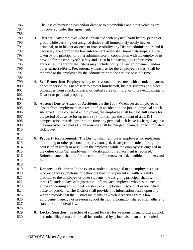The loss of money or loss and/or damage to automobiles and other vehicles are not covered under this agreement. 3. **Threats:** Any employee who is threatened with physical harm by any person or group while carrying out assigned duties shall immediately notify his/her principal, or in his/her absence or inaccessibility any District administrator, and if necessary, the appropriate law enforcement authority. Immediate steps shall be taken by the principal or other administrator in cooperation with the employee to provide for the employee's safety and assist in contacting law enforcement authorities, if appropriate. Steps may include notifying law enforcement and/or other earnest efforts. Precautionary measures for the employee's safety shall be reported to the employee by the administrator at the earliest possible time. 4. **Self-Protection:** Employees may use reasonable measures with a student, patron, or other person as is necessary to protect him/herself, his/her students or his/her colleagues from attack, physical or verbal abuse or injury, or to prevent damage to District or personal property. 5. **Absence Due to Attack or Accidents on the Job:** Whenever an employee is absent from employment as a result of an accident on the job or a physical attack sustained in the course of employment, the employee shall be paid full salary for 807 the period of absence for up to six (6) months, less the amount of an L  $&$  I compensation awarded prior to the time any personal sick leave is charged against the employee. No part of such absence shall be charged to annual or accumulated sick leave. 6. **Property Replacement:** The District shall reimburse employees for replacement of clothing or other personal property damaged, destroyed, or stolen during the course of an attack or assault on the employee while the employee is engaged in the duties of his/her employment. Verification of replacement is required. Reimbursement shall be for the amount of homeowner's deductible, not to exceed 817 \$250. 7. **Dangerous Students:** In the event a student is assigned to an employee's class who evidences symptoms or behaviors that could present a health or safety problem to the employee or other students, the assigning principal shall, within three (3) student days of registration, inform each employee who has the need to know concerning any student's history of exceptional misconduct or identified behavior problems. The District shall provide this information based upon any written records that the District maintains or which it receives from a law enforcement agency or previous school district. Information shared shall adhere to state law and federal law. 8. **Locker Searches:** Searches of student lockers for weapons, illegal drugs alcohol, and other illegal materials shall be conducted by principals on an unscheduled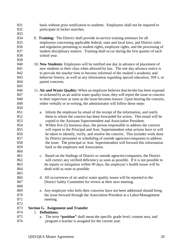basis without prior notification to students. Employees shall not be required to participate in locker searches. 9. **Training:** The District shall provide in-service training seminars for all employees concerning applicable federal, state and local laws, and District rules and regulation pertaining to student rights, employee rights, and the processing of student disciplinary matters. Training shall occur during the first quarter of each school year. 10. **New Students:** Employees will be notified one day in advance of placement of new students in their class when allowed by law. The one day advance notice is to provide the teacher time to become informed of the student's academic and behavior history, as well as any information regarding special education, 504's, or parent concerns. 11. **Air and Water Quality:** When an employee believes that he/she has been exposed or sickened by an air and/or water quality issue, they will report the issue or concern to their supervisor as soon as the issue becomes known. Upon hearing the concern, either verbally or in writing, the administrator will follow these steps: a. Inform the employee by email of the receipt of the information, and notify them to whom the concern has been forwarded for action. This email will be copied to the Assistant Superintendent and Association President. b. Within five (5) business days, the person responsible to address the concern will report to the Principal and Asst. Superintendent what actions have or will be taken to identify, verify, and resolve the concern. This includes work done by District personnel or scheduling of outside agencies/companies to address the issue. The principal or Asst. Superintendent will forward this information back to the employee and Association. c. Based on the findings of District or outside agencies/companies, the District 862 will correct any verified deficiency as soon as possible. If it is not possible to 863 do repairs or mitigation within 90 days, the employee's health issues will be 864 dealt with as soon as possible. 866 d. All occurrences of air and/or water quality issues will be reported to the 867 District Safety Committee for review at their next meeting. 869 e. Any employee who feels their concerns have not been addressed should bring 870 the issue forward through the Association President at a Labor/Management 871 meeting. **Section G. Assignment and Transfer**  1. **Definitions:** a. The term **"position"** shall mean the specific grade level, content area, and program a teacher is assigned for the current year.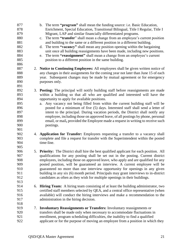| 877<br>878<br>879<br>880<br>881<br>882<br>883<br>884<br>885<br>886 | b. The term " <b>program</b> " shall mean the funding source: i.e. Basic Education,<br>Enrichment, Special Education, Transitional Bilingual, Title I Regular, Title I<br>Migrant, LAP and similar financially differentiated programs.<br>The term "transfer" shall mean a change from an employee's current position<br>$\mathbf{c}$ .<br>and building to the same or a different position in a different building.<br>The term "vacancy" shall mean any position opening within the bargaining<br>d.<br>unit once all building reassignments have been made, including new positions.<br>The term "reassignment" shall mean a change from an employee's current<br>e.<br>position to a different position in the same building. |
|--------------------------------------------------------------------|------------------------------------------------------------------------------------------------------------------------------------------------------------------------------------------------------------------------------------------------------------------------------------------------------------------------------------------------------------------------------------------------------------------------------------------------------------------------------------------------------------------------------------------------------------------------------------------------------------------------------------------------------------------------------------------------------------------------------------|
| 887<br>888<br>889<br>890<br>891                                    | 2. Notice to Continuing Employees: All employees shall be given written notice of<br>any changes in their assignments for the coming year not later than June 15 of each<br>year. Subsequent changes may be made by mutual agreement or for emergency<br>purposes only.                                                                                                                                                                                                                                                                                                                                                                                                                                                            |
| 892<br>893<br>894<br>895<br>896<br>897<br>898<br>899<br>900<br>901 | 3. Posting: The principal will notify building staff before reassignments are made<br>within a building so that all who are qualified and interested will have the<br>opportunity to apply for available positions.<br>Any vacancy not being filled from within the current building staff will be<br>a.<br>posted for a minimum of five (5) days. Interested staff shall send a letter of<br>intent to the principal. During vacation periods, the District shall notify any<br>employee, including those on approved leave, of all postings by phone, personal<br>email, or mail, provided the Employee made a request in writing to receive such<br>postings.                                                                   |
| 902<br>903<br>904<br>905                                           | 4. Application for Transfer: Employees requesting a transfer to a vacancy shall<br>complete and file a request for transfer with the Superintendent within the posted<br>time-line.                                                                                                                                                                                                                                                                                                                                                                                                                                                                                                                                                |
| 906<br>907<br>908<br>909<br>910<br>911<br>912<br>913               | 5. Priority: The District shall hire the best qualified applicant for each position. All<br>qualifications for any posting shall be set out in the posting. Current district<br>employees, including those on approved leave, who apply and are qualified for any<br>posted position, will be guaranteed an interview. A current employee will be<br>guaranteed no more than one interview opportunity for openings in any given<br>building in any six (6) month period. Principals may grant interviews to in-district<br>candidates as often as they wish for multiple openings in their buildings.                                                                                                                             |
| 914<br>915<br>916<br>917<br>918                                    | 6. Hiring Team: A hiring team consisting of at least the building administrator, two<br>certified staff members selected by QEA, and a central office representative (when<br>available) will conduct the hiring interviews and make a recommendation to the<br>administration in the hiring decision.                                                                                                                                                                                                                                                                                                                                                                                                                             |
| 919<br>7.<br>920<br>921<br>922                                     | <b>Involuntary Reassignments or Transfers:</b> Involuntary reassignments or<br>transfers shall be made only when necessary to accommodate fluctuations in<br>enrollment, program scheduling difficulties, the inability to find a qualified<br>applicant or for the purpose of moving an employee from a position in which they                                                                                                                                                                                                                                                                                                                                                                                                    |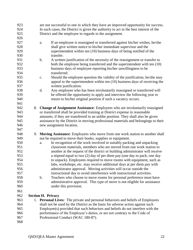| 923 | are not successful to one in which they have an improved opportunity for success.            |
|-----|----------------------------------------------------------------------------------------------|
| 924 | In such cases, the District is given the authority to act in the best interest of the        |
| 925 | District and the employee in regards to the assignment.                                      |
| 926 |                                                                                              |
| 927 | If an employee is reassigned or transferred against his/her wishes, he/she<br>a.             |
| 928 | shall give written notice to his/her immediate supervisor and the                            |
| 929 | superintendent within ten (10) business days of being notified of the                        |
| 930 | transfer.                                                                                    |
| 931 | A written justification of the necessity of the reassignment or transfer to<br>$\mathbf b$ . |
| 932 | both the employee being transferred and the superintendent with ten (10)                     |
| 933 | business days of employee reporting his/her unwillingness to be                              |
| 934 | transferred.                                                                                 |
| 935 | Should the employee question the validity of the justification, he/she may<br>$\mathbf{c}$ . |
| 936 | appeal to the superintendent within ten (10) business days of receiving the                  |
| 937 | written justification.                                                                       |
| 938 | d.<br>Any employee who has been involuntarily reassigned or transferred will                 |
| 939 | be offered the opportunity to apply and interview the following year to                      |
| 940 | return to his/her original position if such a vacancy occurs.                                |
| 941 |                                                                                              |
| 942 | 8. Change of Assignment Assistance: Employees who are involuntarily reassigned               |
| 943 | or transferred shall be provided training at District expense in reasonable                  |
| 944 | amounts, if they are transferred to an unlike position. They shall also be given             |
| 945 | assistance by the District in moving professional materials and belongings to their          |
| 946 | new assignment location.                                                                     |
| 947 |                                                                                              |
| 948 | 9. Moving Assistance: Employees who move from one work station to another shall              |
| 949 | not be required to move their books, supplies or equipment.                                  |
| 950 | In recognition of the work involved in suitably packing and unpacking<br>a.                  |
| 951 | classroom materials, members who are moved from one work station to                          |
| 952 | another at the request of the district or building administrator will receive                |
| 953 | a stipend equal to two (2) day of per diem pay (one day to pack; one day                     |
| 954 | to unpack). Employees required to move rooms with equipment, such as                         |
| 955 | labs, workshops, etc. may receive additional days at per diem pay with                       |
| 956 | administrator approval. Moving activities will occur outside the                             |
| 957 | instructional day to avoid interference with instructional activities.                       |
| 958 | b.<br>Teachers who choose to move rooms for personal preference must have                    |
| 959 | administrative approval. This type of move is not eligible for assistance                    |
| 960 | under this provision.                                                                        |
| 961 |                                                                                              |
| 962 | <b>Section H. Privacy</b>                                                                    |
| 963 | 1. Personal Lives: The private and personal behaviors and beliefs of Employees               |
| 964 | shall not be used by the District as the basis for adverse action against such               |
| 965 | Employee(s) provided that such behaviors and beliefs do not interfere with the               |
| 966 | performance of the Employee's duties, or are not contrary to the Code of                     |
| 967 | Professional Conduct (WAC 180-87).                                                           |
| 968 |                                                                                              |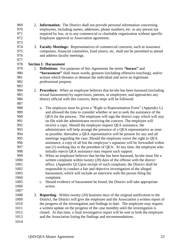| 969  |    | 2. Information: The District shall not provide personal information concerning                |
|------|----|-----------------------------------------------------------------------------------------------|
| 970  |    | employees, including names, addresses, phone numbers, etc. to any person not                  |
| 971  |    | required by law, or to any commercial or charitable organization without specific             |
| 972  |    | Employee approval or Association agreement.                                                   |
| 973  |    |                                                                                               |
| 974  | 3. | <b>Faculty Meetings:</b> Representatives of commercial concerns, such as insurance            |
| 975  |    | companies, financial counselors, fund raisers, etc. shall not be permitted to attend          |
| 976  |    | and address faculty meetings.                                                                 |
| 977  |    |                                                                                               |
| 978  |    | <b>Section I. Harassment</b>                                                                  |
| 979  |    | 1. <b>Definitions:</b> For purposes of this Agreement the terms "harass" and                  |
| 980  |    | "harassment" shall mean words, gestures (including offensive touching), and/or                |
| 981  |    | actions which threaten or demean the individual and serve no legitimate                       |
| 982  |    | professional purpose.                                                                         |
| 983  |    |                                                                                               |
| 984  |    | 2. Procedure: When an employee believes that he/she has been harassed (including              |
| 985  |    |                                                                                               |
| 986  |    | sexual harassment) by supervisors, parents, or employees, and approaches any                  |
|      |    | district official with this concern, these steps will be followed:                            |
| 987  |    |                                                                                               |
| 988  |    | The employee must be given a "Right to Representation Form" (Appendix L)<br>a.                |
| 989  |    | and allowed the time to consider whether or not to seek the assistance of the                 |
| 990  |    | QEA for the process. The employee will sign the district copy which will stay                 |
| 991  |    | on file with the administrator receiving the concern. The employee will                       |
| 992  |    | receive a copy. Should the employee request QEA assistance, the                               |
| 993  |    | administrator will help arrange the presence of a QEA representative as soon                  |
| 994  |    | as possible; thereafter a QEA representative will be present for any and all                  |
| 995  |    | meetings regarding the case. Should the employee waive the right to QEA                       |
| 996  |    | assistance, a copy of all but the employee's signature will be forwarded within               |
| 997  |    | one (1) working day to the president of QEA. At any time, the employee who                    |
| 998  |    | initially rejects QEA assistance may request such support.                                    |
| 999  |    | When an employee believes that he/she has been harassed, he/she must file a<br>$\mathbf{b}$ . |
| 1000 |    | written complaint within twenty (20) days of the offense with the district                    |
| 1001 |    | office. (Appendix Q) Upon receipt of such complaint, the District shall be                    |
| 1002 |    | responsible to conduct a fair and objective investigation of the alleged                      |
| 1003 |    | harassment, which will include an interview with the person filing the                        |
| 1004 |    | complaint.                                                                                    |
| 1005 |    | Should evidence of harassment be found, the District will take appropriate<br>$c_{\cdot}$     |
| 1006 |    | action.                                                                                       |
| 1007 |    |                                                                                               |
| 1008 | 3. | <b>Reporting:</b> Within twenty (20) business days of the original notification to the        |
| 1009 |    | District, the District will give the employee and the Association a written report of         |
| 1010 |    | the progress of the investigation and findings to date. The employee may request              |
| 1011 |    | a written update on the progress of the case monthly until the investigation is               |
| 1012 |    | closed. At that time, a final investigative report will be sent to both the employee          |
| 1013 |    | and the Association listing the findings and recommendations.                                 |
| 1014 |    |                                                                                               |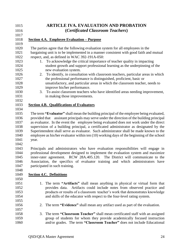| 1015         |       | <b>ARTICLE IVA. EVALUATION AND PROBATION</b>                                                                                                                                     |
|--------------|-------|----------------------------------------------------------------------------------------------------------------------------------------------------------------------------------|
| 1016         |       | (Certificated Classroom Teachers)                                                                                                                                                |
| 1017         |       |                                                                                                                                                                                  |
| 1018         |       | Section 4.A. Employee Evaluation – Purpose                                                                                                                                       |
| 1019         |       |                                                                                                                                                                                  |
| 1020<br>1021 |       | The parties agree that the following evaluation system for all employees in the<br>bargaining unit is to be implemented in a manner consistent with good faith and mutual        |
| 1022         |       | respect, and, as defined in WAC 392-191A-050:                                                                                                                                    |
| 1023         | 1.    | To acknowledge the critical importance of teacher quality in impacting                                                                                                           |
| 1024         |       | student growth and support professional learning as the underpinning of the                                                                                                      |
| 1025         |       | new evaluation system.                                                                                                                                                           |
| 1026         | 2.    | To identify, in consultation with classroom teachers, particular areas in which                                                                                                  |
| 1027         |       | the professional performance is distinguished, proficient, basic or                                                                                                              |
| 1028         |       | unsatisfactory, and particular areas in which the classroom teacher, needs to                                                                                                    |
| 1029         |       | improve his/her performance.                                                                                                                                                     |
| 1030         | 3.    | To assist classroom teachers who have identified areas needing improvement,                                                                                                      |
| 1031         |       | in making those improvements.                                                                                                                                                    |
| 1032         |       |                                                                                                                                                                                  |
| 1033         |       | <b>Section 4.B. Qualifications of Evaluators</b>                                                                                                                                 |
| 1034         |       |                                                                                                                                                                                  |
| 1035         |       | The term "Evaluator" shall mean the building principal of the employee being evaluated,                                                                                          |
| 1036         |       | provided that assistant principals may serve under the direction of the building principal                                                                                       |
| 1037<br>1038 |       | as evaluator. In the event the employee being evaluated does not work under the direct<br>supervision of a building principal, a certificated administrator as designated by the |
| 1039         |       | Superintendent shall serve as evaluator. Such administrator shall be made known to the                                                                                           |
| 1040         |       | employee as his/her evaluator within ten (10) working days of the beginning of the school                                                                                        |
| 1041         | year. |                                                                                                                                                                                  |
| 1042         |       |                                                                                                                                                                                  |
| 1043         |       | Principals and administrators who have evaluation responsibilities will engage in                                                                                                |
| 1044         |       | professional development designed to implement the evaluation system and maximize                                                                                                |
| 1045         |       | inner-rater agreement. RCW 28A.405.120. The District will communicate to the                                                                                                     |
| 1046         |       | Association, the specifics of evaluator training and which administrators have                                                                                                   |
| 1047         |       | participated in such training.                                                                                                                                                   |
| 1048         |       |                                                                                                                                                                                  |
| 1049         |       | <b>Section 4.C. Definitions</b>                                                                                                                                                  |
| 1050         |       |                                                                                                                                                                                  |
| 1051         |       | 1. The term "Artifacts" shall mean anything in physical or virtual form that                                                                                                     |
| 1052         |       | Artifacts could include notes from observed practice and<br>provides data.                                                                                                       |
| 1053         |       | products or results of a classroom teacher's work that demonstrates knowledge                                                                                                    |
| 1054         |       | and skills of the educator with respect to the four-level rating system.                                                                                                         |
| 1055<br>1056 |       |                                                                                                                                                                                  |
| 1057         | 2.    | The term "Evidence" shall mean any artifact used as part of the evaluation.                                                                                                      |
| 1058         | 3.    | The term "Classroom Teacher" shall mean certificated staff with an assigned                                                                                                      |
| 1059         |       | group of students for whom they provide academically focused instruction                                                                                                         |
| 1060         |       | and/or grades. The term "Classroom Teacher" does not include Educational                                                                                                         |
|              |       |                                                                                                                                                                                  |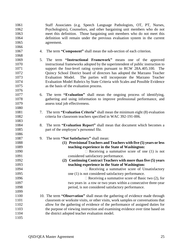Staff Associates (e.g. Speech Language Pathologists, OT, PT, Nurses, Psychologists), Counselors, and other bargaining unit members who do not meet this definition. Those bargaining unit members who do not meet this definition will remain under the previous evaluation system in the current agreement. 

- 4. The term **"Component"** shall mean the sub-section of each criterion.
- 5. The term **"Instructional Framework"** means one of the approved instructional frameworks adopted by the superintendent of public instruction to support the four-level rating system pursuant to RCW 28A.405.100. The Quincy School District board of directors has adopted the Marzano Teacher Evaluation Model. The parties will incorporate the Marzano Teacher Evaluation Model Rubrics by State Criteria with Scales and Possible Evidence as the basis of the evaluation process.
- 6. The term **"Evaluation"** shall mean the ongoing process of identifying, gathering and using information to improve professional performance, and assess total job effectiveness.
- 7. The term **"Evaluation Criteria"** shall mean the minimum eight (8) evaluation criteria for classroom teachers specified in WAC 392-191-006.
- 8. The term **"Evaluation Report"** shall mean that document which becomes a part of the employee's personnel file.
- 9. The term **"Not Satisfactory"** shall mean:
- **(1) Provisional Teachers and Teachers with five (5) years or less teaching experience in the State of Washington:** 1090 Receiving a summative score of one (1) is not considered satisfactory performance. **(2) Continuing Contract Teachers with more than five (5) years teaching experience in the State of Washington:** Receiving a summative score of Unsatisfactory 1095 one (1) is not considered satisfactory performance. 1096  $\Box$  Receiving a summative score of Basic two (2), for two years in a row or two years within a consecutive three-year period, is not considered satisfactory performance. 10. The term **"Observation"** shall mean the gathering of evidence made through
- classroom or worksite visits, or other visits, work samples or conversations that allow for the gathering of evidence of the performance of assigned duties for the purpose of viewing instruction and examining evidence over time based on the district adopted teacher evaluation model.
-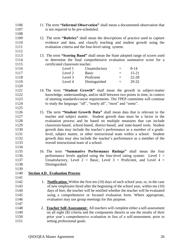| 1106 | 11. The term "Informal Observation" shall mean a documented observation that                |
|------|---------------------------------------------------------------------------------------------|
| 1107 | is not required to be pre-scheduled.                                                        |
| 1108 |                                                                                             |
| 1109 | 12. The term "Rubrics" shall mean the descriptions of practice used to capture              |
| 1110 | evidence and data, and classify teaching and student growth using the                       |
| 1111 | evaluation criteria and the four-level rating system.                                       |
| 1112 |                                                                                             |
| 1113 | 13. The term "Scoring Band" shall mean the State adopted range of scores used               |
| 1114 | to determine the final comprehensive evaluation summative score for a                       |
| 1115 | certificated classroom teacher.                                                             |
| 1116 | Level 1<br>Unsatisfactory<br>$8 - 14$<br>$\equiv$                                           |
| 1117 | Level 2<br><b>Basic</b><br>$15 - 21$<br>$\equiv$                                            |
| 1118 | Level 3<br>Proficient<br>22-28<br>$\equiv$                                                  |
| 1119 | Level 4<br>Distinguished<br>29-32<br>$\qquad \qquad =\qquad$                                |
| 1120 |                                                                                             |
| 1121 | 14. The term "Student Growth" shall mean the growth in subject-matter                       |
| 1122 | knowledge, understandings, and/or skill between two points in time, in context              |
| 1123 | of meeting standards/course requirements. The TPEP committee will continue                  |
| 1124 | to study the language: "all", "nearly all", "most" and "some".                              |
| 1125 |                                                                                             |
| 1126 | 15. The term "Student Growth Data" shall mean data that is relevant to the                  |
| 1127 | teacher and subject matter. Student growth data must be a factor in the                     |
| 1128 | evaluation process and be based on multiple measures that can include                       |
| 1129 | classroom-based, school-based, district-based, and state-based tools. Student               |
| 1130 | growth data may include the teacher's performance as a member of a grade-                   |
| 1131 | level, subject matter, or other instructional team within a school. Student                 |
| 1132 | growth data may also include the teacher's performance as a member of the                   |
| 1133 | overall instructional team of a school.                                                     |
| 1134 |                                                                                             |
| 1135 | 16. The term "Summative Performance Ratings" shall mean the four                            |
| 1136 | performance levels applied using the four-level rating system: Level $1 =$                  |
| 1137 | Unsatisfactory, Level 2 = Basic, Level 3 = Proficient, and Level 4 =                        |
| 1138 | Distinguished.                                                                              |
| 1139 |                                                                                             |
| 1140 | <b>Section 4.D. Evaluation Process</b>                                                      |
| 1141 |                                                                                             |
| 1142 | 1. <b>Notification:</b> Within the first ten (10) days of each school year, or, in the case |
| 1143 | of new employees hired after the beginning of the school year, within ten (10)              |
| 1144 | days of hire, the teacher will be notified whether the teacher will be evaluated            |
| 1145 | using a comprehensive or focused evaluation form. Where appropriate,                        |
| 1146 | evaluators may use group meetings for this purpose.                                         |
| 1147 |                                                                                             |
| 1148 | <b>Teacher Self-Assessment:</b> All teachers will complete either a self-assessment<br>2.   |
| 1149 | on all eight (8) criteria and the components therein or use the results of their            |
| 1150 | prior year's comprehensive evaluation in lieu of a self-assessment, prior to                |
| 1151 | setting professional goals.                                                                 |
|      |                                                                                             |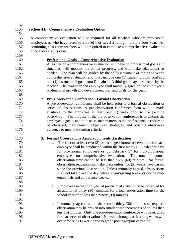**Section 4.E. Comprehensive Evaluation Option:** A comprehensive evaluation will be required for all teachers who are provisional employees or who have received a Level 1 or Level 2 rating in the previous year. All continuing classroom teachers will be required to complete a comprehensive evaluation once every six (6) years. 1. **Professional Goals – Comprehensive Evaluation** A teacher on a comprehensive evaluation will develop professional goals and timelines, will monitor his or her progress, and will make adaptations as needed. The plan will be guided by the self-assessment or the prior year's comprehensive evaluation and must include one (1) student growth goal and one (1) instructional goal from Domain 1. A third goal may be selected by the teacher. The evaluator and employee shall mutually agree on the employee's professional growth and development plan and goals for the year. 2. **Pre-Observation Conference – Formal Observation** A pre-observation conference shall be held prior to a formal observation or series of observations. A pre-observation conference form will be made available to the employee at least one (1) week prior to the pending observation. The purpose of the pre-observation conference is to discuss the employee's goals, and to discuss such matters as the professional activities to be observed, their content, objectives, strategies, and possible observable evidence to meet the scoring criteria. 3. **Formal Observations Association needs clarification** a. The first of at least two (2) pre-arranged formal observations for each employee shall be conducted within the first ninety (90) calendar days 1181 for provisional employees or by February  $1<sup>st</sup>$  for non-provisional employees on comprehensive evaluation. The total of annual observation time cannot be less than sixty (60) minutes. No formal observation sequence shall take place unless two (2) weeks have passed 1185 since the previous observation. Unless mutually agreed, observations 1186 shall not take place the day before Thanksgiving break, or during mid-1187 term/finals and conference weeks. b. Employees in the third year of provisional status must be observed for an additional thirty (30) minutes, for a total observation time for the 1191 school year of no less than ninety (90) minutes. c. If mutually agreed upon, the second thirty (30) minutes of required observation may be broken into smaller time increments of no less than ten (10) minutes. Only one pre-observation conference will be required for that series of observations. No walk-throughs or learning walks will 1197 occur for one (1) week prior to grade posting/report card time.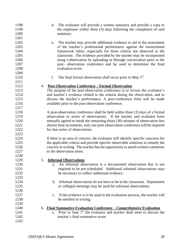| 1198<br>1199<br>1200 |    | The evaluator will provide a written summary and provide a copy to<br>d.<br>the employee within three (3) days following the completion of said<br>summary. |
|----------------------|----|-------------------------------------------------------------------------------------------------------------------------------------------------------------|
| 1201                 |    |                                                                                                                                                             |
| 1202                 |    | The teacher may provide additional evidence to aid in the assessment<br>e.                                                                                  |
| 1203                 |    | of the teacher's professional performance against the instructional                                                                                         |
| 1204                 |    | framework rubric, especially for those criteria not observed in the                                                                                         |
| 1205                 |    | classroom. The evidence provided by the teacher may be incorporated                                                                                         |
| 1206                 |    | using i-observation by uploading or through conversation prior to the                                                                                       |
| 1207                 |    | post- observation conference and be used to determine the final                                                                                             |
| 1208                 |    | evaluation score.                                                                                                                                           |
| 1209                 |    |                                                                                                                                                             |
| 1210                 |    | f.                                                                                                                                                          |
| 1211                 |    | The final formal observation shall occur prior to May 1 <sup>st</sup> .                                                                                     |
| 1212                 |    | 4. Post-Observation Conference - Formal Observation                                                                                                         |
| 1213                 |    | The purpose of the post-observation conference is to review the evaluator's                                                                                 |
| 1214                 |    | and teacher's evidence related to the criteria during the observation, and to                                                                               |
| 1215                 |    | discuss the teacher's performance. A post-conference form will be made                                                                                      |
| 1216                 |    |                                                                                                                                                             |
| 1217                 |    | available prior to the post-observation conference.                                                                                                         |
| 1218                 |    |                                                                                                                                                             |
| 1219                 |    | A post-observation conference shall be held within three (3) days of a formal<br>observation or series of observations. If the teacher and evaluator have   |
| 1220                 |    |                                                                                                                                                             |
|                      |    | mutually agreed to break the remaining thirty (30) minutes of observation into                                                                              |
| 1221<br>1222         |    | shorter time increments, only one post-observation conference will be required                                                                              |
|                      |    | for that series of observations.                                                                                                                            |
| 1223                 |    |                                                                                                                                                             |
| 1224                 |    | If there is an area of concern, the evaluator will identify specific concerns for                                                                           |
| 1225                 |    | the applicable criteria and provide specific observable solutions to remedy the                                                                             |
| 1226                 |    | concern in writing. The teacher has the opportunity to attach written comments                                                                              |
| 1227                 |    | to the observation notes.                                                                                                                                   |
| 1228                 |    |                                                                                                                                                             |
| 1229                 | 5. | <b>Informal Observations</b>                                                                                                                                |
| 1230                 |    | An informal observation is a documented observation that is not                                                                                             |
| 1231                 |    | required to be pre-scheduled. Additional informal observations may                                                                                          |
| 1232                 |    | be necessary to collect additional evidence.                                                                                                                |
| 1233                 |    |                                                                                                                                                             |
| 1234                 |    | Informal observations do not have to be in the classroom. Department<br>b.                                                                                  |
| 1235                 |    | or collegial meetings may be used for informal observations.                                                                                                |
| 1236                 |    |                                                                                                                                                             |
| 1237                 |    | If the evidence is to be used in the evaluation process, the teacher will<br>$C_{\bullet}$                                                                  |
| 1238                 |    | be notified in writing.                                                                                                                                     |
| 1239                 |    |                                                                                                                                                             |
| 1240                 | 6. | <u><b>Final Summative Evaluation Conference – Comprehensive Evaluation</b></u>                                                                              |
| 1241                 |    | Prior to June 1 <sup>st</sup> the evaluator and teacher shall meet to discuss the<br>a.                                                                     |
| 1242                 |    | teacher's final summative score.                                                                                                                            |
| 1243                 |    |                                                                                                                                                             |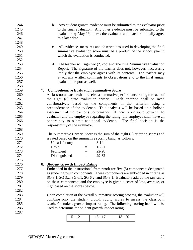- b. Any student growth evidence must be submitted to the evaluator prior to the final evaluation. Any other evidence must be submitted to the 1246 evaluator by May  $1<sup>st</sup>$ , unless the evaluator and teacher mutually agree 1247 to a later date.
- c. All evidence, measures and observations used in developing the final summative evaluation score must be a product of the school year in 1251 which the evaluation is conducted.
- d. The teacher will sign two (2) copies of the Final Summative Evaluation Report. The signature of the teacher does not, however, necessarily imply that the employee agrees with its contents. The teacher may attach any written comments to observations and to the final annual evaluation report as well.

## 7. **Comprehensive Evaluation Summative Score**

 A classroom teacher shall receive a summative performance rating for each of the eight (8) state evaluation criteria. Each criterion shall be rated collaboratively based on the components in that criterion using a preponderance of the evidence. This analysis will be based on a holistic assessment of the teacher's performance. If there is a dispute between the evaluator and the employee regarding the rating, the employee shall have an opportunity to submit additional evidence. The final decision is the 1267 responsibility of the evaluator.

 The Summative Criteria Score is the sum of the eight (8) criterion scores and is rated based on the summative scoring band, as follows:

| 1271 | Unsatisfactory | $=$ | 8-14      |
|------|----------------|-----|-----------|
| 1272 | <b>Basic</b>   | $=$ | $15 - 21$ |
| 1273 | Proficient     |     | 22-28     |
| 1274 | Distinguished  | $=$ | 29-32     |

## 8. **Student Growth Impact Rating**

 Embedded in the instructional framework are five (5) components designated as student growth components. These components are embedded in criteria as SG 3.1, SG 3.2, SG 6.1, SG 6.2, and SG 8.1. Evaluators add up the raw score on these components and the employee is given a score of low, average, or 1281 high based on the scores below.

 Upon completion of the overall summative scoring process, the evaluator will combine only the student growth rubric scores to assess the classroom teacher's student growth impact rating. The following scoring band will be used to determine the student growth impact rating.

| $5 - 12$ |  |
|----------|--|
|          |  |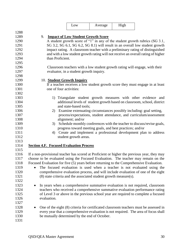|              |                                                                                             | Low                                       | Average                                                   | High |                                                                                       |
|--------------|---------------------------------------------------------------------------------------------|-------------------------------------------|-----------------------------------------------------------|------|---------------------------------------------------------------------------------------|
| 1288         |                                                                                             |                                           |                                                           |      |                                                                                       |
| 1289         | 9.                                                                                          | <b>Impact of Low Student Growth Score</b> |                                                           |      |                                                                                       |
| 1290         |                                                                                             |                                           |                                                           |      | A student growth score of "1" in any of the student growth rubrics (SG 3.1,           |
| 1291         |                                                                                             |                                           |                                                           |      | SG 3.2, SG 6.1, SG 6.2, SG 8.1) will result in an overall low student growth          |
| 1292         |                                                                                             |                                           |                                                           |      | impact rating. A classroom teacher with a preliminary rating of distinguished         |
| 1293         |                                                                                             |                                           |                                                           |      | and with a low student growth rating will not receive an overall rating of higher     |
| 1294         | than Proficient.                                                                            |                                           |                                                           |      |                                                                                       |
| 1295         |                                                                                             |                                           |                                                           |      |                                                                                       |
| 1296         |                                                                                             |                                           |                                                           |      | Classroom teachers with a low student growth rating will engage, with their           |
| 1297         |                                                                                             | evaluator, in a student growth inquiry.   |                                                           |      |                                                                                       |
| 1298         |                                                                                             |                                           |                                                           |      |                                                                                       |
| 1299         | 10. Student Growth Inquiry                                                                  |                                           |                                                           |      |                                                                                       |
| 1300         |                                                                                             |                                           |                                                           |      | If a teacher receives a low student growth score they must engage in at least         |
| 1301         | one of four activities:                                                                     |                                           |                                                           |      |                                                                                       |
| 1302         |                                                                                             |                                           |                                                           |      |                                                                                       |
| 1303         |                                                                                             |                                           |                                                           |      | 1) Triangulate student growth measures with other evidence and                        |
| 1304         |                                                                                             |                                           |                                                           |      | additional levels of student growth based on classroom, school, district              |
| 1305         |                                                                                             | and state-based tools;                    |                                                           |      |                                                                                       |
| 1306         |                                                                                             |                                           |                                                           |      | 2) Examine extenuating circumstances possibly including: goal setting,                |
| 1307         |                                                                                             |                                           |                                                           |      | process/expectations, student attendance, and curriculum/assessment                   |
| 1308         |                                                                                             | alignment; and/or                         |                                                           |      |                                                                                       |
| 1309         | 3)                                                                                          |                                           |                                                           |      | Schedule monthly conferences with the teacher to discuss/revise goals,                |
| 1310         |                                                                                             |                                           | progress toward meeting goals, and best practices; and/or |      |                                                                                       |
| 1311         | 4)                                                                                          |                                           |                                                           |      | Create and implement a professional development plan to address                       |
| 1312         |                                                                                             | student growth areas.                     |                                                           |      |                                                                                       |
| 1313         |                                                                                             |                                           |                                                           |      |                                                                                       |
| 1314         | <b>Section 4.F. Focused Evaluation Process</b>                                              |                                           |                                                           |      |                                                                                       |
| 1315         |                                                                                             |                                           |                                                           |      |                                                                                       |
| 1316         | If a non-provisional teacher has scored at Proficient or higher the previous year, they may |                                           |                                                           |      |                                                                                       |
| 1317         | choose to be evaluated using the Focused Evaluation. The teacher may remain on the          |                                           |                                                           |      |                                                                                       |
| 1318         | Focused Evaluation for five (5) years before returning to the Comprehensive Evaluation.     |                                           |                                                           |      |                                                                                       |
| 1319         |                                                                                             |                                           |                                                           |      | The focused evaluation is used when a teacher is not evaluated using the              |
| 1320         |                                                                                             |                                           |                                                           |      | comprehensive evaluation process, and will include evaluation of one of the eight     |
| 1321         | (8) state criteria and the associated student growth measure(s).                            |                                           |                                                           |      |                                                                                       |
| 1322         |                                                                                             |                                           |                                                           |      |                                                                                       |
| 1323         |                                                                                             |                                           |                                                           |      | In years when a comprehensive summative evaluation is not required, classroom         |
| 1324         |                                                                                             |                                           |                                                           |      | teachers who received a comprehensive summative evaluation performance rating         |
| 1325         |                                                                                             |                                           |                                                           |      | of Level 3 or above in the previous school year are required to complete a focused    |
| 1326         | evaluation.                                                                                 |                                           |                                                           |      |                                                                                       |
| 1327         |                                                                                             |                                           |                                                           |      |                                                                                       |
|              |                                                                                             |                                           |                                                           |      |                                                                                       |
| 1328<br>1329 |                                                                                             |                                           |                                                           |      | One of the eight (8) criteria for certificated classroom teachers must be assessed in |
|              |                                                                                             |                                           |                                                           |      | every year that a comprehensive evaluation is not required. The area of focus shall   |
| 1330         | be mutually determined by the end of October.                                               |                                           |                                                           |      |                                                                                       |
| 1331         |                                                                                             |                                           |                                                           |      |                                                                                       |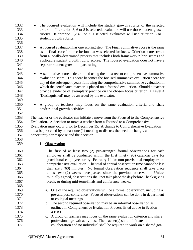student growth rubrics. 1337 • A focused evaluation has one scoring step. The Final Summative Score is the same as the final score for the criterion that was selected for focus. Criterion scores result from a locally-determined process that includes both framework rubric scores and applicable student growth rubric scores. The focused evaluation does not have a separate student growth impact rating. • A summative score is determined using the most recent comprehensive summative evaluation score. This score becomes the focused summative evaluation score for any of the subsequent years following the comprehensive summative evaluation in which the certificated teacher is placed on a focused evaluation. Should a teacher provide evidence of exemplary practice on the chosen focus criterion, a Level 4 (Distinguished) may be awarded by the evaluator. • A group of teachers may focus on the same evaluation criteria and share 1351 professional growth activities. The teacher or the evaluator can initiate a move from the Focused to the Comprehensive Evaluation. A decision to move a teacher from a Focused to a Comprehensive Evaluation must occur prior to December 15. A change to Comprehensive Evaluation must be preceded by at least one (1) meeting to discuss the need to change, an opportunity for response and the decision. 1. **Observation** The first of at least two (2) pre-arranged formal observations for each employee shall be conducted within the first ninety (90) calendar days for 1362 provisional employees or by February  $1<sup>st</sup>$  for non-provisional employees on comprehensive evaluation. The total of annual observation time cannot be less than sixty (60) minutes. No formal observation sequence shall take place unless two (2) weeks have passed since the previous observation. Unless mutually agreed, observations shall not take place the day before Thanksgiving break, or during mid-term/finals and conference weeks. a. One of the required observations will be a formal observation, including a pre-and post-conference. Focused observations can be done in department or collegial meetings. b. The second required observation may be an informal observation as outlined in Comprehensive Evaluation Process listed above in Section 4.E.#3. c. A group of teachers may focus on the same evaluation criterion and share professional growth activities. The teacher(s) should initiate this collaboration and no individual shall be required to work on a shared goal.

 • The focused evaluation will include the student growth rubrics of the selected criterion. If criterion 3, 6 or 8 is selected, evaluators will use those student growth rubrics. If criterion 1,2,4,5 or 7 is selected, evaluators will use criterion 3 or 6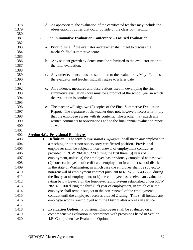| 1378         | d. As appropriate, the evaluation of the certificated teacher may include the                                     |
|--------------|-------------------------------------------------------------------------------------------------------------------|
| 1379         | observation of duties that occur outside of the classroom setting.                                                |
| 1380         |                                                                                                                   |
| 1381         | <u><b>Final Summative Evaluation Conference - Focused Evaluation</b></u><br>2.                                    |
| 1382         |                                                                                                                   |
| 1383         | a. Prior to June 1 <sup>st</sup> the evaluator and teacher shall meet to discuss the                              |
| 1384         | teacher's final summative score.                                                                                  |
| 1385         |                                                                                                                   |
| 1386         | Any student growth evidence must be submitted to the evaluator prior to<br>$\mathbf{b}$ .                         |
| 1387         | the final evaluation.                                                                                             |
| 1388         |                                                                                                                   |
| 1389         | Any other evidence must be submitted to the evaluator by May $1st$ , unless<br>c.                                 |
| 1390         | the evaluator and teacher mutually agree to a later date.                                                         |
| 1391         |                                                                                                                   |
| 1392         | d. All evidence, measures and observations used in developing the final                                           |
| 1393         | summative evaluation score must be a product of the school year in which                                          |
| 1394         | the evaluation is conducted.                                                                                      |
| 1395         |                                                                                                                   |
| 1396         | The teacher will sign two (2) copies of the Final Summative Evaluation<br>e.                                      |
| 1397         | Report. The signature of the teacher does not, however, necessarily imply                                         |
| 1398         | that the employee agrees with its contents. The teacher may attach any                                            |
| 1399         | written comments to observations and to the final annual evaluation report                                        |
| 1400         | as well.                                                                                                          |
| 1401         |                                                                                                                   |
| 1402         | <b>Section 4.G. Provisional Employees</b>                                                                         |
| 1403         | 1. Definition: The term "Provisional Employee" shall mean any employee in                                         |
| 1404         | a teaching or other non-supervisory certificated position. Provisional                                            |
| 1405         | employees shall be subject to non-renewal of employment contract as                                               |
| 1406         | provided in RCW 28A.405.220 during the first three (3) years of                                                   |
| 1407         | employment, unless: a) the employee has previously completed at least two                                         |
| 1408         | (2) consecutive years of certificated employment in another school district                                       |
| 1409         |                                                                                                                   |
|              |                                                                                                                   |
|              | in the state of Washington, in which case the employee shall be subject to                                        |
| 1410         | non-renewal of employment contract pursuant to RCW 28A.405.220 during                                             |
| 1411         | the first year of employment; or b) the employee has received an evaluation                                       |
| 1412         | rating below Level 2 on the four-level rating system established under RCW                                        |
| 1413         | 28A.405.100 during the third $(3rd)$ year of employment, in which case the                                        |
| 1414         | employee shall remain subject to the non-renewal of the employment                                                |
| 1415         | contract until the employee receives a Level 2 rating. This shall include any                                     |
| 1416         | employee who is re-employed with the District after a break in service.                                           |
| 1417         |                                                                                                                   |
| 1418         | <b>Evaluation Option:</b> Provisional Employees shall be evaluated on a<br>2.                                     |
| 1419<br>1420 | comprehensive evaluation in accordance with provisions listed in Section<br>4.E. Comprehensive Evaluation Option. |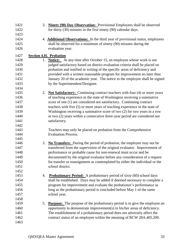| 1421<br>1422 |    | <b>Ninety (90) Day Observation:</b> Provisional Employees shall be observed<br>3.<br>for thirty (30) minutes in the first ninety (90) calendar days.               |
|--------------|----|--------------------------------------------------------------------------------------------------------------------------------------------------------------------|
| 1423         |    |                                                                                                                                                                    |
| 1424         |    | 4. <b>Additional Observations:</b> In the third year of provisional status, employees                                                                              |
| 1425<br>1426 |    | shall be observed for a minimum of ninety (90) minutes during the<br>evaluation year.                                                                              |
| 1427         |    | <b>Section 4.H. Probation</b>                                                                                                                                      |
| 1428         |    | <b>Notice:</b> At any time after October 15, an employee whose work is not<br>1.                                                                                   |
| 1429         |    | judged satisfactory based on district evaluation criteria shall be placed on                                                                                       |
| 1430<br>1431 |    | probation and notified in writing of the specific areas of deficiency and<br>provided with a written reasonable program for improvement no later than              |
| 1432         |    | January 20 of the academic year. The notice to the employee shall be signed                                                                                        |
| 1433         |    | by the Superintendent/Designee.                                                                                                                                    |
| 1434         |    |                                                                                                                                                                    |
| 1435<br>1436 |    | <b>Not Satisfactory:</b> Continuing contract teachers with four (4) or more years<br>2.<br>of teaching experience in the state of Washington receiving a summative |
| 1437         |    | score of one (1) are considered not satisfactory. Continuing contract                                                                                              |
| 1438         |    | teachers with five (5) or more years of teaching experience in the state of                                                                                        |
| 1439         |    | Washington receiving a summative score of two $(2)$ for two years in a row                                                                                         |
| 1440         |    | or two (2) years within a consecutive three-year period are considered not                                                                                         |
| 1441         |    | satisfactory.                                                                                                                                                      |
| 1442         |    |                                                                                                                                                                    |
| 1443         |    | Teachers may only be placed on probation from the Comprehensive                                                                                                    |
| 1444         |    | <b>Evaluation Process.</b>                                                                                                                                         |
| 1445         |    |                                                                                                                                                                    |
| 1446         |    | <b>No Transfers:</b> During the period of probation, the employee may not be<br>3.                                                                                 |
| 1447         |    | transferred from the supervision of the original evaluator. Improvement of                                                                                         |
| 1448         |    | performance or probable cause for non-renewal must occur and be                                                                                                    |
| 1449         |    | documented by the original evaluator before any consideration of a request                                                                                         |
| 1450         |    | for transfer or reassignment as contemplated by either the individual or the                                                                                       |
| 1451         |    | school district.                                                                                                                                                   |
| 1452         |    |                                                                                                                                                                    |
| 1453         | 4. | <b>Probationary Period:</b> A probationary period of sixty (60) school days                                                                                        |
| 1454         |    | shall be established. Days may be added if deemed necessary to complete a                                                                                          |
| 1455         |    | program for improvement and evaluate the probationer's performance as                                                                                              |
| 1456         |    | long as the probationary period is concluded before May 1 of the same                                                                                              |
| 1457         |    | school year.                                                                                                                                                       |
| 1458         |    |                                                                                                                                                                    |
| 1459         | 5. | <b>Purpose:</b> The purpose of the probationary period is to give the employee an                                                                                  |
| 1460         |    | opportunity to demonstrate improvement(s) in his/her areas of deficiency.                                                                                          |
| 1461         |    | The establishment of a probationary period does not adversely affect the                                                                                           |
| 1462         |    | contract status of an employee within the meaning of RCW 28A.405.200.                                                                                              |
| 1463         |    |                                                                                                                                                                    |
|              |    |                                                                                                                                                                    |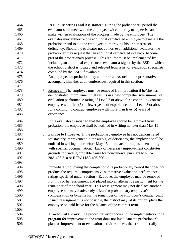| 1464 | 6. | <b>Regular Meetings and Assistance:</b> During the probationary period the        |
|------|----|-----------------------------------------------------------------------------------|
| 1465 |    | evaluator shall meet with the employee twice monthly to supervise and             |
| 1466 |    | make written evaluations of the progress made by the employee. The                |
| 1467 |    | evaluator may authorize one additional certificated employee to evaluate the      |
| 1468 |    | probationer and to aid the employee in improving his or her areas of              |
| 1469 |    | deficiency. Should the evaluator not authorize an additional evaluator, the       |
| 1470 |    | probationer may request that an additional certificated evaluator become          |
| 1471 |    | part of the probationary process. This request must be implemented by             |
| 1472 |    | including an additional experienced evaluator assigned by the ESD in which        |
| 1473 |    | the school district is located and selected from a list of evaluation specialists |
| 1474 |    | compiled by the ESD, if available.                                                |
| 1475 |    | An employee on probation may authorize an Association representative to           |
| 1476 |    | accompany him /her at all conferences required in this section.                   |
| 1477 |    |                                                                                   |
| 1478 | 7. | <b>Removal:</b> The employee must be removed from probation if he/she has         |
| 1479 |    | demonstrated improvement that results in a new comprehensive summative            |
| 1480 |    | evaluation performance rating of Level 2 or above for a continuing contract       |
| 1481 |    | employee with five (5) or fewer years of experience, or of Level 3 or above       |
| 1482 |    | for a continuing contract employee with more than five (5) years of               |
| 1483 |    | experience.                                                                       |
| 1484 |    | If the evaluator is satisfied that the employee should be removed from            |
| 1485 |    | probation, the employee shall be notified in writing no later than May 15.        |
| 1486 |    |                                                                                   |
| 1487 | 8. | <b>Failure to Improve:</b> If the probationary employee has not demonstrated      |
| 1488 |    | satisfactory improvement in the area(s) of deficiency, the employee shall be      |
| 1489 |    | notified in writing on or before May 15 of the lack of improvement along          |
| 1490 |    | with specific documentation. Lack of necessary improvement constitutes            |
| 1491 |    | grounds for finding probable cause for non-renewal pursuant to RCW                |
| 1492 |    | 28A.405.210 or RCW 118A.405.300.                                                  |
| 1493 |    |                                                                                   |
| 1494 |    | Immediately following the completion of a probationary period that does not       |
| 1495 |    | produce the required comprehensive summative evaluation performance               |
| 1496 |    | ratings specified under Section 4.E. above, the employee may be removed           |
| 1497 |    | from his or her assignment and placed into an alternative assignment for the      |
| 1498 |    | remainder of the school year. This reassignment may not displace another          |
| 1499 |    | employee nor may it adversely affect the probationary employee's                  |
| 1500 |    | compensation or benefits for the remainder of the employee's contract year.       |
| 1501 |    | If such reassignment is not possible, the district may, at its option, place the  |
| 1502 |    | employee on paid leave for the balance of the contract term.                      |
| 1503 |    |                                                                                   |
| 1504 | 9. | <b>Procedural Errors:</b> If a procedural error occurs in the implementation of a |
| 1505 |    | program for improvement, the error does not invalidate the probationer's          |
| 1506 |    | plan for improvement or evaluation activities unless the error materially         |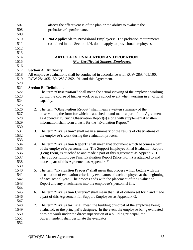| 1507 | affects the effectiveness of the plan or the ability to evaluate the            |                                                                                     |  |  |  |  |
|------|---------------------------------------------------------------------------------|-------------------------------------------------------------------------------------|--|--|--|--|
| 1508 | probationer's performance.                                                      |                                                                                     |  |  |  |  |
| 1509 |                                                                                 |                                                                                     |  |  |  |  |
| 1510 |                                                                                 | 10. Not Applicable to Provisional Employees: The probation requirements             |  |  |  |  |
| 1511 |                                                                                 | contained in this Section 4.H. do not apply to provisional employees.               |  |  |  |  |
| 1512 |                                                                                 |                                                                                     |  |  |  |  |
| 1513 |                                                                                 |                                                                                     |  |  |  |  |
| 1514 | <b>ARTICLE IV. EVALUATION AND PROBATION</b>                                     |                                                                                     |  |  |  |  |
| 1515 | (For Certificated Support Employees)                                            |                                                                                     |  |  |  |  |
| 1516 |                                                                                 |                                                                                     |  |  |  |  |
| 1517 | <b>Section A. Authority</b>                                                     |                                                                                     |  |  |  |  |
| 1518 | All employee evaluations shall be conducted in accordance with RCW 28A.405.100. |                                                                                     |  |  |  |  |
| 1519 | RCW 28a.405.150, WAC 392.191, and this Agreement.                               |                                                                                     |  |  |  |  |
| 1520 |                                                                                 |                                                                                     |  |  |  |  |
| 1521 |                                                                                 | <b>Section B. Definitions</b>                                                       |  |  |  |  |
| 1522 |                                                                                 | 1. The term "Observation" shall mean the actual viewing of the employee working     |  |  |  |  |
| 1523 |                                                                                 | during the course of his/her work or at a school event when working in an official  |  |  |  |  |
| 1524 |                                                                                 | capacity.                                                                           |  |  |  |  |
| 1525 |                                                                                 |                                                                                     |  |  |  |  |
| 1526 |                                                                                 | 2. The term "Observation Report" shall mean a written summary of the                |  |  |  |  |
| 1527 |                                                                                 | observation, the form for which is attached to and made a part of this Agreement    |  |  |  |  |
| 1528 |                                                                                 | as Appendix E. Such Observation Report(s) along with supplemental written           |  |  |  |  |
| 1529 |                                                                                 | information shall form a basis for the "Evaluation Report."                         |  |  |  |  |
| 1530 |                                                                                 |                                                                                     |  |  |  |  |
| 1531 | 3.                                                                              | The term "Evaluation" shall mean a summary of the results of observations of        |  |  |  |  |
| 1532 |                                                                                 | the employee's work during the evaluation process.                                  |  |  |  |  |
| 1533 |                                                                                 |                                                                                     |  |  |  |  |
| 1534 |                                                                                 | 4. The term "Evaluation Report" shall mean that document which becomes a part       |  |  |  |  |
| 1535 |                                                                                 | of the employee's personnel file. The Support Employee Final Evaluation Report      |  |  |  |  |
| 1536 |                                                                                 | (Long Form) is attached to and made a part of this Agreement as Appendix H.         |  |  |  |  |
| 1537 |                                                                                 | The Support Employee Final Evaluation Report (Short Form) is attached to and        |  |  |  |  |
| 1538 |                                                                                 | made a part of this Agreement as Appendix F.                                        |  |  |  |  |
| 1539 |                                                                                 |                                                                                     |  |  |  |  |
| 1540 |                                                                                 | 5. The term "Evaluation Process" shall mean that process which begins with the      |  |  |  |  |
| 1541 |                                                                                 | distribution of evaluation criteria by evaluators of each employee at the beginning |  |  |  |  |
| 1542 |                                                                                 | of each school year. The process ends with the placement of the Evaluation          |  |  |  |  |
| 1543 |                                                                                 | Report and any attachments into the employee's personnel file.                      |  |  |  |  |
| 1544 |                                                                                 |                                                                                     |  |  |  |  |
| 1545 | 6.                                                                              | The term "Evaluation Criteria" shall mean that list of criteria set forth and made  |  |  |  |  |
| 1546 |                                                                                 | a part of this Agreement for Support Employees as Appendix G.                       |  |  |  |  |
| 1547 |                                                                                 |                                                                                     |  |  |  |  |
| 1548 | 7.                                                                              | The term "Evaluator" shall mean the building principal of the employee being        |  |  |  |  |
| 1549 |                                                                                 | evaluated, or the principal's designee. In the event the employee being evaluated   |  |  |  |  |
| 1550 |                                                                                 | does not work under the direct supervision of a building principal, the             |  |  |  |  |
| 1551 |                                                                                 | Superintendent shall designate the evaluator.                                       |  |  |  |  |
| 1552 |                                                                                 |                                                                                     |  |  |  |  |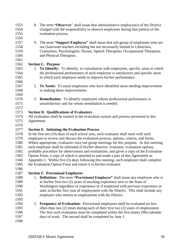- 8. The term **"Observer**" shall mean that administrative employee(s) of the District charged with the responsibility to observe employees during that portion of the evaluation process. 9. The term **"Support Employee"** shall mean that sub-group of employees who are not classroom teachers including but not necessarily limited to Librarians, Counselors, Psychologists, Nurses, Speech Therapists, Occupational Therapists, and Physical Therapists. **Section C. Purpose** 1. **To Identify:** To identify, in consultation with employees, specific areas in which the professional performance of each employee is satisfactory and specific areas in which each employee needs to improve his/her performance. 2. **To Assist:** To assist employees who have identified areas needing improvement in making those improvements. 3. **Remediation:** To identify employees whose professional performance is unsatisfactory and for whom remediation is needed. **Section D. Qualifications of Evaluators** All evaluators shall be trained in the evaluation system and process presented in this Agreement. **Section E. Initiating the Evaluation Process** In the first ten (10) days of each school year, each evaluator shall meet with each employee to review and discuss the evaluation process, options, criteria, and forms. Where appropriate, evaluators may use group meetings for this purpose. At this meeting each employee shall be informed of his/her observer, evaluator, evaluation options, probable procedure for observations and evaluations, and given a copy of the Evaluation Option Form, a copy of which is attached to and made a part of this Agreement as Appendix I. Within five (5) days following this meeting, each employee shall complete the Evaluation Option Form and return it to his/her evaluator. **Section F. Provisional Employees** 1. **Definition:** The term **"Provisional Employee"** shall mean any employee who is in his/her first two (2) years of teaching experience new to the State of
- Washington regardless of experience or if employed with previous experience in state in his/her first year of employment with the District. This shall include any employee who returns to employment with the District.
- 2. **Frequency of Evaluation:** Provisional employees shall be evaluated no less often than two (2) times during each of their first two (2) years of employment. The first such evaluation must be completed within the first ninety (90) calendar days of work. The second shall be completed by June 1.
-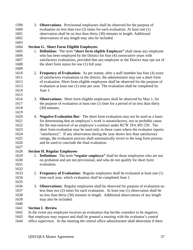| 1599 |    | 3. <b>Observations</b> : Provisional employees shall be observed for the purpose of         |
|------|----|---------------------------------------------------------------------------------------------|
| 1600 |    | evaluation no less than two $(2)$ times for each evaluation. At least one $(1)$             |
| 1601 |    | observation shall be no less than thirty (30) minutes in length. Additional                 |
| 1602 |    | observations of any length may also be included.                                            |
| 1603 |    |                                                                                             |
| 1604 |    | <b>Section G. Short Form Eligible Employees</b>                                             |
| 1605 |    | 1. Definition: The term "short form eligible Employee" shall mean any employee              |
| 1606 |    | who has been employed by the District for four (4) consecutive years with                   |
| 1607 |    | satisfactory evaluations, provided that any employee or the District may opt out of         |
| 1608 |    | the short form status for one (1) full year.                                                |
| 1609 |    |                                                                                             |
| 1610 |    | 2. Frequency of Evaluation: As per statute, after a staff member has four (4) years         |
| 1611 |    | of satisfactory evaluations in the district, the administrator may use a short form         |
| 1612 |    | of evaluation. Short form eligible employees shall be observed for the purpose of           |
| 1613 |    | evaluation at least one (1) time per year. The evaluation shall be completed by             |
| 1614 |    | June 1.                                                                                     |
| 1615 |    |                                                                                             |
| 1616 | 3. | <b>Observations:</b> Short form eligible employees shall be observed by May 1, for          |
| 1617 |    | the purpose of evaluation at least one (1) time for a period of no less than thirty         |
| 1618 |    | (30) minutes.                                                                               |
| 1619 |    |                                                                                             |
| 1620 |    | 4. Negative Evaluation Bar: The short form evaluation may not be used as a basis            |
| 1621 |    | for determining that an employee's work is unsatisfactory, nor as probable cause            |
| 1622 |    | for the non-renewal of an employee's contract under RCW 28A.405.220. The                    |
| 1623 |    | short form evaluation may be used only in those cases where the evaluator reports           |
| 1624 |    | "satisfactory". If any observation during the year shows less than satisfactory             |
| 1625 |    | ratings, the evaluation process shall automatically revert to the long form process         |
| 1626 |    | and be used to conclude the final evaluation.                                               |
| 1627 |    |                                                                                             |
| 1628 |    | <b>Section H. Regular Employees</b>                                                         |
| 1629 |    | 1. <b>Definition:</b> The term "regular employee" shall be those employees who are not      |
| 1630 |    | on probation and are not provisional, and who do not qualify for short form                 |
| 1631 |    | evaluation.                                                                                 |
| 1632 |    |                                                                                             |
| 1633 |    | 2. Frequency of Evaluation: Regular employees shall be evaluated at least one (1)           |
| 1634 |    | time each year, which evaluation shall be completed June 1.                                 |
| 1635 |    |                                                                                             |
| 1636 | 3. | <b>Observations:</b> Regular employees shall be observed for purpose of evaluation no       |
| 1637 |    | less than two $(2)$ times for each evaluation. At least one $(1)$ observation shall be      |
| 1638 |    | no less than thirty (30) minutes in length. Additional observations of any length           |
| 1639 |    | may also be included.                                                                       |
| 1640 |    |                                                                                             |
| 1641 |    | <b>Section I. Review</b>                                                                    |
| 1642 |    | In the event any employee receives an evaluation that he/she considers to be negative,      |
| 1643 |    | that employee may request and shall be granted a meeting with the evaluator's central       |
| 1644 |    | office supervisor. At the meeting the central office administrator shall determine if there |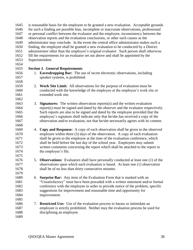| 1646<br>1647<br>1648<br>observation reports and the evaluation conclusions, or other such causes as the<br>1649<br>1650<br>1651<br>1652<br>fill the requirements for an evaluator set out above and shall be appointed by the<br>Superintendent.<br>1653<br>1654 | is reasonable basis for the employee to be granted a new evaluation. Acceptable grounds<br>for such a finding are possible bias, incomplete or inaccurate observations, professional<br>or personal conflict between the evaluator and the employee, inconsistency between the<br>administrator may conclude. In the event the central office administrator makes such a<br>finding, the employee shall be granted a new evaluation to be conducted by a District<br>administrator other than the employee's original evaluator. Such person shall otherwise |  |  |
|------------------------------------------------------------------------------------------------------------------------------------------------------------------------------------------------------------------------------------------------------------------|--------------------------------------------------------------------------------------------------------------------------------------------------------------------------------------------------------------------------------------------------------------------------------------------------------------------------------------------------------------------------------------------------------------------------------------------------------------------------------------------------------------------------------------------------------------|--|--|
| 1655<br><b>Section J. General Requirements</b>                                                                                                                                                                                                                   |                                                                                                                                                                                                                                                                                                                                                                                                                                                                                                                                                              |  |  |
| 1. Eavesdropping Bar: The use of secret electronic observations, including<br>1656<br>speaker systems, is prohibited.<br>1657                                                                                                                                    |                                                                                                                                                                                                                                                                                                                                                                                                                                                                                                                                                              |  |  |
| 1658                                                                                                                                                                                                                                                             |                                                                                                                                                                                                                                                                                                                                                                                                                                                                                                                                                              |  |  |
| 1659<br>2. Work Site Limit: All observations for the purpose of evaluation must be<br>conducted with the knowledge of the employee at the employee's work site or<br>1660                                                                                        |                                                                                                                                                                                                                                                                                                                                                                                                                                                                                                                                                              |  |  |
| 1661<br>extended work site.                                                                                                                                                                                                                                      |                                                                                                                                                                                                                                                                                                                                                                                                                                                                                                                                                              |  |  |
| 1662                                                                                                                                                                                                                                                             |                                                                                                                                                                                                                                                                                                                                                                                                                                                                                                                                                              |  |  |
| 1663<br>3.<br><b>Signatures:</b> The written observation reports $(s)$ and the written evaluation                                                                                                                                                                |                                                                                                                                                                                                                                                                                                                                                                                                                                                                                                                                                              |  |  |
| report(s) must be signed and dated by the observer and the evaluator respectively.<br>1664                                                                                                                                                                       |                                                                                                                                                                                                                                                                                                                                                                                                                                                                                                                                                              |  |  |
| 1665<br>Such reports are also to be signed and dated by the employee provided that the                                                                                                                                                                           |                                                                                                                                                                                                                                                                                                                                                                                                                                                                                                                                                              |  |  |
| employee's signature shall indicate only that he/she has received a copy of the<br>1666                                                                                                                                                                          |                                                                                                                                                                                                                                                                                                                                                                                                                                                                                                                                                              |  |  |
| observation and/or evaluation, not that he/she necessarily agrees with its content.<br>1667                                                                                                                                                                      |                                                                                                                                                                                                                                                                                                                                                                                                                                                                                                                                                              |  |  |
| 1668                                                                                                                                                                                                                                                             |                                                                                                                                                                                                                                                                                                                                                                                                                                                                                                                                                              |  |  |
| Copy and Response: A copy of each observation shall be given to the observed<br>1669<br>4.                                                                                                                                                                       |                                                                                                                                                                                                                                                                                                                                                                                                                                                                                                                                                              |  |  |
| employee within three (3) days of the observation. A copy of each evaluation<br>1670                                                                                                                                                                             |                                                                                                                                                                                                                                                                                                                                                                                                                                                                                                                                                              |  |  |
| shall be given to the employee at the time of the evaluation conference, which<br>1671                                                                                                                                                                           |                                                                                                                                                                                                                                                                                                                                                                                                                                                                                                                                                              |  |  |
|                                                                                                                                                                                                                                                                  |                                                                                                                                                                                                                                                                                                                                                                                                                                                                                                                                                              |  |  |
| shall be held before the last day of the school year. Employees may submit<br>1672                                                                                                                                                                               |                                                                                                                                                                                                                                                                                                                                                                                                                                                                                                                                                              |  |  |
| 1673<br>written comments concerning the report which shall be attached to the report in                                                                                                                                                                          |                                                                                                                                                                                                                                                                                                                                                                                                                                                                                                                                                              |  |  |
| 1674<br>the employee's file.                                                                                                                                                                                                                                     |                                                                                                                                                                                                                                                                                                                                                                                                                                                                                                                                                              |  |  |
| 1675                                                                                                                                                                                                                                                             |                                                                                                                                                                                                                                                                                                                                                                                                                                                                                                                                                              |  |  |
| 1676<br>5. <b>Observations:</b> Evaluators shall have personally conducted at least one (1) of the                                                                                                                                                               |                                                                                                                                                                                                                                                                                                                                                                                                                                                                                                                                                              |  |  |
| 1677<br>observations upon which each evaluation is based. At least one (1) observation                                                                                                                                                                           |                                                                                                                                                                                                                                                                                                                                                                                                                                                                                                                                                              |  |  |
| 1678<br>shall be of no less than thirty consecutive minutes.                                                                                                                                                                                                     |                                                                                                                                                                                                                                                                                                                                                                                                                                                                                                                                                              |  |  |
| 1679                                                                                                                                                                                                                                                             |                                                                                                                                                                                                                                                                                                                                                                                                                                                                                                                                                              |  |  |
| 1680<br>6. Surprise Bar: Any item of the Evaluation Form that is marked with an                                                                                                                                                                                  |                                                                                                                                                                                                                                                                                                                                                                                                                                                                                                                                                              |  |  |
| 1681<br>"Unsatisfactory" must have been preceded with a written statement and/or formal                                                                                                                                                                          |                                                                                                                                                                                                                                                                                                                                                                                                                                                                                                                                                              |  |  |
| 1682<br>conference with the employee in order to provide notice of the problem, specific                                                                                                                                                                         |                                                                                                                                                                                                                                                                                                                                                                                                                                                                                                                                                              |  |  |
| 1683<br>suggestions for improvement and reasonable time and opportunity for                                                                                                                                                                                      |                                                                                                                                                                                                                                                                                                                                                                                                                                                                                                                                                              |  |  |
| 1684<br>improvement.                                                                                                                                                                                                                                             |                                                                                                                                                                                                                                                                                                                                                                                                                                                                                                                                                              |  |  |
| 1685                                                                                                                                                                                                                                                             |                                                                                                                                                                                                                                                                                                                                                                                                                                                                                                                                                              |  |  |
|                                                                                                                                                                                                                                                                  |                                                                                                                                                                                                                                                                                                                                                                                                                                                                                                                                                              |  |  |
| 1686<br><b>Restricted Use:</b> Use of the evaluation process to harass or intimidate an<br>7.                                                                                                                                                                    |                                                                                                                                                                                                                                                                                                                                                                                                                                                                                                                                                              |  |  |
| 1687<br>employee is strictly prohibited. Neither may the evaluation process be used for                                                                                                                                                                          |                                                                                                                                                                                                                                                                                                                                                                                                                                                                                                                                                              |  |  |
| 1688<br>disciplining an employee.                                                                                                                                                                                                                                |                                                                                                                                                                                                                                                                                                                                                                                                                                                                                                                                                              |  |  |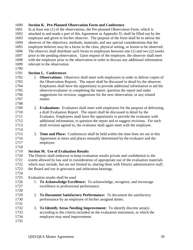#### **Section K. Pre-Planned Observation Form and Conference**

 In at least one (1) of the observations, the Pre-planned Observation Form, which is attached to and made a part of this Agreement as Appendix D, shall be filled out by the employee and given to his/her observer. The purpose of the form shall be to advise the observer of the objectives, methods, materials, and any special considerations that the employee believes may be a factor in the class, physical setting, or lesson to be observed. The observer shall distribute such forms to employees between one (1) and two (2) weeks prior to the pending observation. Upon request of the employee, the observer shall meet with the employee prior to the observation in order to discuss any additional information relevant to the observation.

## **Section L. Conferences**

- 1. **Observations:** Observers shall meet with employees in order to deliver copies of the Observation Reports. The report shall be discussed in detail by the observer. Employees shall have the opportunity to provide additional information to aid the observer/evaluator in completing the report, question the report and make suggestions for revision, suggestions for the next observation, or any related matter.
- 2. **Evaluations:** Evaluators shall meet with employees for the purpose of delivering a draft Evaluation Report. The report shall be discussed in detail by the Evaluator. Employees shall have the opportunity to provide the evaluator with additional information, to question the report and to suggest revisions. For each draft revision agreed to, the evaluator shall again meet with the employee.
- 3. **Time and Place:** Conferences shall be held within the time lines set out in this Agreement at times and places mutually determined by the evaluator and the employee.
- **Section M. Use of Evaluation Results**

 The District shall endeavor to keep evaluation results private and confidential to the extent allowed by law and in consideration of appropriate use of the evaluation materials which may include, but are not limited to, sharing them with District administrative staff, the Board and use in grievance and arbitration hearings.

#### Evaluation results shall be used

- 1. **To Acknowledge Excellence:** To acknowledge, recognize, and encourage excellence in professional performance.
- 2. **To Document Satisfactory Performance:** To document the satisfactory performance by an employee of his/her assigned duties.
- 3. **To Identify Areas Needing Improvement:** To identify discrete area(s) according to the criteria included on the evaluation instrument, in which the employee may need improvement.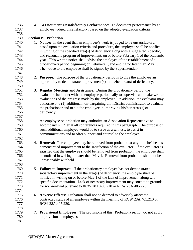| 1738<br>1739<br><b>Section N. Probation</b><br>1740<br>1. Notice: In the event that an employee's work is judged to be unsatisfactory,<br>based upon the evaluation criteria and procedure, the employee shall be notified<br>1741<br>in writing of the specified area(s) of deficiency along with a suggested, specific,<br>1742<br>1743<br>and reasonable program of improvement, on or before February 1 of the academic<br>1744<br>year. This written notice shall advise the employee of the establishment of a<br>probationary period beginning on February 1, and ending no later than May 1.<br>1745<br>The notice to the employee shall be signed by the Superintendent.<br>1746<br>1747<br>1748<br><b>Purpose:</b> The purpose of the probationary period is to give the employee an<br>2.<br>opportunity to demonstrate improvement(s) in his/her area(s) of deficiency.<br>1749<br>1750<br><b>Regular Meetings and Assistance:</b> During the probationary period, the<br>1751<br>3.<br>evaluator shall meet with the employee periodically to supervise and make written<br>1752<br>1753<br>evaluations of the progress made by the employee. In addition, the evaluator may<br>1754<br>authorize one (1) additional non-bargaining unit District administrator to evaluate<br>the probationer and to aid the employee in improving his/her areas(s) of<br>1755<br>1756<br>deficiency.<br>1757<br>1758<br>An employee on probation may authorize an Association Representative to<br>accompany him/her at all conferences required in this paragraph. The purpose of<br>1759<br>such additional employee would be to serve as a witness, to assist in<br>1760<br>communications and to offer support and counsel to the employee.<br>1761<br>1762<br>1763<br>4. <b>Removal:</b> The employee may be removed from probation at any time he/she has<br>demonstrated improvement to the satisfaction of the evaluator. If the evaluator is<br>1764<br>1765<br>satisfied that the employee should be removed from probation, the employee shall<br>be notified in writing no later than May 1. Removal from probation shall not be<br>1766<br>1767<br>unreasonably withheld.<br>1768<br>1769<br>5. Failure to Improve: If the probationary employee has not demonstrated<br>satisfactory improvement in the area(s) of deficiency, the employee shall be<br>1770<br>notified in writing on or before May 1 of the lack of improvement along with<br>1771<br>specific documentation. Lack of necessary improvement may constitute grounds<br>1772<br>for non-renewal pursuant to RCW 28A.405.210 or RCW 28A.405.220.<br>1773<br>1774<br>1775<br>Adverse Effects: Probation shall not be deemed to adversely affect the<br>6.<br>1776<br>contracted status of an employee within the meaning of RCW 28A.405.210 or<br>1777<br>RCW 28A.405.220.<br>1778<br>1779<br>7. Provisional Employees: The provisions of this (Probation) section do not apply<br>1780<br>to provisional employees.<br>1781 | 1736<br>1737 | 4. To Document Unsatisfactory Performance: To document performance by an<br>employee judged unsatisfactory, based on the adopted evaluation criteria. |
|---------------------------------------------------------------------------------------------------------------------------------------------------------------------------------------------------------------------------------------------------------------------------------------------------------------------------------------------------------------------------------------------------------------------------------------------------------------------------------------------------------------------------------------------------------------------------------------------------------------------------------------------------------------------------------------------------------------------------------------------------------------------------------------------------------------------------------------------------------------------------------------------------------------------------------------------------------------------------------------------------------------------------------------------------------------------------------------------------------------------------------------------------------------------------------------------------------------------------------------------------------------------------------------------------------------------------------------------------------------------------------------------------------------------------------------------------------------------------------------------------------------------------------------------------------------------------------------------------------------------------------------------------------------------------------------------------------------------------------------------------------------------------------------------------------------------------------------------------------------------------------------------------------------------------------------------------------------------------------------------------------------------------------------------------------------------------------------------------------------------------------------------------------------------------------------------------------------------------------------------------------------------------------------------------------------------------------------------------------------------------------------------------------------------------------------------------------------------------------------------------------------------------------------------------------------------------------------------------------------------------------------------------------------------------------------------------------------------------------------------------------------------------------------------------------------------------------------------------------------------------------------------------------------------------------------------------------------------------------------------------------|--------------|-------------------------------------------------------------------------------------------------------------------------------------------------------|
|                                                                                                                                                                                                                                                                                                                                                                                                                                                                                                                                                                                                                                                                                                                                                                                                                                                                                                                                                                                                                                                                                                                                                                                                                                                                                                                                                                                                                                                                                                                                                                                                                                                                                                                                                                                                                                                                                                                                                                                                                                                                                                                                                                                                                                                                                                                                                                                                                                                                                                                                                                                                                                                                                                                                                                                                                                                                                                                                                                                                         |              |                                                                                                                                                       |
|                                                                                                                                                                                                                                                                                                                                                                                                                                                                                                                                                                                                                                                                                                                                                                                                                                                                                                                                                                                                                                                                                                                                                                                                                                                                                                                                                                                                                                                                                                                                                                                                                                                                                                                                                                                                                                                                                                                                                                                                                                                                                                                                                                                                                                                                                                                                                                                                                                                                                                                                                                                                                                                                                                                                                                                                                                                                                                                                                                                                         |              |                                                                                                                                                       |
|                                                                                                                                                                                                                                                                                                                                                                                                                                                                                                                                                                                                                                                                                                                                                                                                                                                                                                                                                                                                                                                                                                                                                                                                                                                                                                                                                                                                                                                                                                                                                                                                                                                                                                                                                                                                                                                                                                                                                                                                                                                                                                                                                                                                                                                                                                                                                                                                                                                                                                                                                                                                                                                                                                                                                                                                                                                                                                                                                                                                         |              |                                                                                                                                                       |
|                                                                                                                                                                                                                                                                                                                                                                                                                                                                                                                                                                                                                                                                                                                                                                                                                                                                                                                                                                                                                                                                                                                                                                                                                                                                                                                                                                                                                                                                                                                                                                                                                                                                                                                                                                                                                                                                                                                                                                                                                                                                                                                                                                                                                                                                                                                                                                                                                                                                                                                                                                                                                                                                                                                                                                                                                                                                                                                                                                                                         |              |                                                                                                                                                       |
|                                                                                                                                                                                                                                                                                                                                                                                                                                                                                                                                                                                                                                                                                                                                                                                                                                                                                                                                                                                                                                                                                                                                                                                                                                                                                                                                                                                                                                                                                                                                                                                                                                                                                                                                                                                                                                                                                                                                                                                                                                                                                                                                                                                                                                                                                                                                                                                                                                                                                                                                                                                                                                                                                                                                                                                                                                                                                                                                                                                                         |              |                                                                                                                                                       |
|                                                                                                                                                                                                                                                                                                                                                                                                                                                                                                                                                                                                                                                                                                                                                                                                                                                                                                                                                                                                                                                                                                                                                                                                                                                                                                                                                                                                                                                                                                                                                                                                                                                                                                                                                                                                                                                                                                                                                                                                                                                                                                                                                                                                                                                                                                                                                                                                                                                                                                                                                                                                                                                                                                                                                                                                                                                                                                                                                                                                         |              |                                                                                                                                                       |
|                                                                                                                                                                                                                                                                                                                                                                                                                                                                                                                                                                                                                                                                                                                                                                                                                                                                                                                                                                                                                                                                                                                                                                                                                                                                                                                                                                                                                                                                                                                                                                                                                                                                                                                                                                                                                                                                                                                                                                                                                                                                                                                                                                                                                                                                                                                                                                                                                                                                                                                                                                                                                                                                                                                                                                                                                                                                                                                                                                                                         |              |                                                                                                                                                       |
|                                                                                                                                                                                                                                                                                                                                                                                                                                                                                                                                                                                                                                                                                                                                                                                                                                                                                                                                                                                                                                                                                                                                                                                                                                                                                                                                                                                                                                                                                                                                                                                                                                                                                                                                                                                                                                                                                                                                                                                                                                                                                                                                                                                                                                                                                                                                                                                                                                                                                                                                                                                                                                                                                                                                                                                                                                                                                                                                                                                                         |              |                                                                                                                                                       |
|                                                                                                                                                                                                                                                                                                                                                                                                                                                                                                                                                                                                                                                                                                                                                                                                                                                                                                                                                                                                                                                                                                                                                                                                                                                                                                                                                                                                                                                                                                                                                                                                                                                                                                                                                                                                                                                                                                                                                                                                                                                                                                                                                                                                                                                                                                                                                                                                                                                                                                                                                                                                                                                                                                                                                                                                                                                                                                                                                                                                         |              |                                                                                                                                                       |
|                                                                                                                                                                                                                                                                                                                                                                                                                                                                                                                                                                                                                                                                                                                                                                                                                                                                                                                                                                                                                                                                                                                                                                                                                                                                                                                                                                                                                                                                                                                                                                                                                                                                                                                                                                                                                                                                                                                                                                                                                                                                                                                                                                                                                                                                                                                                                                                                                                                                                                                                                                                                                                                                                                                                                                                                                                                                                                                                                                                                         |              |                                                                                                                                                       |
|                                                                                                                                                                                                                                                                                                                                                                                                                                                                                                                                                                                                                                                                                                                                                                                                                                                                                                                                                                                                                                                                                                                                                                                                                                                                                                                                                                                                                                                                                                                                                                                                                                                                                                                                                                                                                                                                                                                                                                                                                                                                                                                                                                                                                                                                                                                                                                                                                                                                                                                                                                                                                                                                                                                                                                                                                                                                                                                                                                                                         |              |                                                                                                                                                       |
|                                                                                                                                                                                                                                                                                                                                                                                                                                                                                                                                                                                                                                                                                                                                                                                                                                                                                                                                                                                                                                                                                                                                                                                                                                                                                                                                                                                                                                                                                                                                                                                                                                                                                                                                                                                                                                                                                                                                                                                                                                                                                                                                                                                                                                                                                                                                                                                                                                                                                                                                                                                                                                                                                                                                                                                                                                                                                                                                                                                                         |              |                                                                                                                                                       |
|                                                                                                                                                                                                                                                                                                                                                                                                                                                                                                                                                                                                                                                                                                                                                                                                                                                                                                                                                                                                                                                                                                                                                                                                                                                                                                                                                                                                                                                                                                                                                                                                                                                                                                                                                                                                                                                                                                                                                                                                                                                                                                                                                                                                                                                                                                                                                                                                                                                                                                                                                                                                                                                                                                                                                                                                                                                                                                                                                                                                         |              |                                                                                                                                                       |
|                                                                                                                                                                                                                                                                                                                                                                                                                                                                                                                                                                                                                                                                                                                                                                                                                                                                                                                                                                                                                                                                                                                                                                                                                                                                                                                                                                                                                                                                                                                                                                                                                                                                                                                                                                                                                                                                                                                                                                                                                                                                                                                                                                                                                                                                                                                                                                                                                                                                                                                                                                                                                                                                                                                                                                                                                                                                                                                                                                                                         |              |                                                                                                                                                       |
|                                                                                                                                                                                                                                                                                                                                                                                                                                                                                                                                                                                                                                                                                                                                                                                                                                                                                                                                                                                                                                                                                                                                                                                                                                                                                                                                                                                                                                                                                                                                                                                                                                                                                                                                                                                                                                                                                                                                                                                                                                                                                                                                                                                                                                                                                                                                                                                                                                                                                                                                                                                                                                                                                                                                                                                                                                                                                                                                                                                                         |              |                                                                                                                                                       |
|                                                                                                                                                                                                                                                                                                                                                                                                                                                                                                                                                                                                                                                                                                                                                                                                                                                                                                                                                                                                                                                                                                                                                                                                                                                                                                                                                                                                                                                                                                                                                                                                                                                                                                                                                                                                                                                                                                                                                                                                                                                                                                                                                                                                                                                                                                                                                                                                                                                                                                                                                                                                                                                                                                                                                                                                                                                                                                                                                                                                         |              |                                                                                                                                                       |
|                                                                                                                                                                                                                                                                                                                                                                                                                                                                                                                                                                                                                                                                                                                                                                                                                                                                                                                                                                                                                                                                                                                                                                                                                                                                                                                                                                                                                                                                                                                                                                                                                                                                                                                                                                                                                                                                                                                                                                                                                                                                                                                                                                                                                                                                                                                                                                                                                                                                                                                                                                                                                                                                                                                                                                                                                                                                                                                                                                                                         |              |                                                                                                                                                       |
|                                                                                                                                                                                                                                                                                                                                                                                                                                                                                                                                                                                                                                                                                                                                                                                                                                                                                                                                                                                                                                                                                                                                                                                                                                                                                                                                                                                                                                                                                                                                                                                                                                                                                                                                                                                                                                                                                                                                                                                                                                                                                                                                                                                                                                                                                                                                                                                                                                                                                                                                                                                                                                                                                                                                                                                                                                                                                                                                                                                                         |              |                                                                                                                                                       |
|                                                                                                                                                                                                                                                                                                                                                                                                                                                                                                                                                                                                                                                                                                                                                                                                                                                                                                                                                                                                                                                                                                                                                                                                                                                                                                                                                                                                                                                                                                                                                                                                                                                                                                                                                                                                                                                                                                                                                                                                                                                                                                                                                                                                                                                                                                                                                                                                                                                                                                                                                                                                                                                                                                                                                                                                                                                                                                                                                                                                         |              |                                                                                                                                                       |
|                                                                                                                                                                                                                                                                                                                                                                                                                                                                                                                                                                                                                                                                                                                                                                                                                                                                                                                                                                                                                                                                                                                                                                                                                                                                                                                                                                                                                                                                                                                                                                                                                                                                                                                                                                                                                                                                                                                                                                                                                                                                                                                                                                                                                                                                                                                                                                                                                                                                                                                                                                                                                                                                                                                                                                                                                                                                                                                                                                                                         |              |                                                                                                                                                       |
|                                                                                                                                                                                                                                                                                                                                                                                                                                                                                                                                                                                                                                                                                                                                                                                                                                                                                                                                                                                                                                                                                                                                                                                                                                                                                                                                                                                                                                                                                                                                                                                                                                                                                                                                                                                                                                                                                                                                                                                                                                                                                                                                                                                                                                                                                                                                                                                                                                                                                                                                                                                                                                                                                                                                                                                                                                                                                                                                                                                                         |              |                                                                                                                                                       |
|                                                                                                                                                                                                                                                                                                                                                                                                                                                                                                                                                                                                                                                                                                                                                                                                                                                                                                                                                                                                                                                                                                                                                                                                                                                                                                                                                                                                                                                                                                                                                                                                                                                                                                                                                                                                                                                                                                                                                                                                                                                                                                                                                                                                                                                                                                                                                                                                                                                                                                                                                                                                                                                                                                                                                                                                                                                                                                                                                                                                         |              |                                                                                                                                                       |
|                                                                                                                                                                                                                                                                                                                                                                                                                                                                                                                                                                                                                                                                                                                                                                                                                                                                                                                                                                                                                                                                                                                                                                                                                                                                                                                                                                                                                                                                                                                                                                                                                                                                                                                                                                                                                                                                                                                                                                                                                                                                                                                                                                                                                                                                                                                                                                                                                                                                                                                                                                                                                                                                                                                                                                                                                                                                                                                                                                                                         |              |                                                                                                                                                       |
|                                                                                                                                                                                                                                                                                                                                                                                                                                                                                                                                                                                                                                                                                                                                                                                                                                                                                                                                                                                                                                                                                                                                                                                                                                                                                                                                                                                                                                                                                                                                                                                                                                                                                                                                                                                                                                                                                                                                                                                                                                                                                                                                                                                                                                                                                                                                                                                                                                                                                                                                                                                                                                                                                                                                                                                                                                                                                                                                                                                                         |              |                                                                                                                                                       |
|                                                                                                                                                                                                                                                                                                                                                                                                                                                                                                                                                                                                                                                                                                                                                                                                                                                                                                                                                                                                                                                                                                                                                                                                                                                                                                                                                                                                                                                                                                                                                                                                                                                                                                                                                                                                                                                                                                                                                                                                                                                                                                                                                                                                                                                                                                                                                                                                                                                                                                                                                                                                                                                                                                                                                                                                                                                                                                                                                                                                         |              |                                                                                                                                                       |
|                                                                                                                                                                                                                                                                                                                                                                                                                                                                                                                                                                                                                                                                                                                                                                                                                                                                                                                                                                                                                                                                                                                                                                                                                                                                                                                                                                                                                                                                                                                                                                                                                                                                                                                                                                                                                                                                                                                                                                                                                                                                                                                                                                                                                                                                                                                                                                                                                                                                                                                                                                                                                                                                                                                                                                                                                                                                                                                                                                                                         |              |                                                                                                                                                       |
|                                                                                                                                                                                                                                                                                                                                                                                                                                                                                                                                                                                                                                                                                                                                                                                                                                                                                                                                                                                                                                                                                                                                                                                                                                                                                                                                                                                                                                                                                                                                                                                                                                                                                                                                                                                                                                                                                                                                                                                                                                                                                                                                                                                                                                                                                                                                                                                                                                                                                                                                                                                                                                                                                                                                                                                                                                                                                                                                                                                                         |              |                                                                                                                                                       |
|                                                                                                                                                                                                                                                                                                                                                                                                                                                                                                                                                                                                                                                                                                                                                                                                                                                                                                                                                                                                                                                                                                                                                                                                                                                                                                                                                                                                                                                                                                                                                                                                                                                                                                                                                                                                                                                                                                                                                                                                                                                                                                                                                                                                                                                                                                                                                                                                                                                                                                                                                                                                                                                                                                                                                                                                                                                                                                                                                                                                         |              |                                                                                                                                                       |
|                                                                                                                                                                                                                                                                                                                                                                                                                                                                                                                                                                                                                                                                                                                                                                                                                                                                                                                                                                                                                                                                                                                                                                                                                                                                                                                                                                                                                                                                                                                                                                                                                                                                                                                                                                                                                                                                                                                                                                                                                                                                                                                                                                                                                                                                                                                                                                                                                                                                                                                                                                                                                                                                                                                                                                                                                                                                                                                                                                                                         |              |                                                                                                                                                       |
|                                                                                                                                                                                                                                                                                                                                                                                                                                                                                                                                                                                                                                                                                                                                                                                                                                                                                                                                                                                                                                                                                                                                                                                                                                                                                                                                                                                                                                                                                                                                                                                                                                                                                                                                                                                                                                                                                                                                                                                                                                                                                                                                                                                                                                                                                                                                                                                                                                                                                                                                                                                                                                                                                                                                                                                                                                                                                                                                                                                                         |              |                                                                                                                                                       |
|                                                                                                                                                                                                                                                                                                                                                                                                                                                                                                                                                                                                                                                                                                                                                                                                                                                                                                                                                                                                                                                                                                                                                                                                                                                                                                                                                                                                                                                                                                                                                                                                                                                                                                                                                                                                                                                                                                                                                                                                                                                                                                                                                                                                                                                                                                                                                                                                                                                                                                                                                                                                                                                                                                                                                                                                                                                                                                                                                                                                         |              |                                                                                                                                                       |
|                                                                                                                                                                                                                                                                                                                                                                                                                                                                                                                                                                                                                                                                                                                                                                                                                                                                                                                                                                                                                                                                                                                                                                                                                                                                                                                                                                                                                                                                                                                                                                                                                                                                                                                                                                                                                                                                                                                                                                                                                                                                                                                                                                                                                                                                                                                                                                                                                                                                                                                                                                                                                                                                                                                                                                                                                                                                                                                                                                                                         |              |                                                                                                                                                       |
|                                                                                                                                                                                                                                                                                                                                                                                                                                                                                                                                                                                                                                                                                                                                                                                                                                                                                                                                                                                                                                                                                                                                                                                                                                                                                                                                                                                                                                                                                                                                                                                                                                                                                                                                                                                                                                                                                                                                                                                                                                                                                                                                                                                                                                                                                                                                                                                                                                                                                                                                                                                                                                                                                                                                                                                                                                                                                                                                                                                                         |              |                                                                                                                                                       |
|                                                                                                                                                                                                                                                                                                                                                                                                                                                                                                                                                                                                                                                                                                                                                                                                                                                                                                                                                                                                                                                                                                                                                                                                                                                                                                                                                                                                                                                                                                                                                                                                                                                                                                                                                                                                                                                                                                                                                                                                                                                                                                                                                                                                                                                                                                                                                                                                                                                                                                                                                                                                                                                                                                                                                                                                                                                                                                                                                                                                         |              |                                                                                                                                                       |
|                                                                                                                                                                                                                                                                                                                                                                                                                                                                                                                                                                                                                                                                                                                                                                                                                                                                                                                                                                                                                                                                                                                                                                                                                                                                                                                                                                                                                                                                                                                                                                                                                                                                                                                                                                                                                                                                                                                                                                                                                                                                                                                                                                                                                                                                                                                                                                                                                                                                                                                                                                                                                                                                                                                                                                                                                                                                                                                                                                                                         |              |                                                                                                                                                       |
|                                                                                                                                                                                                                                                                                                                                                                                                                                                                                                                                                                                                                                                                                                                                                                                                                                                                                                                                                                                                                                                                                                                                                                                                                                                                                                                                                                                                                                                                                                                                                                                                                                                                                                                                                                                                                                                                                                                                                                                                                                                                                                                                                                                                                                                                                                                                                                                                                                                                                                                                                                                                                                                                                                                                                                                                                                                                                                                                                                                                         |              |                                                                                                                                                       |
|                                                                                                                                                                                                                                                                                                                                                                                                                                                                                                                                                                                                                                                                                                                                                                                                                                                                                                                                                                                                                                                                                                                                                                                                                                                                                                                                                                                                                                                                                                                                                                                                                                                                                                                                                                                                                                                                                                                                                                                                                                                                                                                                                                                                                                                                                                                                                                                                                                                                                                                                                                                                                                                                                                                                                                                                                                                                                                                                                                                                         |              |                                                                                                                                                       |
|                                                                                                                                                                                                                                                                                                                                                                                                                                                                                                                                                                                                                                                                                                                                                                                                                                                                                                                                                                                                                                                                                                                                                                                                                                                                                                                                                                                                                                                                                                                                                                                                                                                                                                                                                                                                                                                                                                                                                                                                                                                                                                                                                                                                                                                                                                                                                                                                                                                                                                                                                                                                                                                                                                                                                                                                                                                                                                                                                                                                         |              |                                                                                                                                                       |
|                                                                                                                                                                                                                                                                                                                                                                                                                                                                                                                                                                                                                                                                                                                                                                                                                                                                                                                                                                                                                                                                                                                                                                                                                                                                                                                                                                                                                                                                                                                                                                                                                                                                                                                                                                                                                                                                                                                                                                                                                                                                                                                                                                                                                                                                                                                                                                                                                                                                                                                                                                                                                                                                                                                                                                                                                                                                                                                                                                                                         |              |                                                                                                                                                       |
|                                                                                                                                                                                                                                                                                                                                                                                                                                                                                                                                                                                                                                                                                                                                                                                                                                                                                                                                                                                                                                                                                                                                                                                                                                                                                                                                                                                                                                                                                                                                                                                                                                                                                                                                                                                                                                                                                                                                                                                                                                                                                                                                                                                                                                                                                                                                                                                                                                                                                                                                                                                                                                                                                                                                                                                                                                                                                                                                                                                                         |              |                                                                                                                                                       |
|                                                                                                                                                                                                                                                                                                                                                                                                                                                                                                                                                                                                                                                                                                                                                                                                                                                                                                                                                                                                                                                                                                                                                                                                                                                                                                                                                                                                                                                                                                                                                                                                                                                                                                                                                                                                                                                                                                                                                                                                                                                                                                                                                                                                                                                                                                                                                                                                                                                                                                                                                                                                                                                                                                                                                                                                                                                                                                                                                                                                         |              |                                                                                                                                                       |
|                                                                                                                                                                                                                                                                                                                                                                                                                                                                                                                                                                                                                                                                                                                                                                                                                                                                                                                                                                                                                                                                                                                                                                                                                                                                                                                                                                                                                                                                                                                                                                                                                                                                                                                                                                                                                                                                                                                                                                                                                                                                                                                                                                                                                                                                                                                                                                                                                                                                                                                                                                                                                                                                                                                                                                                                                                                                                                                                                                                                         |              |                                                                                                                                                       |
|                                                                                                                                                                                                                                                                                                                                                                                                                                                                                                                                                                                                                                                                                                                                                                                                                                                                                                                                                                                                                                                                                                                                                                                                                                                                                                                                                                                                                                                                                                                                                                                                                                                                                                                                                                                                                                                                                                                                                                                                                                                                                                                                                                                                                                                                                                                                                                                                                                                                                                                                                                                                                                                                                                                                                                                                                                                                                                                                                                                                         |              |                                                                                                                                                       |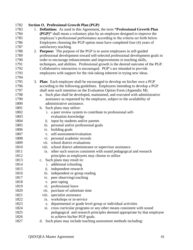| 1782 |    | Section O. Professional Growth Plan (PGP)                                         |
|------|----|-----------------------------------------------------------------------------------|
| 1783 |    | 1. Definition: As used in this Agreement, the term "Professional Growth Plan      |
| 1784 |    | (PGP)" shall mean a voluntary plan by an employee designed to improve the         |
| 1785 |    | employee's professional performance according to the criteria set forth below.    |
| 1786 |    | Employees choosing the PGP option must have completed four (4) years of           |
| 1787 |    | satisfactory teaching.                                                            |
| 1788 | 2. | <b>Purpose:</b> The purpose of the PGP is to assist employees in self-guided      |
| 1789 |    | professional development toward self-selected professional development goals in   |
| 1790 |    | order to encourage enhancements and improvements in teaching skills,              |
| 1791 |    | techniques, and abilities. Professional growth is the desired outcome of the PGP. |
| 1792 |    | Collaborative interaction is encouraged. PGP's are intended to provide            |
| 1793 |    | employees with support for the risk-taking inherent in trying new ideas.          |
| 1794 |    |                                                                                   |
| 1795 | 3. | <b>Plan:</b> Each employee shall be encouraged to develop on his/her own a PGP    |
| 1796 |    | according to the following guidelines. Employees intending to develop a PGP       |
| 1797 |    | shall note such intention on the Evaluation Option Form (Appendix M).             |
| 1798 |    | Such plan shall be developed, maintained, and executed with administrative<br>a.  |
| 1799 |    | assistance as requested by the employee, subject to the availability of           |
| 1800 |    | administrative assistance.                                                        |
| 1801 |    | b. Such plans may utilize:                                                        |
| 1802 |    | a peer review system to contribute to professional self-<br>i.                    |
| 1803 |    | evaluation knowledge                                                              |
| 1804 |    | input by students and/or parents<br>ii.                                           |
| 1805 |    | personal and/or professional goals<br>iii.                                        |
| 1806 |    | building goals<br>iv.                                                             |
| 1807 |    | self-assessment/evaluation<br>V.                                                  |
| 1808 |    | personal academic records<br>VI.                                                  |
| 1809 |    | school district evaluations<br>vii.                                               |
| 1810 |    | school district administrator or supervisor assistance.<br>viii.                  |
| 1811 |    | ix. other such sources consistent with sound pedagogical and research             |
| 1812 |    | principles as employees may choose to utilize                                     |
| 1813 |    | c. Such plans may result in:                                                      |
| 1814 |    | i. additional schooling                                                           |
| 1815 |    | independent research<br>ii.                                                       |
| 1816 |    | independent or group reading<br>iii.                                              |
| 1817 |    | peer observing/coaching<br>iv.                                                    |
| 1818 |    | peer taping<br>V.                                                                 |
| 1819 |    | professional leave<br>VI.                                                         |
| 1820 |    | purchase of substitute time<br>vii.                                               |
| 1821 |    | specialist assistance<br>viii.                                                    |
| 1822 |    | workshops or in-service<br>ix.                                                    |
| 1823 |    | departmental or grade level group or individual activities<br>X.                  |
| 1824 |    | cross curricular programs or any other means consistent with sound<br>xi.         |
| 1825 |    | pedagogical and research principles deemed appropriate by that employee           |
| 1826 |    | to achieve his/her PGP goals.                                                     |
| 1827 |    | d. Such plans may include teaching assessment methods including:                  |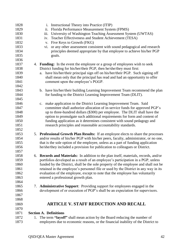| 1828 |    | Instructional Theory into Practice (ITIP)<br>$\mathbf{1}$ .                          |
|------|----|--------------------------------------------------------------------------------------|
| 1829 |    | Florida Performance Measurement System (FPMS)<br>ii.                                 |
| 1830 |    | iii.<br>University of Washington Teaching Assessment System (UWTAS)                  |
| 1831 |    | Teacher Effectiveness and Student Achievement (TESA)<br>iv.                          |
| 1832 |    | Five Keys to Growth (FKG)<br>${\bf V}$ .                                             |
| 1833 |    | or any other assessment consistent with sound pedagogical and research<br>vi.        |
| 1834 |    | principles deemed appropriate by that employee to achieve his/her PGP                |
| 1835 |    | goals.                                                                               |
| 1836 |    |                                                                                      |
| 1837 |    | 4. Funding: In the event the employee or a group of employees wish to seek           |
| 1838 |    | District funding for his/her/their PGP, then he/she/they must first:                 |
| 1839 |    | have his/her/their principal sign off on his/her/their PGP. Such signing off<br>a.   |
| 1840 |    | shall mean only that the principal has read and had an opportunity to offer          |
| 1841 |    | comment upon the employee's PGGP.                                                    |
| 1842 |    |                                                                                      |
| 1843 |    | b. have his/her/their building Learning Improvement Team recommend the plan          |
| 1844 |    | for funding to the District Learning Improvement Team (DLIT).                        |
| 1845 |    |                                                                                      |
| 1846 |    | c. make application to the District Learning Improvement Team. Said                  |
| 1847 |    | committee shall authorize allocation of in-service funds for approved PGP's          |
| 1848 |    | up to three-hundred dollars (\$300) per employee. The DLIT shall have the            |
| 1849 |    | option to promulgate such additional requirements for form and content of            |
| 1850 |    | funding application as it determines consistent with sound pedagogy and              |
| 1851 |    | research principles and reasonable accountability standards.                         |
| 1852 |    |                                                                                      |
| 1853 |    | 5. Professional Growth Plan Results: If an employee elects to share the processes    |
| 1854 |    | and/or results of his/her PGP with his/her peers, faculty, administrator, or no one, |
| 1855 |    | that is the sole option of the employee, unless as a part of funding application     |
| 1856 |    | he/she/they included a provision for publication to colleagues or District.          |
| 1857 |    |                                                                                      |
| 1858 |    | 6. Records and Materials: In addition to the plan itself, materials, records, and/or |
| 1859 |    | portfolios developed as a result of an employee's participation in a PGP, unless     |
| 1860 |    | funded by the District, shall be the sole property of the employee and shall not be  |
| 1861 |    | retained in the employee's personnel file or used by the District in any way in its  |
| 1862 |    | evaluation of the employee, except to note that the employee has voluntarily         |
| 1863 |    | entered a professional growth plan.                                                  |
| 1864 |    |                                                                                      |
| 1865 | 7. | <b>Administrative Support:</b> Providing support for employees engaged in the        |
| 1866 |    | development of or execution of PGP's shall be an expectation for supervisors.        |
| 1867 |    |                                                                                      |
| 1868 |    |                                                                                      |
| 1869 |    | <b>ARTICLE V. STAFF REDUCTION AND RECALL</b>                                         |
| 1870 |    |                                                                                      |
| 1871 |    | <b>Section A. Definitions</b>                                                        |
| 1872 |    | 1. The term "layoff" shall mean action by the Board reducing the number of           |
| 1873 |    | employees due to economic reasons, or the financial inability of the District to     |
|      |    |                                                                                      |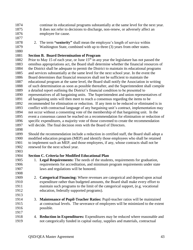- continue its educational programs substantially at the same level for the next year. It does not refer to decisions to discharge, non-renew, or adversely affect an
- 1876 employee for cause.
- 
- 

 2. The term **"seniority"** shall mean the employee's length of service within Washington State, combined with up to three (3) years from other states.

## **Section B. Board Determination of Program**

1882 Prior to May 15 of each year, or June  $15<sup>th</sup>$  in any year the legislature has not passed the omnibus appropriations act, the Board shall determine whether the financial resources of the District shall be adequate to permit the District to maintain its educational programs and services substantially at the same level for the next school year. In the event the Board determines that financial resources shall not be sufficient to maintain the educational program at the same level, the Board shall notify the Association in writing of such determination as soon as possible thereafter, and the Superintendent shall compile a detailed report outlining the District's financial condition to be presented to representatives of all bargaining units. The Superintendent and union representatives of all bargaining units will then meet to reach a consensus regarding the items to be recommended for elimination or reduction. If any item to be reduced or eliminated is in conflict with contractual language of any bargaining unit's contract, implementation may not occur without a consenting vote of the membership of that bargaining unit. In the event a consensus cannot be reached on a recommendation for elimination or reduction of specific expenditures, a majority vote of those convened to create the recommendation will decide. The final decision rests with the Board of Directors.

 Should the recommendation include a reduction in certified staff, the Board shall adopt a modified education program (MEP) and identify those employees who shall be retained to implement such an MEP, and those employees, if any, whose contracts shall not be renewed for the next school year.

## **Section C. Criteria for Modified Educational Plan**

- 1. **Legal Requirements:** The needs of the students, requirements for graduation, requirements for accreditation, and minimum program requirements under state laws and regulations will be honored.
- 2. **Categorical Financing:** Where revenues are categorical and depend upon actual expenditure rather than budgeted amounts, the Board shall make every effort to maintain such programs to the limit of the categorical support, (e.g. vocational education, federally supported programs).
- 3. **Maintenance of Pupil-Teacher Ratios:** Pupil-teacher ratios will be maintained at contractual levels. The severance of employees will be minimized to the extent possible.
- 4. **Reduction in Expenditures:** Expenditures may be reduced where reasonable and not categorically funded in capital outlay, supplies and materials, contractual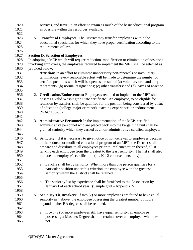| 1920<br>1921 |    | services, and travel in an effort to retain as much of the basic educational program<br>as possible within the resources available. |
|--------------|----|-------------------------------------------------------------------------------------------------------------------------------------|
| 1922         |    |                                                                                                                                     |
| 1923         |    | 5. Transfer of Employees: The District may transfer employees within the                                                            |
| 1924         |    | educational specialties for which they have proper certification according to the                                                   |
|              |    |                                                                                                                                     |
| 1925         |    | requirements of law.                                                                                                                |
| 1926         |    |                                                                                                                                     |
| 1927         |    | <b>Section D. Selection of Employees</b>                                                                                            |
| 1928         |    | In adopting a MEP which will require reduction, modification or elimination of positions                                            |
| 1929         |    | involving employees, the employees required to implement the MEP shall be selected as                                               |
| 1930         |    | provided below.                                                                                                                     |
| 1931         |    | 1. Attrition: In an effort to eliminate unnecessary non-renewals or involuntary                                                     |
| 1932         |    | terminations, every reasonable effort will be made to determine the number of                                                       |
| 1933         |    | certified positions which will be open as a result of (a) voluntary or mandatory                                                    |
| 1934         |    | retirements; (b) normal resignations; (c) other transfers: and (d) leaves of absence.                                               |
| 1935         |    |                                                                                                                                     |
| 1936         | 2. | Certification/Endorsement: Employees retained to implement the MEP shall                                                            |
| 1937         |    | possess a valid Washington State certificate. An employee, to be eligible for                                                       |
| 1938         |    | retention by transfer, shall be qualified for the position being considered by virtue                                               |
| 1939         |    | of education (college major or minor), teaching experience, or endorsement                                                          |
| 1940         |    | (WAC 180-85).                                                                                                                       |
| 1941         |    |                                                                                                                                     |
| 1942         | 3. | Administrative Personnel: In the implementation of the MEP, certified                                                               |
| 1943         |    | administrative personnel who are placed back into the bargaining unit shall be                                                      |
| 1944         |    | granted seniority which they earned as a non-administrative certified employee.                                                     |
| 1945         |    |                                                                                                                                     |
| 1946         |    | 4. Seniority: If it is necessary to give notice of non-renewal to employees because                                                 |
| 1947         |    | of the reduced or modified educational program of an MEP, the District shall                                                        |
| 1948         |    | prepare and distribute to all employees prior to implementation thereof, a list                                                     |
| 1949         |    | ranking each employee from the greatest to the least seniority. The list shall also                                                 |
| 1950         |    | include the employee's certification (i.e. K-12 endorsements only).                                                                 |
| 1951         |    |                                                                                                                                     |
| 1952         |    | a. Layoffs shall be by seniority. When more than one person qualifies for a                                                         |
| 1953         |    | particular position under this criterion, the employee with the greatest                                                            |
| 1954         |    | seniority within the District shall be retained.                                                                                    |
| 1955         |    |                                                                                                                                     |
| 1956         |    | b. The seniority list by experience shall be furnished to the Association by                                                        |
| 1957         |    | January 1 of each school year. (Sample grid – Appendix N)                                                                           |
| 1958         |    |                                                                                                                                     |
| 1959         | 5. | <b>Seniority Tie Breakers:</b> If two (2) or more employees are found to have equal                                                 |
| 1960         |    | seniority in 4 above, the employee possessing the greatest number of hours                                                          |
| 1961         |    | beyond his/her BA degree shall be retained.                                                                                         |
| 1962         |    |                                                                                                                                     |
| 1963         |    | If two (2) or more employees still have equal seniority, an employee<br>a.                                                          |
| 1964         |    | possessing a Master's Degree shall be retained over an employee who does                                                            |
| 1965         |    | not.                                                                                                                                |
|              |    |                                                                                                                                     |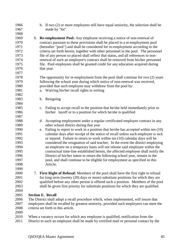- b. If two (2) or more employees still have equal seniority, the selection shall be made by "lot". 6. **Re-employment Pool:** Any employee receiving a notice of non-renewal of contract pursuant to these provisions shall be placed in a re-employment pool (hereafter "pool") and shall be considered for re-employment according to the criteria set forth herein, together with other personnel in the pool. The personnel file of any person so placed shall reflect that status, and all references to non- renewal of such an employee's contract shall be removed from his/her personnel file. Pool employees shall be granted credit for any education acquired during 1976 that year. The opportunity for re-employment from the pool shall continue for two (2) years following the school year during which notice of non-renewal was received, provided that such employee may withdraw from the pool by: a. Waiving his/her recall rights in writing b. Resigning c. Failing to accept recall to the position that he/she held immediately prior to his/her layoff or to a position for which he/she is qualified d. Accepting employment under a regular certificated employee contract in any other school district during that year e. Failing to report to work in a position that he/she has accepted within ten (10) calendar days after receipt of the notice of recall unless such employee is sick or injured. Failure to return to work within ten (10) calendar days will be considered the resignation of said teacher. In the event the district employing an employee on a temporary basis will not release said employee within the contractual time-line established herein, the affected employee shall notify the District of his/her intent to return the following school year, remain in the pool, and shall continue to be eligible for employment as specified in this Article. 7. **First Right of Refusal:** Members of the pool shall have the first right to refusal for long term (twenty (20) days or more) substitute positions for which they are qualified before any other person is offered such a position. Members of the pool shall be given first priority for substitute positions for which they are qualified. **Section E. Recall** The District shall adopt a recall procedure which, when implemented, will insure that employees shall be recalled by greatest seniority, provided such employees can meet the criteria set forth in this article. When a vacancy occurs for which any employee is qualified, notification from the
- District to such an employee shall be made by certified mail or personal contact by the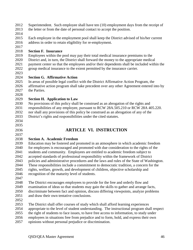- Superintendent. Such employee shall have ten (10) employment days from the receipt of
- the letter or from the date of personal contact to accept the position.
- 
- Each employee in the employment pool shall keep the District advised of his/her current address in order to retain eligibility for re-employment.
- 

## **Section F. Insurance**

 Employees within the pool may pay their total medical insurance premiums to the District and, in turn, the District shall forward the money to the appropriate medical payment center so that the employees and/or their dependents shall be included within the group medical insurance to the extent permitted by the insurance carrier.

## **Section G. Affirmative Action**

 In areas of possible legal conflict with the District Affirmative Action Program, the affirmative action program shall take precedent over any other Agreement entered into by 2027 the Parties.

## **Section H. Application to Law**

 No provisions of this policy shall be construed as an abrogation of the rights and responsibilities of any employee, pursuant to RCW 28A.505.210 or RCW 28A 405.220. nor shall any provisions of this policy be construed as an abrogation of any of the District's rights and responsibilities under the cited statutes.

- 
- 

# 

# **ARTICLE VI. INSTRUCTION**

## **Section A. Academic Freedom**

 Education may be fostered and promoted in an atmosphere in which academic freedom for employees is encouraged and promoted with due consideration to the rights of the students and community. Employees are entitled to academic freedom subject to accepted standards of professional responsibility within the framework of District policies and administrative procedures and the laws and rules of the State of Washington. These responsibilities include a commitment to democratic tradition, a concern for the rights, welfare, growth, and development of children, objective scholarship and recognition of the maturity level of students.

 The District encourages employees to provide for the free and orderly flow and examination of ideas so that students may gain the skills to gather and arrange facts, discriminate between fact and opinion, discuss differing viewpoints, analyze problems and draw their own tentative conclusions.

The District shall offer courses of study which shall afford learning experiences

appropriate to the level of student understanding. The instructional program shall respect

the right of students to face issues, to have free access to information, to study under

employees in situations free from prejudice and to form, hold, and express their own

opinions without personal prejudice or discrimination.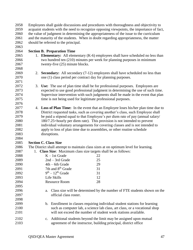Employees shall guide discussions and procedures with thoroughness and objectivity to acquaint students with the need to recognize opposing viewpoints, the importance of fact, the value of judgment in determining the appropriateness of the issue to the curriculum and the maturity of the students. When in doubt regarding appropriateness, the matter should be referred to the principal. 

#### **Section B. Preparation Time**

- 1. **Elementary:** All elementary (K-6) employees shall have scheduled no less than two hundred ten (210) minutes per week for planning purposes in minimum 2067 twenty-five (25) minute blocks.
- 2. **Secondary:** All secondary (7-12) employees shall have scheduled no less than one (1) class period per contract day for planning purposes.
- 3. **Use:** The use of plan time shall be for professional purposes. Employees are expected to use good professional judgment in determining the use of such time. Supervisor intervention with such judgments shall be made in the event that plan time is not being used for legitimate professional purposes.
- 4. **Loss of Plan Time:** In the event that an Employee loses his/her plan time due to District requested tasks, such as covering another's class, such Employee shall be paid a stipend equal to that Employee's per diem rate of pay (annual salary/ 180/7.25=hourly per diem rate). This provision is not intended to prevent individual voluntary arrangements for covering classes and is not intended to apply to loss of plan time due to assemblies, or other routine schedule disruptions.

#### **Section C. Class Size**

- The District shall attempt to maintain class sizes at on optimum level for learning.
- 1. **Class Size**: Maximum class size targets shall be as follows:

| 2088 | $K - 1st$ Grade                         | 22 |
|------|-----------------------------------------|----|
| 2089 | $2nd - 3rd$ Grade                       | 25 |
| 2090 | $4th - 6th$ Grade                       | 29 |
| 2091 | 7th and 8 <sup>th</sup> Grade           | 31 |
| 2092 | $9th - 12th$ Grade                      | 31 |
| 2093 | Life Skills                             | 12 |
| 2094 | <b>Resource Room</b>                    | 28 |
| 2095 |                                         |    |
| 2096 | a. Class size will be determined by the |    |
|      |                                         |    |

- 2096 a. Class shown on the number of FTE students shown on the official class roster.
- b. Enrollment in classes requiring individual student stations for learning such as computer lab, a science lab class, art class, or a vocational shop will not exceed the number of student work stations available.
- c. Additional students beyond the limit may be assigned upon mutual agreement of the instructor, building principal, district office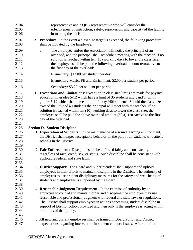| 2104<br>2105<br>2106                                         | representative and a QEA representative who will consider the<br>effectiveness of instruction, safety, supervision, and capacity of the facility<br>in making the decision.                                                                                                                                                                                                                                                                                                                                                                  |
|--------------------------------------------------------------|----------------------------------------------------------------------------------------------------------------------------------------------------------------------------------------------------------------------------------------------------------------------------------------------------------------------------------------------------------------------------------------------------------------------------------------------------------------------------------------------------------------------------------------------|
| 2107<br>2108                                                 | 2. Procedure: In the event a class size target is exceeded, the following procedure<br>shall be initiated by the Employee:                                                                                                                                                                                                                                                                                                                                                                                                                   |
| 2109<br>2110<br>2111<br>2112<br>2113                         | The employee and/or the Association will notify the principal of an<br>a.<br>overload, and the principal shall schedule a meeting with the teacher. If no<br>solution is reached within ten (10) working days to lower the class size,<br>the employee shall be paid the following overload amount retroactive to<br>the first day of the overload:                                                                                                                                                                                          |
| 2114                                                         | Elementary: \$13.00 per student per day                                                                                                                                                                                                                                                                                                                                                                                                                                                                                                      |
| 2115                                                         | Elementary Music, PE and Enrichment: \$2.50 per student per period                                                                                                                                                                                                                                                                                                                                                                                                                                                                           |
| 2116                                                         | Secondary: \$3.20 per student per period                                                                                                                                                                                                                                                                                                                                                                                                                                                                                                     |
| 2117<br>2118<br>2119<br>2120<br>2121<br>2122<br>2123<br>2124 | 3. Exceptions and Limitations: Exception in class size limits are made for physical<br>education in grades 5-12 which have a limit of 35 students and band/choir in<br>grades 5-12 which shall have a limit of forty (40) students. Should the class size<br>exceed the limit of 40 students the principal will meet with the teacher. If no<br>solution is reached within ten (10) working days to lower the class size, the<br>employee shall be paid the above overload amount $(\#2,a)$ retroactive to the first<br>day of the overload. |
| 2125                                                         | <b>Section D. Student Discipline</b>                                                                                                                                                                                                                                                                                                                                                                                                                                                                                                         |
| 2126<br>2127<br>2128                                         | 1. Expectation of Students: In the maintenance of a sound learning environment,<br>the District shall expect acceptable behavior on the part of all students who attend<br>schools in the District.                                                                                                                                                                                                                                                                                                                                          |
| 2129<br>2130<br>2131<br>2132<br>2133                         | 2. Fair Enforcement: Discipline shall be enforced fairly and consistently<br>regardless of race, creed, sex, or status. Such discipline shall be consistent with<br>applicable federal and state laws.                                                                                                                                                                                                                                                                                                                                       |
| 2134<br>2135<br>2136<br>2137<br>2138                         | 3. District Support: The Board and Superintendent shall support and uphold<br>employees in their efforts to maintain discipline in the District. The authority of<br>employees to use prudent disciplinary measures for the safety and well-being of<br>students and employees is supported by the Board.                                                                                                                                                                                                                                    |
| 2139<br>2140<br>2141<br>2142<br>2143<br>2144                 | 4. Reasonable Judgment Requirement: In the exercise of authority by an<br>employee to control and maintain order and discipline, the employee may use<br>reasonable and professional judgment with federal and state laws or regulations.<br>The District shall support employees in actions concerning student discipline in<br>support of District policy, provided and then only if the employee is acting within<br>the limits of that policy.                                                                                           |
| 2145<br>2146<br>2147                                         | 5. All new and current employees shall be trained in Board Policy and District<br>expectations regarding intervention in student conduct issues. After the first                                                                                                                                                                                                                                                                                                                                                                             |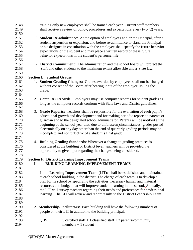| 2148 |    |                                  | training only new employees shall be trained each year. Current staff members          |
|------|----|----------------------------------|----------------------------------------------------------------------------------------|
| 2149 |    |                                  | shall receive a review of policy, procedures and expectations every two (2) years.     |
| 2150 |    |                                  |                                                                                        |
| 2151 |    |                                  | 6. Student Re-admittance: At the option of employees and/or the Principal, after a     |
| 2152 |    |                                  | student suspension or expulsion, and before re-admittance to class, the Principal      |
| 2153 |    |                                  | or his designee in consultation with the employee shall specify the future behavior    |
| 2154 |    |                                  | expectations of the student and may place a written record of these future             |
| 2155 |    |                                  | behavior expectations in the student's personnel file.                                 |
| 2156 |    |                                  |                                                                                        |
| 2157 |    |                                  | 7. District Commitment: The administration and the school board will protect the       |
| 2158 |    |                                  | staff and other students to the maximum extent allowable under State law.              |
| 2159 |    |                                  |                                                                                        |
| 2160 |    | <b>Section E. Student Grades</b> |                                                                                        |
| 2161 |    |                                  | 1. Student Grading Changes: Grades awarded by employees shall not be changed           |
| 2162 |    |                                  | without consent of the Board after hearing input of the employee issuing the           |
| 2163 |    | grade.                           |                                                                                        |
| 2164 |    |                                  |                                                                                        |
| 2165 | 2. |                                  | Computer Records: Employees may use computer records for student grades as             |
| 2166 |    |                                  | long as the computer records conform with State laws and District guidelines.          |
| 2167 |    |                                  |                                                                                        |
| 2168 | 3. |                                  | <b>Grade Reports:</b> Teachers shall be responsible for the evaluation of each pupil's |
| 2169 |    |                                  | educational growth and development and for making periodic reports to parents or       |
| 2170 |    |                                  | guardian and to the designated school administrator. Parents will be notified at the   |
| 2171 |    |                                  | beginning of the school year that, due to unforeseen circumstances, grades posted      |
| 2172 |    |                                  | electronically on any day other than the end of quarterly grading periods may be       |
| 2173 |    |                                  | incomplete and not reflective of a student's final grade.                              |
| 2174 |    |                                  |                                                                                        |
| 2175 |    |                                  | 4. Building Grading Standards: Whenever a change to grading practices is               |
| 2176 |    |                                  | considered at the building or District level, teachers will be provided the            |
| 2177 |    |                                  | opportunity to give input regarding the changes being considered.                      |
| 2178 |    |                                  |                                                                                        |
| 2179 |    |                                  | <b>Section F. District Learning Improvement Teams</b>                                  |
| 2180 | I. |                                  | <b>BUILDING LEARNING IMPROVEMENT TEAMS</b>                                             |
| 2181 |    |                                  |                                                                                        |
| 2182 |    | 1.                               | <b>Learning Improvement Team (LIT):</b> shall be established and maintained            |
| 2183 |    |                                  | at each school building in the district. The charge of each team is to develop a       |
| 2184 |    |                                  | plan for its school by specifying the activities, necessary human and material         |
| 2185 |    |                                  | resources and budget that will improve student learning in the school. Annually,       |
| 2186 |    |                                  | the LIT will survey teachers regarding their needs and preferences for professional    |
| 2187 |    |                                  | learning. The LIT will review and report results to the District Leadership Team.      |
| 2188 |    |                                  |                                                                                        |
| 2189 |    |                                  |                                                                                        |
| 2190 |    |                                  | 2. Membership/Facilitators: Each building will have the following numbers of           |
| 2191 |    |                                  | people on their LIT in addition to the building principal.                             |
| 2192 |    |                                  |                                                                                        |
| 2193 |    | <b>QHS</b>                       | 5 certified staff $+1$ classified staff $+2$ parents/community                         |
| 2194 |    |                                  | $members + 1 student$                                                                  |
|      |    |                                  |                                                                                        |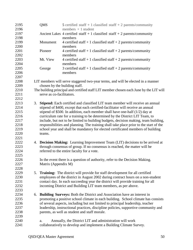| 2195 |    | <b>QMS</b>                    | 5 certified staff + 1 classified staff + 2 parents/community                           |
|------|----|-------------------------------|----------------------------------------------------------------------------------------|
| 2196 |    |                               | members $+1$ student                                                                   |
| 2197 |    |                               | Ancient Lakes 4 certified staff $+1$ classified staff $+2$ parents/community           |
| 2198 |    |                               | members                                                                                |
| 2199 |    | Monument                      | 4 certified staff + 1 classified staff + 2 parents/community                           |
| 2200 |    |                               | members                                                                                |
| 2201 |    | Pioneer                       | 4 certified staff + 1 classified staff + 2 parents/community                           |
| 2202 |    |                               | members                                                                                |
| 2203 |    | Mt. View                      | 4 certified staff + 1 classified staff + 2 parents/community                           |
| 2204 |    |                               | members                                                                                |
| 2205 |    | George                        | 3 certified staff + 1 classified staff + 2 parents/community                           |
| 2206 |    |                               | members                                                                                |
| 2207 |    |                               |                                                                                        |
| 2208 |    |                               | LIT members will serve staggered two-year terms, and will be elected in a manner       |
| 2209 |    | chosen by the building staff. |                                                                                        |
| 2210 |    |                               | The building principal and certified staff LIT member chosen each June by the LIT will |
| 2211 |    | serve as co-facilitators.     |                                                                                        |
| 2212 |    |                               |                                                                                        |
| 2213 | 3. |                               | Stipend: Each certified and classified LIT team member will receive an annual          |
| 2214 |    |                               | stipend of \$400, except that each certified-facilitator will receive an annual        |
| 2215 |    |                               | stipend of \$500. In addition, each member shall have one-half $(1/2)$ day at          |
| 2216 |    |                               | curriculum rate for a training to be determined by the District LIT Team, to           |
| 2217 |    |                               | include, but not to be limited to building budgets, decision making, team building,    |
| 2218 |    |                               | responsibilities and planning. The training shall take place prior to the start of the |
| 2219 |    |                               | school year and shall be mandatory for elected certificated members of building        |
| 2220 |    | teams.                        |                                                                                        |
| 2221 |    |                               |                                                                                        |
| 2222 |    |                               | 4. Decision Making: Learning Improvement Team (LIT) decisions to be arrived at         |
| 2223 |    |                               | through consensus of group. If no consensus is reached, the matter will be             |
| 2224 |    |                               | referred to the entire faculty for a vote.                                             |
| 2225 |    |                               |                                                                                        |
| 2226 |    |                               | In the event there is a question of authority, refer to the Decision Making.           |
| 2227 |    | Matrix (Appendix M)           |                                                                                        |
| 2228 |    |                               |                                                                                        |
| 2229 | 5. |                               | <b>Training:</b> The district will provide for staff development for all certified     |
| 2230 |    |                               | employees of the district in August 2002 during contract hours on a non-student        |
| 2231 |    |                               | contact day. In each succeeding year the district will provide training for all        |
| 2232 |    |                               | incoming District and Building LIT team members, as per above.                         |
| 2233 |    |                               |                                                                                        |
| 2234 | 6. |                               | <b>Building Surveys:</b> Both the District and Association have an interest in         |
| 2235 |    |                               | promoting a positive school climate in each building. School climate has consists      |
| 2236 |    |                               | of several aspects, including but not limited to principal leadership, teacher         |
| 2237 |    |                               | leadership, instructional practices, discipline policies, supportive community and     |
| 2238 |    |                               | parents, as well as student and staff morale.                                          |
| 2239 |    |                               |                                                                                        |
| 2240 |    | a.                            | Annually, the District LIT and administration will work                                |
| 2241 |    |                               | collaboratively to develop and implement a Building Climate Survey.                    |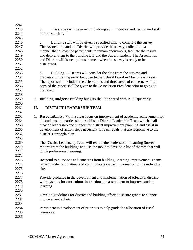| 2242 |    |                                                                                             |
|------|----|---------------------------------------------------------------------------------------------|
| 2243 |    | The survey will be given to building administrators and certificated staff<br>$\mathbf b$ . |
| 2244 |    | before March 1.                                                                             |
| 2245 |    |                                                                                             |
| 2246 |    | Building staff will be given a specified time to complete the survey.<br>c.                 |
| 2247 |    | The Association and the District will provide the survey, collect it in a                   |
| 2248 |    | manner that allows the participants to remain anonymous, tabulate the results               |
| 2249 |    | and deliver them to the building LIT and the Superintendent. The Association                |
| 2250 |    | and District will issue a joint statement when the survey is ready to be                    |
| 2251 |    | distributed.                                                                                |
| 2252 |    |                                                                                             |
| 2253 |    | Building LIT teams will consider the data from the surveys and<br>d.                        |
| 2254 |    | prepare a written report to be given to the School Board in May of each year.               |
| 2255 |    | The report shall include three celebrations and three areas of concern. A final             |
| 2256 |    | copy of the report shall be given to the Association President prior to going to            |
| 2257 |    | the Board.                                                                                  |
| 2258 |    |                                                                                             |
| 2259 | 7. | <b>Building Budgets:</b> Building budgets shall be shared with BLIT quarterly.              |
| 2260 |    |                                                                                             |
| 2261 | Π. | <b>DISTRICT LEADERSHIP TEAM</b>                                                             |
| 2262 |    |                                                                                             |
| 2263 | 1. | <b>Responsibility:</b> With a clear focus on improvement of academic achievement for        |
| 2264 |    | all students, the parties shall establish a District Leadership Team which shall            |
| 2265 |    | provide leadership and support for district improvement planning and assist in              |
| 2266 |    | development of action steps necessary to reach goals that are responsive to the             |
| 2267 |    | district's strategic plan.                                                                  |
| 2268 |    |                                                                                             |
| 2269 |    | The District Leadership Team will review the Professional Learning Survey                   |
| 2270 |    | reports from the buildings and use the input to develop a list of themes that will          |
| 2271 |    | guide professional learning.                                                                |
| 2272 |    |                                                                                             |
| 2273 |    | Respond to questions and concerns from building Learning Improvement Teams                  |
| 2274 |    | regarding district matters and communicate district information to the individual           |
| 2275 |    | sites.                                                                                      |
| 2276 |    |                                                                                             |
| 2277 |    | Provide guidance in the development and implementation of effective, district-              |
| 2278 |    | wide systems for curriculum, instruction and assessment to improve student                  |
| 2279 |    | learning.                                                                                   |
| 2280 |    |                                                                                             |
| 2281 |    | Develop guidelines for district and building efforts to secure grants to support            |
| 2282 |    | improvement efforts.                                                                        |
| 2283 |    |                                                                                             |
| 2284 |    | Participate in development of priorities to help guide the allocation of fiscal             |
| 2285 |    | resources.                                                                                  |
| 2286 |    |                                                                                             |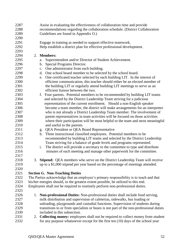| 2287<br>2288<br>2289 | Assist in evaluating the effectiveness of collaboration time and provide<br>recommendations regarding the collaboration schedule. (District Collaboration<br>Guidelines are found in Appendix O.) |
|----------------------|---------------------------------------------------------------------------------------------------------------------------------------------------------------------------------------------------|
| 2290                 |                                                                                                                                                                                                   |
| 2291                 | Engage in training as needed to support effective teamwork.                                                                                                                                       |
| 2292                 | Help establish a district plan for effective professional development.                                                                                                                            |
| 2293                 |                                                                                                                                                                                                   |
| 2294                 | 2. Members:                                                                                                                                                                                       |
| 2295                 | Superintendent and/or Director of Student Achievement.<br>a.                                                                                                                                      |
| 2296                 | Special Programs Director.<br>b.                                                                                                                                                                  |
| 2297                 | One administrator from each building.<br>c.                                                                                                                                                       |
| 2298                 | d. One school board member to be selected by the school board.                                                                                                                                    |
| 2299                 | One certificated teacher selected by each building LIT. In the interest of<br>e.                                                                                                                  |
| 2300                 | efficient communication, this teacher should either be an elected member of                                                                                                                       |
| 2301                 | the building LIT or regularly attend building LIT meetings to serve as an                                                                                                                         |
| 2302                 | efficient liaison between the two.                                                                                                                                                                |
| 2303                 | f. Four parents. Potential members to be recommended by building LIT teams                                                                                                                        |
| 2304                 | and selected by the District Leadership Team striving for a judicious                                                                                                                             |
| 2305                 | representation of the current enrollment. Should a non-English speaker                                                                                                                            |
| 2306                 | become a team member, the district will make arrangements for an interpreter                                                                                                                      |
| 2307                 | who is not already a District Leadership Team member. The involvement of                                                                                                                          |
| 2308                 | parent representatives in team activities will be focused on those activities                                                                                                                     |
| 2309                 | where their participation will be most helpful to the team and most meaningful                                                                                                                    |
| 2310                 | and useful to the parents.                                                                                                                                                                        |
| 2311                 | g. QEA President or QEA Board Representative                                                                                                                                                      |
| 2312                 | Three instructional classified employees. Potential members to be<br>h.                                                                                                                           |
| 2313                 | recommended by building LIT teams and selected by the District Leadership                                                                                                                         |
| 2314                 | Team striving for a balance of grade levels and programs represented.                                                                                                                             |
| 2315                 | The district will provide a secretary to the committee to type and distribute<br>i.                                                                                                               |
| 2316                 | minutes of each meeting and manage other paperwork for the committee.                                                                                                                             |
| 2317                 |                                                                                                                                                                                                   |
| 2318                 | 3. Stipend: QEA members who serve on the District Leadership Team will receive                                                                                                                    |
| 2319                 | up to a \$1,000 stipend per year based on the percentage of meetings attended.                                                                                                                    |
| 2320                 |                                                                                                                                                                                                   |
| 2321                 | <b>Section G. Non-Teaching Duties</b>                                                                                                                                                             |
| 2322                 | The Parties acknowledge that an employee's primary responsibility is to teach and that                                                                                                            |
| 2323                 | his/her energies should, to the greatest extent possible, be utilized to this end.                                                                                                                |
| 2324                 | Employees shall not be required to routinely perform non-professional duties.                                                                                                                     |
| 2325                 |                                                                                                                                                                                                   |
| 2326                 | 1. Non-professional Duties: Non-professional duties shall include food serving,                                                                                                                   |
| 2327                 | milk distribution and supervision of cafeterias, sidewalks, bus loading or                                                                                                                        |
| 2328                 | unloading, playgrounds and custodial functions. Supervision of students during                                                                                                                    |
| 2329                 | transitions to or from specialists or buses is not part of the non-professional duties                                                                                                            |
| 2330                 | included in this subsection.                                                                                                                                                                      |
| 2331                 | 2. Collecting money: employees shall not be required to collect money from student                                                                                                                |
| 2332                 | for any purpose whatsoever except for the first ten $(10)$ days of the school year                                                                                                                |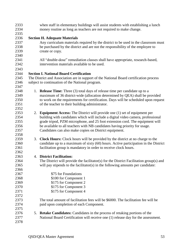when staff in elementary buildings will assist students with establishing a lunch money routine as long as teachers are not required to make change. **Section H. Adequate Materials** Any curriculum materials required by the district to be used in the classroom must be purchased by the district and are not the responsibility of the employee to create or copy. All "double-dose" remediation classes shall have appropriate, research-based, intervention materials available to be used. **Section I. National Board Certification** The District and Association are in support of the National Board certification process subject to continuation of the National program. 1. **Release Time:** Three (3) total days of release time per candidate up to a maximum of 36 district-wide (allocation determined by QEA) shall be provided to work on the requirements for certification. Days will be scheduled upon request of the teacher to their building administrator. 2. **Equipment Access:** The District will provide one (1) set of equipment per building with candidates which will include a digital video camera, professional grade tripod, PZM microphone, and 25 foot extension cord. The equipment will be available to all teachers with NB candidates having priority for usage. Candidates can also make copies on District equipment. 3. **Clock Hours:** Clock hours will be provided by the district at no charge to the candidate up to a maximum of sixty (60) hours. Active participation in the District facilitation group is mandatory in order to receive clock hours. 4. **District Facilitation:** 2364 The District will provide the facilitator(s) for the District Facilitation group(s) and will pay stipends to the facilitator(s) in the following amounts per candidate: 2367 \$75 for Foundations \$100 for Component 1 \$175 for Component 2 \$175 for Component 3 **\$175 for Component 4**  The total amount of facilitation fees will be \$6000. The facilitation fee will be paid upon completion of each Component. 5. **Retake Candidates:** Candidates in the process of retaking portions of the National Board Certification will receive one (1) release day for the assessment.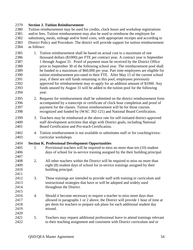#### **Section J. Tuition Reimbursement**

 Tuition reimbursement may be used for credits, clock hours and workshop registrations and/or fees. Tuition reimbursement may also be used to reimburse the employee for substitutes*,* meals, mileage and/or hotel costs, with appropriate receipts and according to District Policy and Procedure. The district will provide support for tuition reimbursement as follows:

- 1. Tuition reimbursement shall be based on actual cost to a maximum of one thousand dollars (\$1000) per FTE per contract year. A contract year is September 1 through August 31. Proof of payment must be received by the District Office prior to September 30 of the following school year. The reimbursement pool shall be funded to a maximum of \$60,000 per year. Part time employees are eligible for 2390 tuition reimbursement pro-rated to their FTE. After May 15 of the current school year, if there are still funds remaining in this pool, employees previously approved for reimbursement may re-apply for an addition amount of \$1000. Any funds unused by August 31 will be added to the tuition pool for the following year.
- 2. Requests for reimbursement shall be submitted on the district reimbursement form accompanied by a transcript or certificate of clock hour completion and proof of payment for the classes. Tuition reimbursement will be for those courses recognized and funded by (WAC 392-121) and National Board Certification.
- 3. Teachers may be reimbursed at the above rate for self-initiated district-approved staff development activities that align with District goals, including National Board Certification and Pro-teach Certification.
- 4. Tuition reimbursement is not available to substitutes staff or for coaching/extra-curricular workshops

#### **Section K. Professional Development Opportunities**

- 1. Provisional teachers will be required to miss no more than ten (10) student days of school for in-service training assigned by the their building principal.
- 2. All other teachers within the District will be required to miss no more than eight (8) student days of school for in-service trainings assigned by their building principal.
- 3. These trainings are intended to provide staff with training in curriculum and instructional strategies that have or will be adopted and widely used throughout the District.
- 4. Should it become necessary to require a teacher to miss more days than allowed in paragraphs 1 or 2 above, the District will provide 1 hour of time at per diem for teachers to prepare sub plans for each additional student day missed.
- 5. Teachers may request additional professional leave to attend trainings relevant to their teaching assignment and consistent with District curriculum and or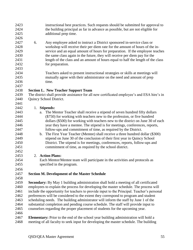| 2423 |    | instructional best practices. Such requests should be submitted for approval to             |
|------|----|---------------------------------------------------------------------------------------------|
| 2424 |    | the building principal as far in advance as possible, but are not eligible for              |
| 2425 |    | additional prep time.                                                                       |
| 2426 |    |                                                                                             |
| 2427 | 6. | Any employee asked to instruct a District sponsored in-service class or                     |
| 2428 |    | workshop will receive their per diem rate for the amount of hours of the in-                |
| 2429 |    |                                                                                             |
| 2430 |    | service and an equal amount of hours for preparation. If the employee teaches               |
|      |    | the same class again in the future, they will receive per diem pay for the                  |
| 2431 |    | length of the class and an amount of hours equal to half the length of the class            |
| 2432 |    | for preparation.                                                                            |
| 2433 |    |                                                                                             |
| 2434 |    | Teachers asked to present instructional strategies or skills at meetings will               |
| 2435 |    | mutually agree with their administrator on the need and amount of prep                      |
| 2436 |    | time.                                                                                       |
| 2437 |    |                                                                                             |
| 2438 |    | <b>Section L. New Teacher Support Team</b>                                                  |
| 2439 |    | The district shall provide assistance for all new certificated employee's and ESA hire's in |
| 2440 |    | Quincy School District.                                                                     |
| 2441 |    |                                                                                             |
| 2442 |    | 1. Stipends:                                                                                |
| 2443 | a. | The Mentor Teacher shall receive a stipend of seven hundred fifty dollars                   |
| 2444 |    | (\$750) for working with teachers new to the profession, or five hundred                    |
| 2445 |    | dollars (\$500) for working with teachers new to the district on June 30 of each            |
| 2446 |    | year they have a mentee. The stipend is for meetings, conferences, reports,                 |
| 2447 |    | follow-ups and commitment of time, as required by the District.                             |
| 2448 | b. | The First Year Teacher (Mentee) shall receive a three hundred dollar (\$300)                |
| 2449 |    | stipend on June 30 of the conclusion of their first year in Quincy School                   |
| 2450 |    | District. The stipend is for meetings, conferences, reports, follow-ups and                 |
| 2451 |    | commitment of time, as required by the school district.                                     |
| 2452 |    |                                                                                             |
| 2453 |    | 2. Action Plans:                                                                            |
| 2454 |    | Each Mentor/Mentee team will participate in the activities and protocols as                 |
| 2455 |    | specified in the program.                                                                   |
| 2456 |    |                                                                                             |
| 2457 |    | <b>Section M. Development of the Master Schedule</b>                                        |
| 2458 |    |                                                                                             |
| 2459 |    | Secondary: By May 1 building administration shall hold a meeting of all certificated        |
| 2460 |    | employees to explain the process for developing the master schedule. The process will       |
| 2461 |    | include the opportunity for teachers to provide input to the Principal. Teacher's personal  |
| 2462 |    | preferences will be considered to the extent they correspond to program and student         |
| 2463 |    | scheduling needs. The building administrator will inform the staff by June 1 of the         |
| 2464 |    | substantial completion and pending course schedule. The staff will provide input to         |
| 2465 |    | counselors regarding the proper placement of students for the upcoming year.                |
| 2466 |    |                                                                                             |
|      |    |                                                                                             |

**Elementary:** Prior to the end of the school year building administration will hold a meeting of all faculty to seek input for developing the master schedule. The building meeting of all faculty to seek input for developing the master schedule. The building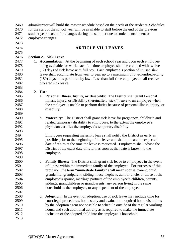| <b>ARTICLE VII. LEAVES</b><br>2475<br>2476<br><b>Section A. Sick Leave</b><br>2477<br>1. Accumulation: At the beginning of each school year and upon each employee<br>2478<br>being available for work, each full-time employee shall be credited with twelve<br>(12) days of sick leave with full pay. Each employee's portion of unused sick<br>2479<br>2480<br>leave shall accumulate from year to year up to a maximum of one-hundred-eighty<br>2481<br>(180) days or as permitted by law. Less than full-time employees shall receive<br>2482<br>prorated sick leave.<br>2483<br>2484<br>2. Use:<br>2485<br>a. Personal Illness, Injury, or Disability: The District shall grant Personal<br>Illness, Injury, or Disability (hereinafter, "sick") leave to an employee when<br>2486<br>the employee is unable to perform duties because of personal illness, injury, or<br>2487<br>disability.<br>b. Maternity: The District shall grant sick leave for pregnancy, childbirth and<br>related temporary disability to employees, to the extent the employee's<br>physician certifies the employee's temporary disability.<br>Employees requesting maternity leave shall notify the District as early as<br>possible prior to the beginning of the leave and shall indicate the expected<br>date of return at the time the leave is requested. Employees shall advise the<br>District of the exact date of return as soon as that date is known to the<br>2497<br>2498<br>employee.<br>2499<br>2500<br>c. Family Illness: The District shall grant sick leave to employees in the event<br>2501<br>of illness within the immediate family of the employee. For purposes of this<br>2502<br>provision, the term "immediate family" shall mean spouse, parent, child,<br>2503<br>grandchild, grandparent, sibling, niece, nephew, aunt or uncle, or those of the<br>2504<br>employee's spouse, marriage partners of the employee's children, parents,<br>2505<br>siblings, grandchildren or grandparents, any person living in the same<br>2506<br>household as the employee, or any dependent of the employee.<br>2507<br>2508<br><b>Adoption:</b> In the event of adoption, use of sick leave may include time for<br>d.<br>2509<br>court legal procedures, home study and evaluation, required home visitations<br>2510<br>by the adoption agent not possible to schedule outside of the regular working<br>2511<br>hours, and such additional activity as is required to make the immediate<br>2512<br>inclusion of the adopted child into the employee's household. | 2469<br>2470<br>2471<br>2472 | administrator will build the master schedule based on the needs of the students. Schedules<br>for the start of the school year will be available to staff before the end of the previous<br>student year, except for changes during the summer due to student enrollment or<br>employee changes. |  |  |
|---------------------------------------------------------------------------------------------------------------------------------------------------------------------------------------------------------------------------------------------------------------------------------------------------------------------------------------------------------------------------------------------------------------------------------------------------------------------------------------------------------------------------------------------------------------------------------------------------------------------------------------------------------------------------------------------------------------------------------------------------------------------------------------------------------------------------------------------------------------------------------------------------------------------------------------------------------------------------------------------------------------------------------------------------------------------------------------------------------------------------------------------------------------------------------------------------------------------------------------------------------------------------------------------------------------------------------------------------------------------------------------------------------------------------------------------------------------------------------------------------------------------------------------------------------------------------------------------------------------------------------------------------------------------------------------------------------------------------------------------------------------------------------------------------------------------------------------------------------------------------------------------------------------------------------------------------------------------------------------------------------------------------------------------------------------------------------------------------------------------------------------------------------------------------------------------------------------------------------------------------------------------------------------------------------------------------------------------------------------------------------------------------------------------------------------------------------------------------------------------------------------------------------------------------------------------------|------------------------------|--------------------------------------------------------------------------------------------------------------------------------------------------------------------------------------------------------------------------------------------------------------------------------------------------|--|--|
|                                                                                                                                                                                                                                                                                                                                                                                                                                                                                                                                                                                                                                                                                                                                                                                                                                                                                                                                                                                                                                                                                                                                                                                                                                                                                                                                                                                                                                                                                                                                                                                                                                                                                                                                                                                                                                                                                                                                                                                                                                                                                                                                                                                                                                                                                                                                                                                                                                                                                                                                                                           | 2473                         |                                                                                                                                                                                                                                                                                                  |  |  |
|                                                                                                                                                                                                                                                                                                                                                                                                                                                                                                                                                                                                                                                                                                                                                                                                                                                                                                                                                                                                                                                                                                                                                                                                                                                                                                                                                                                                                                                                                                                                                                                                                                                                                                                                                                                                                                                                                                                                                                                                                                                                                                                                                                                                                                                                                                                                                                                                                                                                                                                                                                           | 2474                         |                                                                                                                                                                                                                                                                                                  |  |  |
|                                                                                                                                                                                                                                                                                                                                                                                                                                                                                                                                                                                                                                                                                                                                                                                                                                                                                                                                                                                                                                                                                                                                                                                                                                                                                                                                                                                                                                                                                                                                                                                                                                                                                                                                                                                                                                                                                                                                                                                                                                                                                                                                                                                                                                                                                                                                                                                                                                                                                                                                                                           |                              |                                                                                                                                                                                                                                                                                                  |  |  |
|                                                                                                                                                                                                                                                                                                                                                                                                                                                                                                                                                                                                                                                                                                                                                                                                                                                                                                                                                                                                                                                                                                                                                                                                                                                                                                                                                                                                                                                                                                                                                                                                                                                                                                                                                                                                                                                                                                                                                                                                                                                                                                                                                                                                                                                                                                                                                                                                                                                                                                                                                                           |                              |                                                                                                                                                                                                                                                                                                  |  |  |
|                                                                                                                                                                                                                                                                                                                                                                                                                                                                                                                                                                                                                                                                                                                                                                                                                                                                                                                                                                                                                                                                                                                                                                                                                                                                                                                                                                                                                                                                                                                                                                                                                                                                                                                                                                                                                                                                                                                                                                                                                                                                                                                                                                                                                                                                                                                                                                                                                                                                                                                                                                           |                              |                                                                                                                                                                                                                                                                                                  |  |  |
|                                                                                                                                                                                                                                                                                                                                                                                                                                                                                                                                                                                                                                                                                                                                                                                                                                                                                                                                                                                                                                                                                                                                                                                                                                                                                                                                                                                                                                                                                                                                                                                                                                                                                                                                                                                                                                                                                                                                                                                                                                                                                                                                                                                                                                                                                                                                                                                                                                                                                                                                                                           |                              |                                                                                                                                                                                                                                                                                                  |  |  |
|                                                                                                                                                                                                                                                                                                                                                                                                                                                                                                                                                                                                                                                                                                                                                                                                                                                                                                                                                                                                                                                                                                                                                                                                                                                                                                                                                                                                                                                                                                                                                                                                                                                                                                                                                                                                                                                                                                                                                                                                                                                                                                                                                                                                                                                                                                                                                                                                                                                                                                                                                                           |                              |                                                                                                                                                                                                                                                                                                  |  |  |
|                                                                                                                                                                                                                                                                                                                                                                                                                                                                                                                                                                                                                                                                                                                                                                                                                                                                                                                                                                                                                                                                                                                                                                                                                                                                                                                                                                                                                                                                                                                                                                                                                                                                                                                                                                                                                                                                                                                                                                                                                                                                                                                                                                                                                                                                                                                                                                                                                                                                                                                                                                           |                              |                                                                                                                                                                                                                                                                                                  |  |  |
|                                                                                                                                                                                                                                                                                                                                                                                                                                                                                                                                                                                                                                                                                                                                                                                                                                                                                                                                                                                                                                                                                                                                                                                                                                                                                                                                                                                                                                                                                                                                                                                                                                                                                                                                                                                                                                                                                                                                                                                                                                                                                                                                                                                                                                                                                                                                                                                                                                                                                                                                                                           |                              |                                                                                                                                                                                                                                                                                                  |  |  |
|                                                                                                                                                                                                                                                                                                                                                                                                                                                                                                                                                                                                                                                                                                                                                                                                                                                                                                                                                                                                                                                                                                                                                                                                                                                                                                                                                                                                                                                                                                                                                                                                                                                                                                                                                                                                                                                                                                                                                                                                                                                                                                                                                                                                                                                                                                                                                                                                                                                                                                                                                                           |                              |                                                                                                                                                                                                                                                                                                  |  |  |
|                                                                                                                                                                                                                                                                                                                                                                                                                                                                                                                                                                                                                                                                                                                                                                                                                                                                                                                                                                                                                                                                                                                                                                                                                                                                                                                                                                                                                                                                                                                                                                                                                                                                                                                                                                                                                                                                                                                                                                                                                                                                                                                                                                                                                                                                                                                                                                                                                                                                                                                                                                           |                              |                                                                                                                                                                                                                                                                                                  |  |  |
|                                                                                                                                                                                                                                                                                                                                                                                                                                                                                                                                                                                                                                                                                                                                                                                                                                                                                                                                                                                                                                                                                                                                                                                                                                                                                                                                                                                                                                                                                                                                                                                                                                                                                                                                                                                                                                                                                                                                                                                                                                                                                                                                                                                                                                                                                                                                                                                                                                                                                                                                                                           |                              |                                                                                                                                                                                                                                                                                                  |  |  |
|                                                                                                                                                                                                                                                                                                                                                                                                                                                                                                                                                                                                                                                                                                                                                                                                                                                                                                                                                                                                                                                                                                                                                                                                                                                                                                                                                                                                                                                                                                                                                                                                                                                                                                                                                                                                                                                                                                                                                                                                                                                                                                                                                                                                                                                                                                                                                                                                                                                                                                                                                                           |                              |                                                                                                                                                                                                                                                                                                  |  |  |
|                                                                                                                                                                                                                                                                                                                                                                                                                                                                                                                                                                                                                                                                                                                                                                                                                                                                                                                                                                                                                                                                                                                                                                                                                                                                                                                                                                                                                                                                                                                                                                                                                                                                                                                                                                                                                                                                                                                                                                                                                                                                                                                                                                                                                                                                                                                                                                                                                                                                                                                                                                           |                              |                                                                                                                                                                                                                                                                                                  |  |  |
|                                                                                                                                                                                                                                                                                                                                                                                                                                                                                                                                                                                                                                                                                                                                                                                                                                                                                                                                                                                                                                                                                                                                                                                                                                                                                                                                                                                                                                                                                                                                                                                                                                                                                                                                                                                                                                                                                                                                                                                                                                                                                                                                                                                                                                                                                                                                                                                                                                                                                                                                                                           | 2488                         |                                                                                                                                                                                                                                                                                                  |  |  |
|                                                                                                                                                                                                                                                                                                                                                                                                                                                                                                                                                                                                                                                                                                                                                                                                                                                                                                                                                                                                                                                                                                                                                                                                                                                                                                                                                                                                                                                                                                                                                                                                                                                                                                                                                                                                                                                                                                                                                                                                                                                                                                                                                                                                                                                                                                                                                                                                                                                                                                                                                                           | 2489                         |                                                                                                                                                                                                                                                                                                  |  |  |
|                                                                                                                                                                                                                                                                                                                                                                                                                                                                                                                                                                                                                                                                                                                                                                                                                                                                                                                                                                                                                                                                                                                                                                                                                                                                                                                                                                                                                                                                                                                                                                                                                                                                                                                                                                                                                                                                                                                                                                                                                                                                                                                                                                                                                                                                                                                                                                                                                                                                                                                                                                           | 2490                         |                                                                                                                                                                                                                                                                                                  |  |  |
|                                                                                                                                                                                                                                                                                                                                                                                                                                                                                                                                                                                                                                                                                                                                                                                                                                                                                                                                                                                                                                                                                                                                                                                                                                                                                                                                                                                                                                                                                                                                                                                                                                                                                                                                                                                                                                                                                                                                                                                                                                                                                                                                                                                                                                                                                                                                                                                                                                                                                                                                                                           | 2491                         |                                                                                                                                                                                                                                                                                                  |  |  |
|                                                                                                                                                                                                                                                                                                                                                                                                                                                                                                                                                                                                                                                                                                                                                                                                                                                                                                                                                                                                                                                                                                                                                                                                                                                                                                                                                                                                                                                                                                                                                                                                                                                                                                                                                                                                                                                                                                                                                                                                                                                                                                                                                                                                                                                                                                                                                                                                                                                                                                                                                                           | 2492                         |                                                                                                                                                                                                                                                                                                  |  |  |
|                                                                                                                                                                                                                                                                                                                                                                                                                                                                                                                                                                                                                                                                                                                                                                                                                                                                                                                                                                                                                                                                                                                                                                                                                                                                                                                                                                                                                                                                                                                                                                                                                                                                                                                                                                                                                                                                                                                                                                                                                                                                                                                                                                                                                                                                                                                                                                                                                                                                                                                                                                           | 2493                         |                                                                                                                                                                                                                                                                                                  |  |  |
|                                                                                                                                                                                                                                                                                                                                                                                                                                                                                                                                                                                                                                                                                                                                                                                                                                                                                                                                                                                                                                                                                                                                                                                                                                                                                                                                                                                                                                                                                                                                                                                                                                                                                                                                                                                                                                                                                                                                                                                                                                                                                                                                                                                                                                                                                                                                                                                                                                                                                                                                                                           | 2494                         |                                                                                                                                                                                                                                                                                                  |  |  |
|                                                                                                                                                                                                                                                                                                                                                                                                                                                                                                                                                                                                                                                                                                                                                                                                                                                                                                                                                                                                                                                                                                                                                                                                                                                                                                                                                                                                                                                                                                                                                                                                                                                                                                                                                                                                                                                                                                                                                                                                                                                                                                                                                                                                                                                                                                                                                                                                                                                                                                                                                                           | 2495                         |                                                                                                                                                                                                                                                                                                  |  |  |
|                                                                                                                                                                                                                                                                                                                                                                                                                                                                                                                                                                                                                                                                                                                                                                                                                                                                                                                                                                                                                                                                                                                                                                                                                                                                                                                                                                                                                                                                                                                                                                                                                                                                                                                                                                                                                                                                                                                                                                                                                                                                                                                                                                                                                                                                                                                                                                                                                                                                                                                                                                           | 2496                         |                                                                                                                                                                                                                                                                                                  |  |  |
|                                                                                                                                                                                                                                                                                                                                                                                                                                                                                                                                                                                                                                                                                                                                                                                                                                                                                                                                                                                                                                                                                                                                                                                                                                                                                                                                                                                                                                                                                                                                                                                                                                                                                                                                                                                                                                                                                                                                                                                                                                                                                                                                                                                                                                                                                                                                                                                                                                                                                                                                                                           |                              |                                                                                                                                                                                                                                                                                                  |  |  |
|                                                                                                                                                                                                                                                                                                                                                                                                                                                                                                                                                                                                                                                                                                                                                                                                                                                                                                                                                                                                                                                                                                                                                                                                                                                                                                                                                                                                                                                                                                                                                                                                                                                                                                                                                                                                                                                                                                                                                                                                                                                                                                                                                                                                                                                                                                                                                                                                                                                                                                                                                                           |                              |                                                                                                                                                                                                                                                                                                  |  |  |
|                                                                                                                                                                                                                                                                                                                                                                                                                                                                                                                                                                                                                                                                                                                                                                                                                                                                                                                                                                                                                                                                                                                                                                                                                                                                                                                                                                                                                                                                                                                                                                                                                                                                                                                                                                                                                                                                                                                                                                                                                                                                                                                                                                                                                                                                                                                                                                                                                                                                                                                                                                           |                              |                                                                                                                                                                                                                                                                                                  |  |  |
|                                                                                                                                                                                                                                                                                                                                                                                                                                                                                                                                                                                                                                                                                                                                                                                                                                                                                                                                                                                                                                                                                                                                                                                                                                                                                                                                                                                                                                                                                                                                                                                                                                                                                                                                                                                                                                                                                                                                                                                                                                                                                                                                                                                                                                                                                                                                                                                                                                                                                                                                                                           |                              |                                                                                                                                                                                                                                                                                                  |  |  |
|                                                                                                                                                                                                                                                                                                                                                                                                                                                                                                                                                                                                                                                                                                                                                                                                                                                                                                                                                                                                                                                                                                                                                                                                                                                                                                                                                                                                                                                                                                                                                                                                                                                                                                                                                                                                                                                                                                                                                                                                                                                                                                                                                                                                                                                                                                                                                                                                                                                                                                                                                                           |                              |                                                                                                                                                                                                                                                                                                  |  |  |
|                                                                                                                                                                                                                                                                                                                                                                                                                                                                                                                                                                                                                                                                                                                                                                                                                                                                                                                                                                                                                                                                                                                                                                                                                                                                                                                                                                                                                                                                                                                                                                                                                                                                                                                                                                                                                                                                                                                                                                                                                                                                                                                                                                                                                                                                                                                                                                                                                                                                                                                                                                           |                              |                                                                                                                                                                                                                                                                                                  |  |  |
|                                                                                                                                                                                                                                                                                                                                                                                                                                                                                                                                                                                                                                                                                                                                                                                                                                                                                                                                                                                                                                                                                                                                                                                                                                                                                                                                                                                                                                                                                                                                                                                                                                                                                                                                                                                                                                                                                                                                                                                                                                                                                                                                                                                                                                                                                                                                                                                                                                                                                                                                                                           |                              |                                                                                                                                                                                                                                                                                                  |  |  |
|                                                                                                                                                                                                                                                                                                                                                                                                                                                                                                                                                                                                                                                                                                                                                                                                                                                                                                                                                                                                                                                                                                                                                                                                                                                                                                                                                                                                                                                                                                                                                                                                                                                                                                                                                                                                                                                                                                                                                                                                                                                                                                                                                                                                                                                                                                                                                                                                                                                                                                                                                                           |                              |                                                                                                                                                                                                                                                                                                  |  |  |
|                                                                                                                                                                                                                                                                                                                                                                                                                                                                                                                                                                                                                                                                                                                                                                                                                                                                                                                                                                                                                                                                                                                                                                                                                                                                                                                                                                                                                                                                                                                                                                                                                                                                                                                                                                                                                                                                                                                                                                                                                                                                                                                                                                                                                                                                                                                                                                                                                                                                                                                                                                           |                              |                                                                                                                                                                                                                                                                                                  |  |  |
|                                                                                                                                                                                                                                                                                                                                                                                                                                                                                                                                                                                                                                                                                                                                                                                                                                                                                                                                                                                                                                                                                                                                                                                                                                                                                                                                                                                                                                                                                                                                                                                                                                                                                                                                                                                                                                                                                                                                                                                                                                                                                                                                                                                                                                                                                                                                                                                                                                                                                                                                                                           |                              |                                                                                                                                                                                                                                                                                                  |  |  |
|                                                                                                                                                                                                                                                                                                                                                                                                                                                                                                                                                                                                                                                                                                                                                                                                                                                                                                                                                                                                                                                                                                                                                                                                                                                                                                                                                                                                                                                                                                                                                                                                                                                                                                                                                                                                                                                                                                                                                                                                                                                                                                                                                                                                                                                                                                                                                                                                                                                                                                                                                                           |                              |                                                                                                                                                                                                                                                                                                  |  |  |
|                                                                                                                                                                                                                                                                                                                                                                                                                                                                                                                                                                                                                                                                                                                                                                                                                                                                                                                                                                                                                                                                                                                                                                                                                                                                                                                                                                                                                                                                                                                                                                                                                                                                                                                                                                                                                                                                                                                                                                                                                                                                                                                                                                                                                                                                                                                                                                                                                                                                                                                                                                           |                              |                                                                                                                                                                                                                                                                                                  |  |  |
|                                                                                                                                                                                                                                                                                                                                                                                                                                                                                                                                                                                                                                                                                                                                                                                                                                                                                                                                                                                                                                                                                                                                                                                                                                                                                                                                                                                                                                                                                                                                                                                                                                                                                                                                                                                                                                                                                                                                                                                                                                                                                                                                                                                                                                                                                                                                                                                                                                                                                                                                                                           |                              |                                                                                                                                                                                                                                                                                                  |  |  |
|                                                                                                                                                                                                                                                                                                                                                                                                                                                                                                                                                                                                                                                                                                                                                                                                                                                                                                                                                                                                                                                                                                                                                                                                                                                                                                                                                                                                                                                                                                                                                                                                                                                                                                                                                                                                                                                                                                                                                                                                                                                                                                                                                                                                                                                                                                                                                                                                                                                                                                                                                                           |                              |                                                                                                                                                                                                                                                                                                  |  |  |
|                                                                                                                                                                                                                                                                                                                                                                                                                                                                                                                                                                                                                                                                                                                                                                                                                                                                                                                                                                                                                                                                                                                                                                                                                                                                                                                                                                                                                                                                                                                                                                                                                                                                                                                                                                                                                                                                                                                                                                                                                                                                                                                                                                                                                                                                                                                                                                                                                                                                                                                                                                           |                              |                                                                                                                                                                                                                                                                                                  |  |  |
|                                                                                                                                                                                                                                                                                                                                                                                                                                                                                                                                                                                                                                                                                                                                                                                                                                                                                                                                                                                                                                                                                                                                                                                                                                                                                                                                                                                                                                                                                                                                                                                                                                                                                                                                                                                                                                                                                                                                                                                                                                                                                                                                                                                                                                                                                                                                                                                                                                                                                                                                                                           | 2513                         |                                                                                                                                                                                                                                                                                                  |  |  |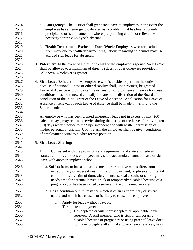| 2514<br>2515 | e. Emergency: The District shall grant sick leave to employees in the event the<br>employee has an emergency, defined as, a problem that has been suddenly |
|--------------|------------------------------------------------------------------------------------------------------------------------------------------------------------|
| 2516         | precipitated or is unplanned; or where pre-planning could not relieve the                                                                                  |
| 2517         | necessity for the employee's absence.                                                                                                                      |
| 2518         |                                                                                                                                                            |
| 2519         | Health Department Exclusion From Work: Employees who are excluded<br>f.                                                                                    |
| 2520         | from work due to health department regulations regarding epidemics may use                                                                                 |
| 2521         | accrued sick leave for absences.                                                                                                                           |
| 2522         |                                                                                                                                                            |
| 2523         | 3. Paternity: In the event of a birth of a child of the employee's spouse, Sick Leave                                                                      |
| 2524         | shall be allowed to a maximum of three (3) days, or as is otherwise provided in                                                                            |
| 2525         | "c" above, whichever is greater.                                                                                                                           |
| 2526         |                                                                                                                                                            |
| 2527         | 4. Sick Leave Exhaustion: An employee who is unable to perform the duties                                                                                  |
| 2528         | because of personal illness or other disability shall, upon request, be granted                                                                            |
| 2529         | Leave of Absence without pay at the exhaustion of Sick Leave. Leaves for these                                                                             |
| 2530         | conditions must be renewed annually and are at the discretion of the Board at the                                                                          |
| 2531         | conclusion of the initial grant of the Leave of Absence. Application for Leave of                                                                          |
| 2532         | Absence or renewal of such Leave of Absence shall be made in writing to the                                                                                |
| 2533         | Superintendent.                                                                                                                                            |
| 2534         |                                                                                                                                                            |
| 2535         | An employee who has been granted emergency leave not in excess of sixty (60)                                                                               |
| 2536         | calendar days, may return to service during the period of the leave after giving ten                                                                       |
| 2537         | (10) days written notice to the Superintendent and with written permission of                                                                              |
| 2538         | his/her personal physician. Upon return, the employee shall be given conditions                                                                            |
| 2539         |                                                                                                                                                            |
| 2540         | of employment equal to his/her former position.                                                                                                            |
|              |                                                                                                                                                            |
| 2541         | 5. Sick Leave Sharing:                                                                                                                                     |
| 2542         |                                                                                                                                                            |
| 2543         | Consistent with the provisions and requirements of state and federal<br>1.                                                                                 |
| 2544<br>2545 | statutes and this contract, employees may share accumulated annual leave or sick                                                                           |
|              | leave with another employee who:                                                                                                                           |
| 2546         | a. Suffers from, or has a household member or relative who suffers from an                                                                                 |
| 2547         | extraordinary or severe illness, injury or impairment, or physical or mental                                                                               |
| 2548         | condition; is a victim of domestic violence, sexual assault, or stalking;                                                                                  |
| 2549         | needs time for parental leave; is sick or temporarily disabled because of a                                                                                |
| 2550         | pregnancy; or has been called to service in the uniformed services.                                                                                        |
|              |                                                                                                                                                            |
| 2551         | b. Has a condition or circumstance which is of an extraordinary or severe                                                                                  |
| 2552         | nature and which has caused, or is likely to cause, the employee to:                                                                                       |
| 2553         | Apply for leave without pay, or;<br>i.                                                                                                                     |
| 2554         | ii.<br>Terminate employment:                                                                                                                               |
| 2555         | 1) Has depleted or will shortly deplete all applicable leave                                                                                               |
| 2556         | reserves. A staff member who is sick or temporarily                                                                                                        |
| 2557         | disabled because of pregnancy or using parental leave does                                                                                                 |
| 2558         | not have to deplete all annual and sick leave reserves; he or                                                                                              |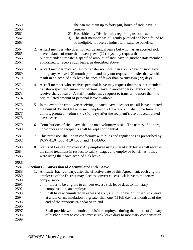| 2559<br>2560<br>2561<br>2562<br>2563                                                 |    | she can maintain up to forty (40) hours of sick leave in<br>reserve.<br>2) Has abided by District rules regarding use of leave.<br>The staff member has diligently pursued and been found to<br>3)<br>be ineligible to receive industrial insurance benefits.                                                                                                                                                                                                                                                                                                            |
|--------------------------------------------------------------------------------------|----|--------------------------------------------------------------------------------------------------------------------------------------------------------------------------------------------------------------------------------------------------------------------------------------------------------------------------------------------------------------------------------------------------------------------------------------------------------------------------------------------------------------------------------------------------------------------------|
| 2564<br>2565<br>2566<br>2567                                                         |    | 2. A staff member who does not accrue annual leave but who has an accrued sick<br>leave balance of more than twenty-two (22) days may request that the<br>Superintendent transfer a specified amount of sick leave to another staff member<br>authorized to receive such leave, as described above.                                                                                                                                                                                                                                                                      |
| 2568<br>2569<br>2570                                                                 |    | 3. A staff member may request to transfer no more than six (6) days of sick leave<br>during any twelve (12) month period and may not request a transfer that would<br>result in an accrued sick leave balance of fewer than twenty-two (22) days.                                                                                                                                                                                                                                                                                                                        |
| 2571<br>2572<br>2573<br>2574                                                         | 4. | A staff member who receives personal leave may request that the superintendent<br>transfer a specified amount of personal leave to another person authorized to<br>receive shared leave. A staff member may request to transfer no more than the<br>accumulated amount of personal leave available.                                                                                                                                                                                                                                                                      |
| 2575<br>2576<br>2577<br>2578                                                         | 5. | In the event the employee receiving donated leave does not use all leave donated,<br>the unused donated leave in such employee's leave account shall be returned to<br>donors, prorated, within sixty (60) days after the recipient's use of accumulated<br>leave ceases.                                                                                                                                                                                                                                                                                                |
| 2579<br>2580                                                                         | 6. | Contributions of sick leave shall be on a voluntary basis. The names of donors,<br>non-donors and recipients shall be kept confidential.                                                                                                                                                                                                                                                                                                                                                                                                                                 |
| 2581<br>2582                                                                         |    | 7. This provision shall be in conformity with rules and regulations as prescribed by<br>RCW 41.04.650, 41.04.655, and 41.04.665.                                                                                                                                                                                                                                                                                                                                                                                                                                         |
| 2583<br>2584<br>2585                                                                 |    | 8. Status of Leave Employees: Any employee using shared sick leave shall receive<br>the same treatment in respect to salary, wages and employee benefit as if they<br>were using their own accrued sick leave.                                                                                                                                                                                                                                                                                                                                                           |
| 2586<br>2587<br>2588<br>2589<br>2590<br>2591<br>2592<br>2593<br>2594<br>2595<br>2596 | 1. | <b>Section B. Conversion of Accumulated Sick Leave</b><br>Annual: Each January, after the effective date of this Agreement, each eligible<br>employee of the District may elect to convert excess sick leave to monetary<br>compensation.<br>In order to be eligible to convert excess sick leave days to monetary<br>a.<br>compensation, an employee:<br>b. Shall have accumulated in excess of sixty (60) full days of unused sick leave<br>at a rate of accumulation no greater than one $(1)$ full day per month as of the<br>end of the previous calendar year, and |
| 2597<br>2598<br>2599                                                                 |    | Shall provide written notice to his/her employee during the month of January<br>$c_{\cdot}$<br>of his/her intent to convert excess sick leave days to monetary compensation.                                                                                                                                                                                                                                                                                                                                                                                             |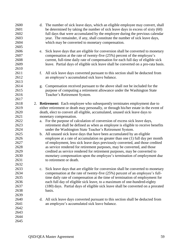| 2600<br>2601<br>2602<br>2603<br>2604<br>2605 | d. The number of sick leave days, which an eligible employee may convert, shall<br>be determined by taking the number of sick leave days in excess of sixty (60)<br>full days that were accumulated by the employee during the previous calendar<br>year. The remainder, if any, shall constitute the number of sick leave days,<br>which may be converted to monetary compensation. |
|----------------------------------------------|--------------------------------------------------------------------------------------------------------------------------------------------------------------------------------------------------------------------------------------------------------------------------------------------------------------------------------------------------------------------------------------|
| 2606<br>2607<br>2608<br>2609<br>2610         | Sick leave days that are eligible for conversion shall be converted to monetary<br>e.<br>compensation at the rate of twenty-five (25%) percent of the employee's<br>current, full-time daily rate of compensation for each full day of eligible sick<br>leave. Partial days of eligible sick leave shall be converted on a pro-rata basis.                                           |
| 2611<br>2612<br>2613                         | All sick leave days converted pursuant to this section shall be deducted from<br>f.<br>an employee's accumulated sick leave balance.                                                                                                                                                                                                                                                 |
| 2614<br>2615<br>2616<br>2617                 | Compensation received pursuant to the above shall not be included for the<br>g.<br>purpose of computing a retirement allowance under the Washington State<br>Teacher's Retirement System.                                                                                                                                                                                            |
|                                              |                                                                                                                                                                                                                                                                                                                                                                                      |
| 2618                                         | 2. <b>Retirement:</b> Each employee who subsequently terminates employment due to                                                                                                                                                                                                                                                                                                    |
| 2619                                         | either retirement or death may personally, or through his/her estate in the event of                                                                                                                                                                                                                                                                                                 |
| 2620                                         | death, elect to convert all eligible, accumulated, unused sick leave days to                                                                                                                                                                                                                                                                                                         |
| 2621                                         | monetary compensation.                                                                                                                                                                                                                                                                                                                                                               |
| 2622                                         | a. For the purpose of calculation of conversion of excess sick leave days,                                                                                                                                                                                                                                                                                                           |
| 2623<br>2624                                 | retirement shall be defined as when as employee is eligible to receive benefits                                                                                                                                                                                                                                                                                                      |
| 2625                                         | under the Washington State Teacher's Retirement System.<br>b. All unused sick leave days that have been accumulated by an eligible                                                                                                                                                                                                                                                   |
| 2626                                         | employee at a rate of accumulation no greater than one (1) full day per month                                                                                                                                                                                                                                                                                                        |
| 2627                                         | of employment, less sick leave days previously converted, and those credited                                                                                                                                                                                                                                                                                                         |
| 2628                                         | as service rendered for retirement purposes, may be converted, and those                                                                                                                                                                                                                                                                                                             |
| 2629                                         | credited as service rendered for retirement purposes, may be converted to                                                                                                                                                                                                                                                                                                            |
| 2630                                         | monetary compensation upon the employee's termination of employment due                                                                                                                                                                                                                                                                                                              |
| 2631                                         | to retirement or death.                                                                                                                                                                                                                                                                                                                                                              |
| 2632                                         |                                                                                                                                                                                                                                                                                                                                                                                      |
| 2633                                         | c. Sick leave days that are eligible for conversion shall be converted to monetary                                                                                                                                                                                                                                                                                                   |
| 2634                                         | compensation at the rate of twenty-five (25%) percent of an employee's full-                                                                                                                                                                                                                                                                                                         |
| 2635                                         | time daily rate of compensation at the time of termination of employment for                                                                                                                                                                                                                                                                                                         |
| 2636                                         | each full day of eligible sick leave, to a maximum of one-hundred-eighty                                                                                                                                                                                                                                                                                                             |
| 2637                                         | (180) days. Partial days of eligible sick leave shall be converted on a prorated                                                                                                                                                                                                                                                                                                     |
| 2638                                         | basis.                                                                                                                                                                                                                                                                                                                                                                               |
| 2639                                         |                                                                                                                                                                                                                                                                                                                                                                                      |
| 2640                                         | All sick leave days converted pursuant to this section shall be deducted from<br>d.                                                                                                                                                                                                                                                                                                  |
| 2641                                         | an employee's accumulated sick leave balance.                                                                                                                                                                                                                                                                                                                                        |
| 2642                                         |                                                                                                                                                                                                                                                                                                                                                                                      |
| 2643                                         |                                                                                                                                                                                                                                                                                                                                                                                      |
| 2644                                         |                                                                                                                                                                                                                                                                                                                                                                                      |
| 2645                                         |                                                                                                                                                                                                                                                                                                                                                                                      |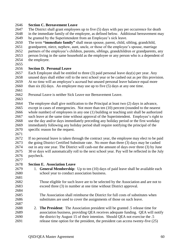#### **Section C. Bereavement Leave**

 The District shall grant employees up to five (5) days with pay per occurrence for death in the immediate family of the employee, as defined below. Additional bereavement may be granted by the Superintendent from an Employee's sick leave.

- The term **"immediate family"** shall mean spouse, parent, child, sibling, grandchild,
- grandparent, niece, nephew, aunt, uncle, or those of the employee's spouse, marriage
- partners of the employee's children, parents, siblings, grandchildren or grandparents, any person living in the same household as the employee or any person who is a dependent of the employee.
- 

## **Section D. Personal Leave**

2657 Each Employee shall be entitled to three (3) paid personal leave day(s) per year. Any unused days shall either roll to the next school year or be cashed out as per this provision. At no time will an employee's accrued but unused personal leave balance equal more than six (6) days. An employee may use up to five (5) days at any one time*.*

Personal Leave is neither Sick Leave nor Bereavement Leave.

 The employee shall give notification to the Principal at least two (2) days in advance, except in cases of emergencies. Not more than ten (10) percent (rounded to the nearest whole number) of employees in any one (1) building or teaching unit shall be authorized such leave at the same time without approval of the Superintendent. Employee's right to use the day and/or days immediately preceding any holiday period or the first workday immediately following any holiday period shall require notifying the principal of the specific reason for the request.

 If no personal leave is taken through the contract year, the employee may elect to be paid the going District Certified Substitute rate. No more than three (3) days may be cashed out in any one year. The District will cash-out the amount of days over three (3) by June 30 or days will automatically roll to the next school year*.* Pay will be reflected in the July paycheck. 

- **Section E. Association Leave**
- 1. **General Membership**: Up to ten (10) days of paid leave shall be available each school year to conduct association business.

 Those eligible for such leave are to be selected by the Association and are not to exceed three (3) in number at one time without District approval.

 The Association shall reimburse the District for full costs of substitutes when substitutes are used to cover the assignments of those on such leave.

 2. **The President**: The Association president will be granted .5 release time for association business, providing QEA receives adequate funding. QEA will notify the district by August 15 of their intention. Should QEA not exercise the .5 release time option for the president, the president can access twenty-five (25)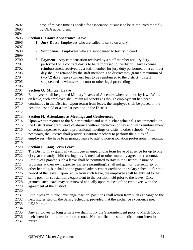- days of release time as needed for association business to be reimbursed monthly by QEA at per diem.
- 

## **Section F. Court Appearance Leave**

- 1. **Jury Duty:** Employees who are called to serve on a jury.
- 
- 2. **Subpoenas:** Employees who are subpoenaed to testify in court
- 3. **Payment:** Any compensation received by a staff member for jury duty performed on a contract day is to be reimbursed to the district. Any expense reimbursement received by a staff member for jury duty performed on a contract day shall be retained by the staff member. The district may grant a maximum of two (2) days leave (witness fees to be reimbursed to the district) to staff subpoenaed as witnesses in court or other legal proceedings.

# **Section G. Military Leave**

 Employees shall be granted Military Leaves of Absences when required by law. While on leave, such employee shall retain all benefits as though employment had been continuous in the District. Upon return from leave, the employee shall be placed in the position last held or a similar position in the District.

## **Section H. Attendance at Meetings and Conferences**

 Upon written request to the Superintendent and with his/her principal's recommendation, the District may grant leave of absence without deduction of pay and with reimbursement of certain expenses to attend professional meetings or visits to other schools. When necessary, the District shall provide substitute teachers to perform the duties of employees who have been granted leave to attend non-association professional meetings.

# **Section I. Long Term Leave**

 The District may grant any employee an unpaid long term leave of absence for up to one 2722 (1) year for study, child rearing, travel, medical or other mutually agreed to reason(s).<br>2723 Employees granted such a leave shall be permitted to stay in the District insurance Employees granted such a leave shall be permitted to stay in the District insurance programs at their own expense (carriers permitting), shall not gain or lose seniority or other benefits, but shall not be granted advancement credit on the salary schedule for the period of the leave. Upon return from such leave, the employee shall be entitled to the same position substantially equivalent to the position held prior to the leave. Once granted, such leave may be renewed annually upon request of the employee, with the agreement of the District.

- 
- Employees who take "exchange teacher" positions shall return from such exchange to the next higher step on the Salary Schedule, provided that the exchange experience met LEAP criteria.
- 

Any employee on long term leave shall notify the Superintendent prior to March 15, of

 their intention to return or not to return. Non-notification shall indicate non-intention to return.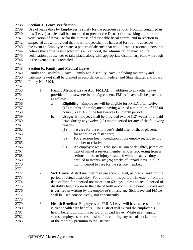#### **Section J. Leave Verification**

 Use of leave days by Employees is solely for the purposes set out. Nothing contained in this (Leave) article shall be construed to prevent the District from seeking appropriate verification of leave use for the purpose of reasonable fiscal control and in reaction to suspected abuse, provided that no Employee shall be harassed for routine absences. In the event an Employee creates a pattern of absence that would lead a reasonable person to believe that abuse is suspected or is a likelihood, the administration may require verification of absences to take place, along with appropriate disciplinary follow-through 2746 in the event abuse is revealed.

## **Section K. Family and Medical Leave**

 Family and Disability Leave: Family and disability leave (including maternity and paternity leave) shall be granted in accordance with Federal and State statutes and Board Policy No. 5404.

| 2753 | 1. | Family Medical Leave Act (FMLA): In addition to any other leave                 |  |  |
|------|----|---------------------------------------------------------------------------------|--|--|
| 2754 |    | provided for elsewhere in this Agreement, FMLA Leave will be provided           |  |  |
| 2755 |    | as follows:                                                                     |  |  |
| 2756 |    | <b>Eligibility:</b> Employees will be eligible for FMLA after twelve<br>a.      |  |  |
| 2757 |    | (12) months of employment, having worked a minimum of 675.00                    |  |  |
| 2758 |    | hours (.50 FTE) in the last twelve (12) month period.                           |  |  |
| 2759 |    | Usage: Employees shall be provided twelve (12) weeks of unpaid<br>$\mathbf b$ . |  |  |
| 2760 |    | leave during any twelve (12) month period for any of the following              |  |  |
| 2761 |    | reasons:                                                                        |  |  |
| 2762 |    | (1)<br>To care for the employee's child after birth, or placement               |  |  |
| 2763 |    | for adoption or foster care;                                                    |  |  |
| 2764 |    | For a serious health condition of the employee, household<br>(2)                |  |  |
| 2765 |    | member or relative.                                                             |  |  |
| 2766 |    | (3)<br>An employee who is the spouse, son or daughter, parent or                |  |  |
| 2767 |    | next of kin of a service member who is recovering from a                        |  |  |
| 2768 |    | serious illness or injury sustained while on active duty is                     |  |  |
| 2769 |    | entitled to twenty-six (26) weeks of unpaid leave in a 12                       |  |  |
| 2770 |    | month period to care for the service member.                                    |  |  |
| 2771 |    |                                                                                 |  |  |
| 2772 | 2. | Sick Leave: A staff member may use accumulated, paid sick leave for the         |  |  |
| 2773 |    | period of actual disability. For childbirth, this period will extend from the   |  |  |
| 2774 |    | date of birth for a period not more than 60 days, unless an actual period of    |  |  |
| 2775 |    | disability begins prior to the date of birth or continues beyond 60 days and    |  |  |
| 2776 |    | is verified in writing by the employee's physician. Sick leave and FMLA         |  |  |
| 2777 |    | shall be used consecutively, not concurrently.                                  |  |  |
| 2778 |    |                                                                                 |  |  |
| 2779 | 3. | Health Benefits: Employees on FMLA Leave will have access to their              |  |  |
| 2780 |    | current health care benefits. The District will extend the employee's           |  |  |
| 2781 |    | health benefit during this period of unpaid leave. While in an unpaid           |  |  |
| 2782 |    | status, employees are responsible for remitting any out-of-pocket portion       |  |  |
| 2783 |    | of the monthly premium to the District.                                         |  |  |
|      |    |                                                                                 |  |  |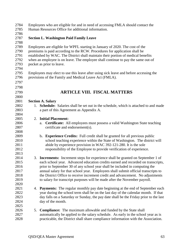| 2784<br>2785<br>2786                                 | Employees who are eligible for and in need of accessing FMLA should contact the<br>Human Resources Office for additional information.                                                                                                                                                                                                                            |  |  |  |
|------------------------------------------------------|------------------------------------------------------------------------------------------------------------------------------------------------------------------------------------------------------------------------------------------------------------------------------------------------------------------------------------------------------------------|--|--|--|
| 2787                                                 | <b>Section L. Washington Paid Family Leave</b>                                                                                                                                                                                                                                                                                                                   |  |  |  |
| 2788<br>2789<br>2790<br>2791<br>2792<br>2793<br>2794 | Employees are eligible for WPFL starting in January of 2020. The cost of the<br>premiums is paid according to the RCW. Procedures for application shall be<br>established by WAC. The District shall maintain their portion of medical benefits<br>when an employee is on leave. The employee shall continue to pay the same out-of<br>pocket as prior to leave. |  |  |  |
| 2795<br>2796<br>2797                                 | Employees may elect to use this leave after using sick leave and before accessing the<br>provisions of the Family and Medical Leave Act (FMLA).                                                                                                                                                                                                                  |  |  |  |
| 2798                                                 |                                                                                                                                                                                                                                                                                                                                                                  |  |  |  |
| 2799                                                 | <b>ARTICLE VIII. FISCAL MATTERS</b>                                                                                                                                                                                                                                                                                                                              |  |  |  |
| 2800                                                 |                                                                                                                                                                                                                                                                                                                                                                  |  |  |  |
| 2801                                                 | <b>Section A. Salary</b>                                                                                                                                                                                                                                                                                                                                         |  |  |  |
| 2802                                                 | 1. Schedule: Salaries shall be set out in the schedule, which is attached to and made                                                                                                                                                                                                                                                                            |  |  |  |
| 2803                                                 | a part of this Agreement as Appendix A.                                                                                                                                                                                                                                                                                                                          |  |  |  |
| 2804                                                 |                                                                                                                                                                                                                                                                                                                                                                  |  |  |  |
| 2805                                                 | <b>Initial Placement:</b><br>2.                                                                                                                                                                                                                                                                                                                                  |  |  |  |
| 2806<br>2807                                         | <b>Certificate:</b> All employees must possess a valid Washington State teaching<br>a.<br>certificate and endorsement(s).                                                                                                                                                                                                                                        |  |  |  |
| 2808                                                 |                                                                                                                                                                                                                                                                                                                                                                  |  |  |  |
| 2809                                                 | b. Experience Credits: Full credit shall be granted for all previous public                                                                                                                                                                                                                                                                                      |  |  |  |
| 2810                                                 | school teaching experience within the State of Washington. The district will                                                                                                                                                                                                                                                                                     |  |  |  |
| 2811                                                 | abide by experience provision in WAC 392-121-280. It is the sole                                                                                                                                                                                                                                                                                                 |  |  |  |
| 2812                                                 | responsibility of the Employee to provide verification of experience.                                                                                                                                                                                                                                                                                            |  |  |  |
| 2813                                                 |                                                                                                                                                                                                                                                                                                                                                                  |  |  |  |
| 2814                                                 | 3. <b>Increments:</b> Increment steps for experience shall be granted on September 1 of                                                                                                                                                                                                                                                                          |  |  |  |
| 2815                                                 | each school year. Advanced education credits earned and recorded on transcripts,                                                                                                                                                                                                                                                                                 |  |  |  |
| 2816                                                 | prior to September 30 of any school year shall be included in computing the                                                                                                                                                                                                                                                                                      |  |  |  |
| 2817                                                 | annual salary for that school year. Employees shall submit official transcripts to                                                                                                                                                                                                                                                                               |  |  |  |
| 2818                                                 | the District Office to receive increment credit and advancement. No adjustments                                                                                                                                                                                                                                                                                  |  |  |  |
| 2819                                                 | to salary for transcript purposes will be made after the November payroll.                                                                                                                                                                                                                                                                                       |  |  |  |
| 2820                                                 |                                                                                                                                                                                                                                                                                                                                                                  |  |  |  |
| 2821                                                 | <b>Payments:</b> The regular monthly pay date beginning at the end of September each<br>4.                                                                                                                                                                                                                                                                       |  |  |  |
| 2822                                                 | year during the school term shall be on the last day of the calendar month. If that                                                                                                                                                                                                                                                                              |  |  |  |
| 2823                                                 | day falls on a Saturday or Sunday, the pay date shall be the Friday prior to the last                                                                                                                                                                                                                                                                            |  |  |  |
| 2824                                                 | day of the month.                                                                                                                                                                                                                                                                                                                                                |  |  |  |
| 2825                                                 |                                                                                                                                                                                                                                                                                                                                                                  |  |  |  |
| 2826                                                 | <b>Compliance:</b> The maximum allowable and funded by the State shall<br>5.                                                                                                                                                                                                                                                                                     |  |  |  |
| 2827                                                 | automatically be applied to the salary schedule. As early in the school year as is                                                                                                                                                                                                                                                                               |  |  |  |
| 2828                                                 | practicable, the District shall share compliance information with the Association.                                                                                                                                                                                                                                                                               |  |  |  |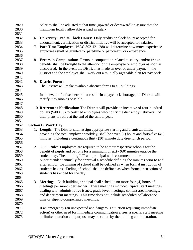| 2829 |    | Salaries shall be adjusted at that time (upward or downward) to assure that the       |
|------|----|---------------------------------------------------------------------------------------|
| 2830 |    | maximum legally allowable is paid in salary.                                          |
| 2831 |    |                                                                                       |
| 2832 |    | 6. University Credits/Clock Hours: Only credits or clock hours accepted for           |
| 2833 |    | endorsement, certification or district initiative will be accepted for salaries.      |
| 2834 |    | 7. Part-Time Employee: WAC 392-121-280 will determine how much experience             |
| 2835 |    | employees shall be granted for part-time or part-year work experience.                |
| 2836 |    |                                                                                       |
| 2837 | 8. | <b>Errors in Computation:</b> Errors in computation related to salary; and/or fringe  |
| 2838 |    | benefits shall be brought to the attention of the employee or employer as soon as     |
| 2839 |    | discovered. In the event the District has made an over or under payment, the          |
| 2840 |    | District and the employee shall work out a mutually agreeable plan for pay back.      |
| 2841 |    |                                                                                       |
| 2842 |    | 9. District Forms:                                                                    |
| 2843 |    | The District will make available absence forms to all buildings.                      |
| 2844 |    |                                                                                       |
| 2845 |    | In the event of a fiscal error that results in a paycheck shortage, the District will |
| 2846 |    | rectify it as soon as possible.                                                       |
| 2847 |    |                                                                                       |
| 2848 |    | 10. Retirement Notification: The District will provide an incentive of four-hundred   |
| 2849 |    | dollars (\$400.00) to certified employees who notify the district by February 1 of    |
| 2850 |    | their plans to retire at the end of the school year.                                  |
| 2851 |    |                                                                                       |
| 2852 |    | <b>Section B. Work Day</b>                                                            |
| 2853 |    | 1. Length: The District shall assign appropriate starting and dismissal times,        |
| 2854 |    | providing the total employee workday; shall be seven (7) hours and forty-five (45)    |
| 2855 |    | minutes, including a continuous thirty (30) minute duty-free lunch period.            |
| 2856 |    |                                                                                       |
| 2857 |    | 2. 30/30 Rule: Employees are required to be at their respective schools for the       |
| 2858 |    | benefit of pupils and patrons for a minimum of sixty (60) minutes outside the         |
| 2859 |    | student day. The building LIT and principal will recommend to the                     |
| 2860 |    | Superintendent annually for approval a schedule defining the minutes prior to and     |
| 2861 |    | after school. Beginning of school shall be defined as when formal instruction of      |
| 2862 |    | students begins. Ending of school shall be defined as when formal instruction of      |
| 2863 |    | students has ended for the day.                                                       |
| 2864 |    |                                                                                       |
| 2865 | 3. | <b>Meetings:</b> Each building principal shall schedule no more four (4) hours of     |
| 2866 |    | meetings per month per teacher. These meetings include: Typical staff meetings        |
| 2867 |    | dealing with administrative issues, grade level meetings, content area meetings,      |
| 2868 |    | and department meetings. This time does not include scheduled collaboration           |
| 2869 |    | time or stipend-compensated meetings.                                                 |
| 2870 |    |                                                                                       |
| 2871 |    | If an emergency (an unexpected and dangerous situation requiring immediate            |
| 2872 |    | action) or other need for immediate communication arises, a special staff meeting     |
|      |    |                                                                                       |
| 2873 |    | of limited duration and purpose may be called by the building administration.         |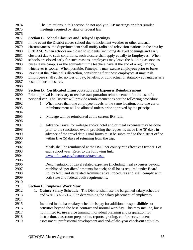| 2874 |    | The limitations in this section do not apply to IEP meetings or other similar                |
|------|----|----------------------------------------------------------------------------------------------|
| 2875 |    | meetings required by state or federal law.                                                   |
| 2876 |    |                                                                                              |
| 2877 |    | <b>Section C. School Closures and Delayed Openings</b>                                       |
| 2878 |    | In the event the District closes school due to inclement weather or other unusual            |
| 2879 |    | circumstances, the Superintendent shall notify radio and television stations in the area by  |
| 2880 |    | 6:30 AM. When schools are closed to students (including delayed openings and early           |
| 2881 |    | closures) due to such conditions, such closure shall apply equally to Employees. When        |
| 2882 |    | schools are closed early for such reasons, employees may leave the building as soon as       |
| 2883 |    | buses leave campus or the equivalent time teachers have at the end of a regular day,         |
| 2884 |    | whichever is sooner. When possible, Principal's may excuse employees prior to buses          |
| 2885 |    | leaving at the Principal's discretion, considering first those employees at most risk.       |
| 2886 |    | Employees shall suffer no loss of pay, benefits, or contractual or statutory advantages as a |
| 2887 |    | result of such closures.                                                                     |
| 2888 |    |                                                                                              |
| 2889 |    | <b>Section D. Certificated Transportation and Expenses Reimbursement</b>                     |
| 2890 |    | Prior approval is necessary to receive transportation reimbursement for the use of a         |
| 2891 |    | personal car. The District will provide reimbursement as per the following procedure.        |
| 2892 |    | 1. When more than one employee travels to the same location, only one car or                 |
| 2893 |    | reimbursement will be allowed unless prior approved by the principal.                        |
| 2894 |    |                                                                                              |
| 2895 | 2. | Mileage will be reimbursed at the current IRS rate.                                          |
| 2896 |    |                                                                                              |
| 2897 |    | 3. Advance Travel for mileage and/or hotel and/or meal expenses may be done                  |
| 2898 |    | prior to the sanctioned event, providing the request is made five (5) days in                |
| 2899 |    | advance of the travel date. Final forms must be submitted to the district office             |
| 2900 |    | within five $(5)$ days of returning from the trip.                                           |
| 2901 |    |                                                                                              |
| 2902 |    | Meals shall be reimbursed at the OSPI per county rate effective October 1 of                 |
| 2903 |    | each school year. Refer to the following link:                                               |
| 2904 |    | www.ofm.wa.gov/resources/travel.asp.                                                         |
| 2905 |    |                                                                                              |
| 2906 |    | Documentation of travel related expenses (including meal expenses beyond                     |
| 2907 |    | established 'per diem' amounts for such) shall be as required under Board                    |
| 2908 |    | Policy 6213 and its related Administrative Procedures and shall comply with                  |
| 2909 |    | both state and federal audit requirements.                                                   |
| 2910 |    |                                                                                              |
| 2911 |    | <b>Section E. Employee Work Year</b>                                                         |
| 2912 | 1. | <b>Quincy Salary Schedule:</b> The District shall use the bargained salary schedule          |
| 2913 |    | and WAC 392-121-280 in determining the salary placement of employees.                        |
| 2914 |    |                                                                                              |
| 2915 |    | Included in the base salary schedule is pay for additional responsibilities or               |
| 2916 |    | activities beyond the base contract and normal workday. This may include, but is             |
| 2917 |    | not limited to, in-service training, individual planning and preparation for                 |
| 2918 |    | instruction, classroom preparation, reports, grading, conferences, student                   |
| 2919 |    | assessment, professional development and end-of-the-year check-out activities.               |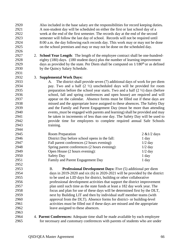Also included in the base salary are the responsibilities for record keeping duties*.*  A non-student day will be scheduled on either the first or last school day of a week at the end of the first semester. The records day at the end of the second semester will follow the last day of school. Records will not be required until 8:00 a.m. the day following each records day. This work may or may not be done on the school premises and may or may not be done on the scheduled day.

- 2. **School Year Length**: The length of the employee contract shall be one-hundred- eighty (180) days. (180 student days) plus the number of learning improvement 2929 days as provided by the state. Per Diem shall be computed on  $1/180<sup>th</sup>$  or as defined by the Quincy Salary Schedule.
- 3. **Supplemental Work Days:**

 A. The district shall provide seven (7) additional days of work for per diem pay. Two and a half (2 ½) unscheduled days will be provided for room 2935 preparation before the school year starts. Two and a half  $(2 \frac{1}{2})$  days (before school, fall and spring conferences and open house) are required and will appear on the calendar. Absence forms must be filled out if these days are missed and the appropriate leave assigned to these absences. The Safety Day and the Family and Parent Engagement Day (must be more than attending events, must be engaged with parents and learning) shall be provided and may be taken in increments of less than one day. The Safety Day will be used to provide time for employees to complete required annual Safe Schools training.

| 2945 | <b>Room Preparation</b>                       | $2 \& 1/2$ days |
|------|-----------------------------------------------|-----------------|
| 2946 | District Day before school opens in the fall: | 1 day           |
| 2947 | Fall parent conferences (2 hours evening):    | $1/2$ day       |
| 2948 | Spring parent conferences (2 hours evening):  | $1/2$ day       |
| 2949 | Open House (2 hours evening):                 | $1/2$ day       |
| 2950 | <b>Safety Day</b>                             | 1 day           |
| 2951 | Family and Parent Engagement Day              | 1 day           |
| 2952 |                                               |                 |

 B. **Professional Development Days:** Five (5) additional per diem days in 2019-2020 and six (6) in 2020-2021 will be provided by the district to be used as LID days for district, building or other collaborative professional development activities that support the district improvement plan until such time as the state funds at least a 182 day work year. The focus and plan for use of these days will be determined first by the DLT, next by Building LIT and then by individual staff member teams (with approval from the DLT). Absence forms for district- or building-level activities must be filled out if these days are missed and the appropriate leave assigned to these absences.

 4. **Parent Conferences:** Adequate time shall be made available by each employee for necessary and customary conferences with parents of students who are under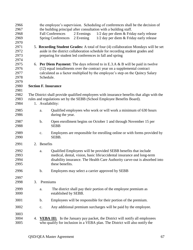| 2966<br>2967<br>2968<br>2969<br>2970 |    |                  | the employee's supervision. Scheduling of conferences shall be the decision of<br>the building principal after consultation with a building staff.<br>2 Evenings<br>$1/2$ day per diem $&$ Friday early release<br><b>Fall Conferences</b><br><b>Spring Conferences</b><br>2 Evening<br>$1/2$ day per diem $&$ Friday early release |  |  |
|--------------------------------------|----|------------------|-------------------------------------------------------------------------------------------------------------------------------------------------------------------------------------------------------------------------------------------------------------------------------------------------------------------------------------|--|--|
| 2971<br>2972<br>2973<br>2974         |    |                  | 5. Recording Student Grades: A total of four (4) collaboration Mondays will be set<br>aside in the district collaboration schedule for recording student grades and<br>preparing for student led conferences in fall and spring                                                                                                     |  |  |
| 2975<br>2976<br>2977<br>2978<br>2979 |    |                  | 6. Per Diem Payment: The days referred to in E.3.A & B will be paid in twelve<br>(12) equal installments over the contract year on a supplemental contract<br>calculated as a factor multiplied by the employee's step on the Quincy Salary<br>Schedule.                                                                            |  |  |
| 2980<br>2981                         |    |                  | <b>Section F. Insurance</b>                                                                                                                                                                                                                                                                                                         |  |  |
| 2982<br>2983<br>2984                 |    | 1. Availability: | The District shall provide qualified employees with insurance benefits that align with the<br>rules and regulations set by the SEBB (School Employee Benefits Board).                                                                                                                                                               |  |  |
| 2985<br>2986                         |    | a.               | Qualified employees who work or will work a minimum of 630 hours<br>during the year.                                                                                                                                                                                                                                                |  |  |
| 2987<br>2988                         |    | b.               | Open enrollment begins on October 1 and through November 15 per<br><b>SEBB</b>                                                                                                                                                                                                                                                      |  |  |
| 2989<br>2990                         |    | $\mathbf{c}$ .   | Employees are responsible for enrolling online or with forms provided by<br>SEBB.                                                                                                                                                                                                                                                   |  |  |
| 2991                                 |    | 2. Benefits      |                                                                                                                                                                                                                                                                                                                                     |  |  |
| 2992<br>2993<br>2994<br>2995         |    | a.               | Qualified Employees will be provided SEBB benefits that include<br>medical, dental, vision, basic life/accidental insurance and long-term<br>disability insurance. The Health Care Authority carve-out is absorbed into<br>these benefits.                                                                                          |  |  |
| 2996                                 |    | $\mathbf b$ .    | Employees may select a carrier approved by SEBB                                                                                                                                                                                                                                                                                     |  |  |
| 2997<br>2998                         | 3. | Premiums         |                                                                                                                                                                                                                                                                                                                                     |  |  |
| 2999<br>3000                         |    | a.               | The district shall pay their portion of the employee premium as<br>established by SEBB.                                                                                                                                                                                                                                             |  |  |
| 3001                                 |    | b.               | Employees will be responsible for their portion of the premium.                                                                                                                                                                                                                                                                     |  |  |
| 3002                                 |    | c.               | Any additional premium surcharges will be paid by the employee.                                                                                                                                                                                                                                                                     |  |  |
| 3003<br>3004<br>3005                 | 4. |                  | <b><u>VEBA III:</u></b> In the January pay packet, the District will notify all employees<br>who qualify for inclusion in a VEBA plan. The District will also notify the                                                                                                                                                            |  |  |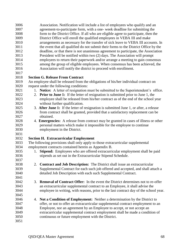| 3006 | Association. Notification will include a list of employees who qualify and an                |
|------|----------------------------------------------------------------------------------------------|
| 3007 | agreement-to-participate form, with a one- week deadline for submitting the                  |
| 3008 | form to the District Office. If all who are eligible agree to participate, then the          |
| 3009 | District Office will enroll the qualified employees in VEBA III and make                     |
| 3010 | arrangements as necessary for the transfer of sick leave to VEBA III accounts. In            |
| 3011 | the event that all qualified do not submit their forms to the District Office by the         |
| 3012 | deadline, or that there is not unanimous agreement to participate, the Association           |
| 3013 | President will be notified within two (2) days. The Association will prompt                  |
| 3014 | employees to return their paperwork and/or arrange a meeting to gain consensus               |
| 3015 | among the group of eligible employees. When consensus has been achieved, the                 |
| 3016 | Association will notify the district to proceed with enrollment.                             |
| 3017 |                                                                                              |
| 3018 | <b>Section G. Release From Contract</b>                                                      |
| 3019 | An employee shall be released from the obligations of his/her individual contract on         |
| 3020 | request under the following conditions:                                                      |
| 3021 | 1. Notice: A letter of resignation must be submitted to the Superintendent's office.         |
| 3022 | 2. Prior to June 1: If the letter of resignation is submitted prior to June 1, the           |
| 3023 | employee shall be released from his/her contract as of the end of the school year            |
| 3024 | without further qualification.                                                               |
| 3025 | 3. After June 1: If the letter of resignation is submitted June 1, or after, a release       |
| 3026 | from contract shall be granted, provided that a satisfactory replacement can be              |
| 3027 | obtained.                                                                                    |
| 3028 | 4. Emergencies: A release from contract may be granted in cases of illness or other          |
| 3029 | personal matters which make it impossible for the employee to continue                       |
| 3030 | employment in the District.                                                                  |
| 3031 |                                                                                              |
| 3032 | <b>Section H. Extracurricular Employment</b>                                                 |
| 3033 | The following provisions shall only apply to those extracurricular supplemental              |
| 3034 | employment contracts contained herein as Appendix B.                                         |
| 3035 | Stipend: Employees who are offered extracurricular employment shall be paid<br>1.            |
| 3036 | stipends as set out in the Extracurricular Stipend Schedule.                                 |
| 3037 |                                                                                              |
| 3038 | Contract and Job Description: The District shall issue an extracurricular                    |
| 3039 | Supplemental Contract for each such job offered and accepted, and shall attach a             |
| 3040 | detailed Job Description with each such Supplemental Contract.                               |
| 3041 |                                                                                              |
| 3042 | <b>Removal of Contract Offer:</b> In the event the District determines not to re-offer<br>3. |
| 3043 | an extracurricular supplemental contract to an Employee, it shall advise the                 |
| 3044 | employee in writing, with reasons, prior to the last contract day of the school year.        |
| 3045 |                                                                                              |
| 3046 | Not a Condition of Employment: Neither a determination by the District to<br>4.              |
| 3047 | offer, or not to offer an extracurricular supplemental contract employment to an             |
| 3048 | Employee, nor an agreement by an Employee to accept, or not accept an                        |
| 3049 | extracurricular supplemental contract employment shall be made a condition of                |
| 3050 | continuous or future employment with the District.                                           |
| 3051 |                                                                                              |
|      |                                                                                              |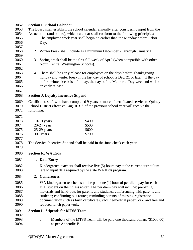## **Section I. School Calendar**

| 3053 | The Board shall establish the school calendar annually after considering input from the        |                                             |                                                                                    |  |  |
|------|------------------------------------------------------------------------------------------------|---------------------------------------------|------------------------------------------------------------------------------------|--|--|
| 3054 | Association (and others), which calendar shall conform to the following principles:            |                                             |                                                                                    |  |  |
| 3055 | 1.                                                                                             |                                             | The employee work year shall begin no earlier than the Monday before Labor         |  |  |
| 3056 |                                                                                                | Day.                                        |                                                                                    |  |  |
| 3057 |                                                                                                |                                             |                                                                                    |  |  |
| 3058 | 2.                                                                                             |                                             | Winter break shall include as a minimum December 23 through January 1.             |  |  |
| 3059 |                                                                                                |                                             |                                                                                    |  |  |
| 3060 | 3.                                                                                             |                                             | Spring break shall be the first full week of April (when compatible with other     |  |  |
| 3061 |                                                                                                | North Central Washington Schools).          |                                                                                    |  |  |
| 3062 |                                                                                                |                                             |                                                                                    |  |  |
| 3063 |                                                                                                |                                             | 4. There shall be early release for employees on the days before Thanksgiving      |  |  |
| 3064 |                                                                                                |                                             | holiday and winter break if the last day of school is Dec. 21 or later. If the day |  |  |
| 3065 |                                                                                                |                                             | before winter break is a full day, the day before Memorial Day weekend will be     |  |  |
| 3066 |                                                                                                | an early release.                           |                                                                                    |  |  |
| 3067 |                                                                                                |                                             |                                                                                    |  |  |
| 3068 |                                                                                                | <b>Section J. Loyalty Incentive Stipend</b> |                                                                                    |  |  |
| 3069 | Certificated staff who have completed 9 years or more of certificated service to Quincy        |                                             |                                                                                    |  |  |
| 3070 | School District effective August 31 <sup>st</sup> of the previous school year will receive the |                                             |                                                                                    |  |  |
| 3071 | following:                                                                                     |                                             |                                                                                    |  |  |
| 3072 |                                                                                                |                                             |                                                                                    |  |  |
| 3073 |                                                                                                |                                             | \$400                                                                              |  |  |
| 3074 | $10-19$ years                                                                                  |                                             | \$500                                                                              |  |  |
| 3075 | $20-24$ years<br>$25-29$ years                                                                 |                                             | \$600                                                                              |  |  |
| 3076 | $30+$ years                                                                                    |                                             | \$700                                                                              |  |  |
| 3077 |                                                                                                |                                             |                                                                                    |  |  |
| 3078 | The Service Incentive Stipend shall be paid in the June check each year.                       |                                             |                                                                                    |  |  |
| 3079 |                                                                                                |                                             |                                                                                    |  |  |
|      |                                                                                                |                                             |                                                                                    |  |  |
| 3080 |                                                                                                | <b>Section K. WA Kids</b>                   |                                                                                    |  |  |
| 3081 |                                                                                                | 1. Data Entry                               |                                                                                    |  |  |
| 3082 |                                                                                                |                                             | Kindergarten teachers shall receive five (5) hours pay at the current curriculum   |  |  |
| 3083 |                                                                                                |                                             | rate to input data required by the state WA Kids program.                          |  |  |
| 3084 | 2.                                                                                             | <b>Conferences</b>                          |                                                                                    |  |  |
|      |                                                                                                |                                             |                                                                                    |  |  |
| 3085 |                                                                                                |                                             | WA kindergarten teachers shall be paid one (1) hour of per diem pay for each       |  |  |
| 3086 | FTE student on their class roster. The per diem pay will include: preparing                    |                                             |                                                                                    |  |  |
| 3087 | materials and hand-outs for parents and students; conferencing with parents and                |                                             |                                                                                    |  |  |
| 3088 | students; confirming bus routes; reminding parents of missing registration                     |                                             |                                                                                    |  |  |
| 3089 | documentation such as birth certificates, vaccine/medical paperwork; and free and              |                                             |                                                                                    |  |  |
| 3090 |                                                                                                | reduced lunch paperwork.                    |                                                                                    |  |  |
| 3091 | <b>Section L. Stipends for MTSS Team</b>                                                       |                                             |                                                                                    |  |  |
| 3092 |                                                                                                |                                             |                                                                                    |  |  |
| 3093 |                                                                                                | a.                                          | Members of the MTSS Team will be paid one thousand dollars (\$1000.00)             |  |  |
| 3094 |                                                                                                | as per Appendix B.                          |                                                                                    |  |  |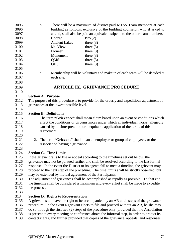| 3095 | $\mathbf b$ .<br>There will be a maximum of district paid MTSS Team members at each         |  |  |
|------|---------------------------------------------------------------------------------------------|--|--|
| 3096 | building as follows, exclusive of the building counselor, who if asked to                   |  |  |
| 3097 | attend, shall also be paid an equivalent stipend to the other team members:                 |  |  |
| 3098 | George<br>two $(2)$                                                                         |  |  |
| 3099 | <b>Ancient Lakes</b><br>three $(3)$                                                         |  |  |
| 3100 | Mt. View<br>three $(3)$                                                                     |  |  |
| 3101 | Pioneer<br>three $(3)$                                                                      |  |  |
| 3102 | Monument<br>three $(3)$                                                                     |  |  |
| 3103 | <b>QMS</b><br>three $(3)$                                                                   |  |  |
| 3104 | <b>QHS</b><br>three $(3)$                                                                   |  |  |
| 3105 |                                                                                             |  |  |
| 3106 | Membership will be voluntary and makeup of each team will be decided at<br>$C_{\bullet}$    |  |  |
| 3107 | each site.                                                                                  |  |  |
| 3108 |                                                                                             |  |  |
| 3109 | <b>ARTICLE IX. GRIEVANCE PROCEDURE</b>                                                      |  |  |
| 3110 |                                                                                             |  |  |
| 3111 | <b>Section A. Purpose</b>                                                                   |  |  |
| 3112 | The purpose of this procedure is to provide for the orderly and expeditious adjustment of   |  |  |
| 3113 | grievances at the lowest possible level.                                                    |  |  |
| 3114 |                                                                                             |  |  |
| 3115 | <b>Section B. Definitions</b>                                                               |  |  |
| 3116 | 1. The term "Grievance" shall mean claim based upon an event or conditions which            |  |  |
| 3117 | affect the conditions or circumstances under which an individual works, allegedly           |  |  |
| 3118 | caused by misinterpretation or inequitable application of the terms of this                 |  |  |
| 3119 | Agreement.                                                                                  |  |  |
| 3120 |                                                                                             |  |  |
| 3121 | The term "Grievant" shall mean an employee or group of employees, or the<br>2.              |  |  |
| 3122 | Association having a grievance.                                                             |  |  |
| 3123 |                                                                                             |  |  |
| 3124 | <b>Section C. Time Limits</b>                                                               |  |  |
| 3125 | If the grievant fails to file or appeal according to the timelines set out below, the       |  |  |
| 3126 | grievance may not be pursued further and shall be resolved according to the last formal     |  |  |
| 3127 | response. In the event the District or its agents fail to meet a timeline, the grievant may |  |  |
| 3128 | proceed to the next step of the procedure. The time limits shall be strictly observed, but  |  |  |
| 3129 | may be extended by mutual agreement of the Participants.                                    |  |  |
| 3130 | The adjustment of grievances shall be accomplished as rapidly as possible. To that end,     |  |  |
| 3131 | the timeline shall be considered a maximum and every effort shall be made to expedite       |  |  |
| 3132 | the process.                                                                                |  |  |
| 3133 |                                                                                             |  |  |
| 3134 | <b>Section D. Rights to Representation</b>                                                  |  |  |
| 3135 | A grievant shall have the right to be accompanied by an AR at all steps of the grievance    |  |  |
| 3136 | procedure. In the event a grievant elects to file and proceed without an AR, he/she may     |  |  |
| 3137 | do so through the first two (2) steps of the procedure only, provided that the Association  |  |  |
| 3138 | is present at every meeting or conference above the informal step, in order to protect its  |  |  |
| 3139 | contact rights, and further provided that copies of the grievance, appeals, and responses   |  |  |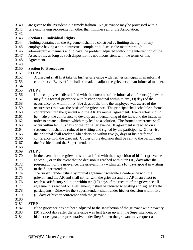- are given to the President in a timely fashion. No grievance may be processed with a
- grievant having representation other than him/her self or the Association.
- 

## **Section E. Individual Rights**

- Nothing contained in the Agreement shall be construed as limiting the right of any
- employee having a non-contractual complaint to discuss the matter through
- administrative channels and to have the problem adjusted without the intervention of the
- Association, as long as such disposition is not inconsistent with the terms of this Agreement.
- 

## **Section F. Procedures**

- **STEP 1**
- A grievant shall first take up his/her grievance with her/her principal in an informal conference. Every effort shall be made to adjust the grievance in an informal manner.

#### **STEP 2**

 If the employee is dissatisfied with the outcome of the informal conference(s), he/she may file a formal grievance with his/her principal within thirty (30) days of the occurrence (or within thirty (30) days of the time the employee was aware of the occurrence) that was the basis of the grievance. The principal shall schedule a formal conference with the grievant and the AR, by mutual agreement. Every effort should be made at the conference to develop an understanding of the facts and the issues in order to create a climate which may lead to a solution. The formal conference shall occur within ten (10) days of the formal grievance. If agreement is reached on a settlement, it shall be reduced to writing and signed by the participants. Otherwise the principal shall render his/her decision within five (5) days of his/her formal conference with the grievant. Copies of the decision shall be sent to the participants, the President, and the Superintendent.

#### **STEP 3**

- In the event that the grievant is not satisfied with the disposition of his/her grievance at Step 2, or in the event that no decision is reached within ten (10) days after the presentation of the grievance, the grievant may within ten (10) days appeal in writing to the Superintendent.
- The Superintendent shall by mutual agreement schedule a conference with the grievant and the AR and shall confer with the grievant and the AR in an effort to reach a satisfactory solution within ten (10) days of the receipt of the grievance. If agreement is reached on a settlement, it shall be reduced to writing and signed by the participants. Otherwise the Superintendent shall render his/her decision within five
- (5) days of his/her conference with the grievant.

#### **STEP 4**

- If the grievance has not been adjusted to the satisfaction of the grievant within twenty
- (20) school days after the grievance was first taken up with the Superintendent or
- his/her designated representative under Step 3, then the grievant may request a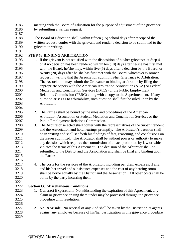- meeting with the Board of Education for the purpose of adjustment of the grievance by submitting a written request.
- 
- The Board of Education shall, within fifteen (15) school days after receipt of the written request, confer with the grievant and render a decision to be submitted to the grievant in writing.
- 

## **STEP 5: BINDING ARBITRATION**

- 3193 1. If the grievant is not satisfied with the disposition of his/her grievance at Step 4, or if no decision has been rendered within ten (10) days after he/she has first met with the Board, he/she may, within five (5) days after a decision by the Board; or twenty (20) days after he/she has first met with the Board, whichever is sooner, request in writing that the Association submit his/her Grievance to Arbitration. The Association may submit the Grievance to binding arbitration by filing the appropriate papers with the American Arbitration Association (AAA) or Federal Mediation and Conciliation Services (FMCS) or the Public Employment Relations Commission (PERC) along with a copy to the Superintendent. If any question arises as to arbitrability, such question shall first be ruled upon by the Arbitrator.
- 2. The Parties shall be bound by the rules and procedures of the American Arbitration Association or Federal Mediation and Conciliation Services or the Public Employment Relations Commission.
- 3. The Arbitrator selected shall confer with the representatives of the Superintendent and the Association and hold hearings promptly. The Arbitrator's decision shall be in writing and shall set forth his findings of fact, reasoning, and conclusions on the issues submitted. The Arbitrator shall be without power or authority to make any decision which requires the commission of an act prohibited by law or which violates the terms of this Agreement. The decision of the Arbitrator shall be submitted to the District and the Association and shall be final and binding upon the Parties.
- 4. The costs for the services of the Arbitrator, including per diem expenses, if any, and his/her travel and subsistence expenses and the cost of any hearing room, shall be borne equally by the District and the Association. All other costs shall be borne by the party incurring them.

### **Section G. Miscellaneous Conditions**

- 1. **Contract Expiration:** Notwithstanding the expiration of this Agreement, any claim or grievance arising there under may be processed through the grievance procedure until resolution.
- 

 2. **No Reprisals**: No reprisal of any kind shall be taken by the District or its agents against any employee because of his/her participation in this grievance procedure.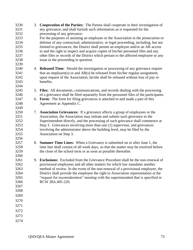| 3230 | 3. | <b>Cooperation of the Parties:</b> The Parties shall cooperate in their investigation of |
|------|----|------------------------------------------------------------------------------------------|
| 3231 |    | any grievance, and shall furnish such information as is requested for the                |
| 3232 |    | processing of any grievance.                                                             |
| 3233 |    | For the purposes of assisting an employee or the Association in the prosecution or       |
| 3234 |    | defense of any contractual, administrative, or legal proceeding, including, but not      |
| 3235 |    | limited to grievances, the District shall permit an employee and/or an AR access         |
| 3236 |    | to and the right to inspect and acquire copies of his/her personnel files and any        |
| 3237 |    | other files or records of the District which pertain to the affected employee or any     |
| 3238 |    | issue in the proceeding in question.                                                     |
| 3239 |    |                                                                                          |
| 3240 |    | 4. <b>Released Time:</b> Should the investigation or processing of any grievance require |
| 3241 |    | that an employee(s) or and $AR(s)$ be released from his/her regular assignment;          |
| 3242 |    | upon request of the Association, he/she shall be released without loss of pay or         |
| 3243 |    | benefits.                                                                                |
| 3244 |    |                                                                                          |
| 3245 | 5. | <b>Files:</b> All documents, communications, and records dealing with the processing     |
| 3246 |    | of a grievance shall be filed separately from the personnel files of the participants.   |
| 3247 |    | 6. Form: The form for filing grievances is attached to and made a part of this           |
| 3248 |    | Agreement as Appendix C.                                                                 |
| 3249 |    |                                                                                          |
| 3250 | 7. | <b>Association Grievances:</b> If a grievance affects a group of employees or the        |
| 3251 |    | Association, the Association may initiate and submit such grievance to the               |
| 3252 |    | Superintendent directly, and the processing of such grievance shall commence at          |
| 3253 |    | Step 3. Grievances involving more than one (1) supervisor, and grievances                |
| 3254 |    | involving the administrator above the building level, may be filed by the                |
| 3255 |    | Association on Step 3.                                                                   |
| 3256 |    |                                                                                          |
| 3257 | 8. | <b>Summer Time Lines:</b> When a Grievance is submitted on or after June 1, the          |
| 3258 |    | time line shall consist of all week days, so that the matter may be resolved before      |
| 3259 |    | the close of the school term or as soon as possible thereafter.                          |
| 3260 |    |                                                                                          |
| 3261 |    | 9. Exclusions: Excluded from the Grievance Procedure shall be the non-renewal of         |
| 3262 |    | provisional employees and all other matters for which law mandates another               |
| 3263 |    | method of review. In the event of the non-renewal of a provisional employee, the         |
| 3264 |    | District shall provide the employee the right to Association representation at the       |
| 3265 |    | "request for reconsideration" meeting with the superintendent that is specified in       |
| 3266 |    | RCW 28A.405-220.                                                                         |
| 3267 |    |                                                                                          |
| 3268 |    |                                                                                          |
| 3269 |    |                                                                                          |
| 3270 |    |                                                                                          |
| 3271 |    |                                                                                          |
|      |    |                                                                                          |
| 3272 |    |                                                                                          |
| 3273 |    |                                                                                          |
| 3274 |    |                                                                                          |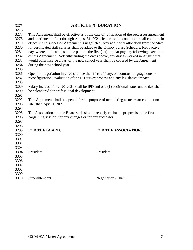|                                                           | <b>ARTICLE X. DURATION</b>                                                                                                                                                                                                                                                                                                                                                                                                                                                                                                                                                                                                                                        |
|-----------------------------------------------------------|-------------------------------------------------------------------------------------------------------------------------------------------------------------------------------------------------------------------------------------------------------------------------------------------------------------------------------------------------------------------------------------------------------------------------------------------------------------------------------------------------------------------------------------------------------------------------------------------------------------------------------------------------------------------|
| during the new school year.                               | This Agreement shall be effective as of the date of ratification of the successor agreement<br>and continue in effect through August 31, 2021. Its terms and conditions shall continue in<br>effect until a successor Agreement is negotiated. Any additional allocation from the State<br>for certificated staff salaries shall be added to the Quincy Salary Schedule. Retroactive<br>pay, where applicable, shall be paid on the first (1st) regular pay day following execution<br>of this Agreement. Notwithstanding the dates above, any day(s) worked in August that<br>would otherwise be a part of the new school year shall be covered by the Agreement |
|                                                           | Open for negotiation in 2020 shall be the effects, if any, on contract language due to<br>reconfiguration; evaluation of the PD survey process and any legislative impact.                                                                                                                                                                                                                                                                                                                                                                                                                                                                                        |
| be calendared for professional development.               | Salary increase for 2020-2021 shall be IPD and one (1) additional state funded day shall                                                                                                                                                                                                                                                                                                                                                                                                                                                                                                                                                                          |
| later than April 1, 2021.                                 | This Agreement shall be opened for the purpose of negotiating a successor contract no                                                                                                                                                                                                                                                                                                                                                                                                                                                                                                                                                                             |
| bargaining session, for any changes or for any successor. | The Association and the Board shall simultaneously exchange proposals at the first                                                                                                                                                                                                                                                                                                                                                                                                                                                                                                                                                                                |
| <b>FOR THE BOARD:</b>                                     | <b>FOR THE ASSOCIATION:</b>                                                                                                                                                                                                                                                                                                                                                                                                                                                                                                                                                                                                                                       |
| President                                                 | President                                                                                                                                                                                                                                                                                                                                                                                                                                                                                                                                                                                                                                                         |
|                                                           |                                                                                                                                                                                                                                                                                                                                                                                                                                                                                                                                                                                                                                                                   |
| Superintendent                                            | <b>Negotiations Chair</b>                                                                                                                                                                                                                                                                                                                                                                                                                                                                                                                                                                                                                                         |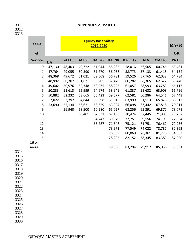| 3311<br>3312<br>3313 |                  |           |         |         | <b>APPENDIX A. PART I</b>              |         |          |           |         |           |
|----------------------|------------------|-----------|---------|---------|----------------------------------------|---------|----------|-----------|---------|-----------|
|                      | Years            |           |         |         | <b>Quincy Base Salary</b><br>2019-2020 |         |          |           |         | $MA+90$   |
|                      | of               |           |         |         |                                        |         |          |           |         | <b>OR</b> |
|                      | <b>Service</b>   | <b>BA</b> | $BA+15$ | $BA+30$ | $BA+45$                                | $BA+90$ | $BA+135$ | <b>MA</b> | $MA+45$ | Ph.D.     |
|                      | 0                | 47,130    | 48,403  | 49,722  | 51,044                                 | 55,285  | 58,016   | 56,505    | 60,746  | 63,481    |
|                      | 1                | 47,764    | 49,055  | 50,390  | 51,770                                 | 56,056  | 58,773   | 57,133    | 61,418  | 64,134    |
|                      | $\overline{2}$   | 48,368    | 49,672  | 51,021  | 52,508                                 | 56,781  | 59,526   | 57,765    | 62,038  | 64,784    |
|                      | 3                | 48,992    | 50,307  | 51,671  | 53,205                                 | 57,470  | 60,282   | 58,365    | 62,627  | 65,440    |
|                      | 4                | 49,602    | 50,976  | 52,348  | 53,935                                 | 58,225  | 61,057   | 58,993    | 63,283  | 66,117    |
|                      | 5                | 50,233    | 51,613  | 52,999  | 54,674                                 | 58,949  | 61,837   | 59,632    | 63,908  | 66,796    |
|                      | 6                | 50,882    | 52,232  | 53,665  | 55,423                                 | 59,677  | 62,581   | 60,286    | 64,541  | 67,443    |
|                      | 7                | 52,022    | 53,392  | 54,844  | 56,698                                 | 61,015  | 63,999   | 61,513    | 65,828  | 68,813    |
|                      | 8                | 53,690    | 55,134  | 56,621  | 58,629                                 | 63,004  | 66,098   | 63,442    | 67,818  | 70,911    |
|                      | $\boldsymbol{9}$ |           | 56,940  | 58,500  | 60,580                                 | 65,057  | 68,256   | 65,391    | 69,872  | 73,071    |
|                      | 10               |           |         | 60,401  | 62,631                                 | 67,168  | 70,474   | 67,445    | 71,983  | 75,287    |
|                      | 11               |           |         |         | 64,743                                 | 69,379  | 72,751   | 69,556    | 74,193  | 77,564    |
|                      | 12               |           |         |         | 66,787                                 | 71,648  | 75,121   | 71,751    | 76,462  | 79,936    |
|                      | 13               |           |         |         |                                        | 73,973  | 77,549   | 74,022    | 78,787  | 82,362    |
|                      | 14               |           |         |         |                                        | 76,309  | 80,069   | 76,361    | 81,276  | 84,883    |
|                      | 15<br>$16$ or    |           |         |         |                                        | 78,295  | 82,152   | 78,345    | 83,389  | 87,090    |
|                      | more             |           |         |         |                                        | 79,860  | 83,794   | 79,912    | 85,056  | 88,831    |
| 3314                 |                  |           |         |         |                                        |         |          |           |         |           |
| 3315<br>3316         |                  |           |         |         |                                        |         |          |           |         |           |
| 3317                 |                  |           |         |         |                                        |         |          |           |         |           |
| 3318                 |                  |           |         |         |                                        |         |          |           |         |           |
| 3319                 |                  |           |         |         |                                        |         |          |           |         |           |
| 3320                 |                  |           |         |         |                                        |         |          |           |         |           |
| 3321                 |                  |           |         |         |                                        |         |          |           |         |           |
| 3322                 |                  |           |         |         |                                        |         |          |           |         |           |
| 3323                 |                  |           |         |         |                                        |         |          |           |         |           |
| 3324<br>3325         |                  |           |         |         |                                        |         |          |           |         |           |
| 3326                 |                  |           |         |         |                                        |         |          |           |         |           |
| 3327                 |                  |           |         |         |                                        |         |          |           |         |           |
| 3328                 |                  |           |         |         |                                        |         |          |           |         |           |
| 3329                 |                  |           |         |         |                                        |         |          |           |         |           |
| 3330                 |                  |           |         |         |                                        |         |          |           |         |           |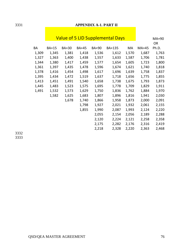## 3331 **APPENDIX A-1. PART II**

|       |       | <b>Value of 5 LID Supplemental Days</b> |       |       | MA+90  |       |       |           |
|-------|-------|-----------------------------------------|-------|-------|--------|-------|-------|-----------|
|       |       |                                         |       |       |        |       |       | <b>OR</b> |
| ВA    | BA+15 | BA+30                                   | BA+45 | BA+90 | BA+135 | МA    | MA+45 | Ph.D.     |
| 1,309 | 1,345 | 1,381                                   | 1,418 | 1,536 | 1,612  | 1,570 | 1,687 | 1,763     |
| 1,327 | 1,363 | 1,400                                   | 1,438 | 1,557 | 1,633  | 1,587 | 1,706 | 1,781     |
| 1,344 | 1,380 | 1,417                                   | 1,459 | 1,577 | 1,654  | 1,605 | 1,723 | 1,800     |
| 1,361 | 1,397 | 1,435                                   | 1,478 | 1,596 | 1,674  | 1,621 | 1,740 | 1,818     |
| 1,378 | 1,416 | 1,454                                   | 1,498 | 1,617 | 1,696  | 1,639 | 1,758 | 1,837     |
| 1,395 | 1,434 | 1,472                                   | 1,519 | 1,637 | 1,718  | 1,656 | 1,775 | 1,855     |
| 1,413 | 1,451 | 1,491                                   | 1,540 | 1,658 | 1,738  | 1,675 | 1,793 | 1,873     |
| 1,445 | 1,483 | 1,523                                   | 1,575 | 1,695 | 1,778  | 1,709 | 1,829 | 1,911     |
| 1,491 | 1,532 | 1,573                                   | 1,629 | 1,750 | 1,836  | 1,762 | 1,884 | 1,970     |
|       | 1,582 | 1,625                                   | 1,683 | 1,807 | 1,896  | 1,816 | 1,941 | 2,030     |
|       |       | 1,678                                   | 1,740 | 1,866 | 1,958  | 1,873 | 2,000 | 2,091     |
|       |       |                                         | 1,798 | 1,927 | 2,021  | 1,932 | 2,061 | 2,155     |
|       |       |                                         | 1,855 | 1,990 | 2,087  | 1,993 | 2,124 | 2,220     |
|       |       |                                         |       | 2,055 | 2,154  | 2,056 | 2,189 | 2,288     |
|       |       |                                         |       | 2,120 | 2,224  | 2,121 | 2,258 | 2,358     |
|       |       |                                         |       | 2,175 | 2,282  | 2,176 | 2,316 | 2,419     |
|       |       |                                         |       | 2,218 | 2,328  | 2,220 | 2,363 | 2,468     |

3332 3333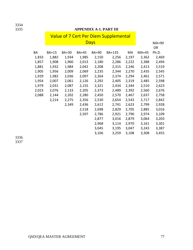## 3335 **APPENDIX A-1. PART III**

|       | <b>Value of 7 Cert Per Diem Supplemental</b> |       |              |             |         |       |       |       |
|-------|----------------------------------------------|-------|--------------|-------------|---------|-------|-------|-------|
|       |                                              |       |              |             | $MA+90$ |       |       |       |
|       |                                              |       |              | <b>Days</b> |         |       |       | OR    |
| ВA    | <b>BA+15</b>                                 | BA+30 | <b>BA+45</b> | BA+90       | BA+135  | MA    | MA+45 | Ph.D. |
| 1,833 | 1,882                                        | 1,934 | 1,985        | 2,150       | 2,256   | 2,197 | 2,362 | 2,469 |
| 1,857 | 1,908                                        | 1,960 | 2,013        | 2,180       | 2,286   | 2,222 | 2,388 | 2,494 |
| 1,881 | 1,932                                        | 1,984 | 2,042        | 2,208       | 2,315   | 2,246 | 2,413 | 2,519 |
| 1,905 | 1,956                                        | 2,009 | 2,069        | 2,235       | 2,344   | 2,270 | 2,435 | 2,545 |
| 1,929 | 1,982                                        | 2,036 | 2,097        | 2,264       | 2,374   | 2,294 | 2,461 | 2,571 |
| 1,954 | 2,007                                        | 2,061 | 2,126        | 2,292       | 2,405   | 2,319 | 2,485 | 2,598 |
| 1,979 | 2,031                                        | 2,087 | 2,155        | 2,321       | 2,434   | 2,344 | 2,510 | 2,623 |
| 2,023 | 2,076                                        | 2,133 | 2,205        | 2,373       | 2,489   | 2,392 | 2,560 | 2,676 |
| 2,088 | 2,144                                        | 2,202 | 2,280        | 2,450       | 2,570   | 2,467 | 2,637 | 2,758 |
|       | 2,214                                        | 2,275 | 2,356        | 2,530       | 2,654   | 2,543 | 2,717 | 2,842 |
|       |                                              | 2,349 | 2,436        | 2,612       | 2,741   | 2,623 | 2,799 | 2,928 |
|       |                                              |       | 2,518        | 2,698       | 2,829   | 2,705 | 2,885 | 3,016 |
|       |                                              |       | 2,597        | 2,786       | 2,921   | 2,790 | 2,974 | 3,109 |
|       |                                              |       |              | 2,877       | 3,016   | 2,879 | 3,064 | 3,203 |
|       |                                              |       |              | 2,968       | 3,114   | 2,970 | 3,161 | 3,301 |
|       |                                              |       |              | 3,045       | 3,195   | 3,047 | 3,243 | 3,387 |
|       |                                              |       |              | 3,106       | 3,259   | 3,108 | 3,308 | 3,455 |

3336 3337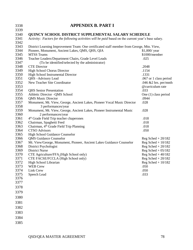| 3338         | <b>APPENDIX B. PART I</b>                                                                            |                              |
|--------------|------------------------------------------------------------------------------------------------------|------------------------------|
| 3339         |                                                                                                      |                              |
| 3340         | <b>QUINCY SCHOOL DISTRICT SUPPLEMENTAL SALARY SCHEDULE</b>                                           |                              |
| 3341         | Activity: Factors for the following activities will be paid based on the current year's base salary. |                              |
| 3342         |                                                                                                      |                              |
| 3343         | District Learning Improvement Team: One certificated staff member from George, Mtn. View,            |                              |
| 3344         | Pioneer, Monument, Ancient Lakes, QMS, QHS, QIA                                                      | $$1,000$ / year              |
| 3345         | <b>MTSS Teams</b>                                                                                    | \$1000/member                |
| 3346         | Teacher Leaders/Department Chairs, Grade Level Leads                                                 | .025                         |
| 3347         | (To be identified/selected by the administrator)                                                     |                              |
| 3348         | <b>CTE</b> Director                                                                                  | .2048                        |
| 3349         | <b>High School Chorus Director</b>                                                                   | .1154                        |
| 3350         | High School Instrumental Director                                                                    | .1331                        |
| 3351         | QHS-Advisory Lead                                                                                    | .067 or 1 class period       |
| 3352         | New Teacher Site Coordinator                                                                         | .046 $&2$ hrs. per/mnth      |
| 3353         |                                                                                                      | @curriculum rate             |
| 3354         | <b>QHS</b> Senior Presentation                                                                       | .033                         |
| 3355         | Athletic Director - QMS School                                                                       | One $(1)$ class period       |
| 3356         | <b>QMS</b> Music Director                                                                            | .0944                        |
| 3357         | Monument, Mt. View, George, Ancient Lakes, Pioneer Vocal Music Director                              | .028                         |
| 3358         | 3 performances/year                                                                                  |                              |
| 3359         | Monument, Mt. View, George, Ancient Lakes, Pioneer Instrumental Music                                | .028                         |
| 3360         | 2 performances/year                                                                                  |                              |
| 3361         | 4 <sup>th</sup> Grade Field Trip teacher chaperones                                                  | .018                         |
| 3362         | Chairman, Spaghetti Feed                                                                             | .018                         |
| 3363         | Chairman, 4 <sup>th</sup> Grade Field Trip Planning                                                  | .018                         |
| 3364         | <b>CTSO Advisors</b>                                                                                 | .050                         |
| 3365         | High School Guidance Counselor                                                                       |                              |
| 3366         | <b>QMS</b> Guidance Counselor                                                                        | Reg Sched $+20/182$          |
| 3367         | Mt. View/George, Monument, Pioneer, Ancient Lakes Guidance Counselor                                 | Reg Sched $+ 10/182$         |
| 3368         | District Psychologist                                                                                | Reg Sched $+20/182$          |
| 3369         | <b>District Nurse</b>                                                                                | Reg Sched $+05/182$          |
| 3370<br>3371 | CTE Agriculture/FFA (High School only)                                                               | Reg Sched $+40/182$          |
| 3372         | CTE FACSE/FCCLA (High School only)                                                                   | Reg Sched $+20/182$          |
| 3373         | High School Librarian<br><b>WEB Crew</b>                                                             | Reg Sched + $10/182$<br>.050 |
| 3374         | Link Crew                                                                                            | .050                         |
| 3375         | Speech Lead                                                                                          | .033                         |
| 3376         |                                                                                                      |                              |
| 3377         |                                                                                                      |                              |
|              |                                                                                                      |                              |
| 3378         |                                                                                                      |                              |
| 3379         |                                                                                                      |                              |
| 3380         |                                                                                                      |                              |
| 3381         |                                                                                                      |                              |
| 3382         |                                                                                                      |                              |
| 3383         |                                                                                                      |                              |
| 3384         |                                                                                                      |                              |
| 3385         |                                                                                                      |                              |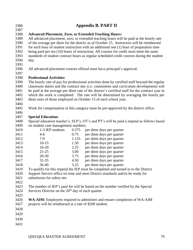| 3386<br>3387 |                                                                                                                                                                                       |                                                                                                                                                                                     | <b>Appendix B. PART II</b>                                                                      |  |  |  |  |
|--------------|---------------------------------------------------------------------------------------------------------------------------------------------------------------------------------------|-------------------------------------------------------------------------------------------------------------------------------------------------------------------------------------|-------------------------------------------------------------------------------------------------|--|--|--|--|
|              |                                                                                                                                                                                       |                                                                                                                                                                                     |                                                                                                 |  |  |  |  |
| 3388<br>3389 |                                                                                                                                                                                       |                                                                                                                                                                                     | <b>Advanced Placement, Zero, or Extended Teaching Hours:</b>                                    |  |  |  |  |
| 3390         | All advanced placement, zero, or extended teaching hours will be paid at the hourly rate<br>of the average per diem for the district as of October 15. Instructors will be reimbursed |                                                                                                                                                                                     |                                                                                                 |  |  |  |  |
| 3391         |                                                                                                                                                                                       |                                                                                                                                                                                     |                                                                                                 |  |  |  |  |
| 3392         |                                                                                                                                                                                       | for each hour of student instruction with an additional one (1) hour of preparation time<br>being paid per ten (10) hours of instruction. All courses for credit must meet the same |                                                                                                 |  |  |  |  |
| 3393         |                                                                                                                                                                                       |                                                                                                                                                                                     | standards of student contract hours as regular scheduled credit courses during the student      |  |  |  |  |
| 3394         | day.                                                                                                                                                                                  |                                                                                                                                                                                     |                                                                                                 |  |  |  |  |
| 3395         |                                                                                                                                                                                       |                                                                                                                                                                                     |                                                                                                 |  |  |  |  |
| 3396         |                                                                                                                                                                                       |                                                                                                                                                                                     | All advanced placement courses offered must have principal's approval.                          |  |  |  |  |
| 3397         |                                                                                                                                                                                       |                                                                                                                                                                                     |                                                                                                 |  |  |  |  |
| 3398         | <b>Professional Activities:</b>                                                                                                                                                       |                                                                                                                                                                                     |                                                                                                 |  |  |  |  |
| 3399         |                                                                                                                                                                                       |                                                                                                                                                                                     | The hourly rate of pay for professional activities done by certified staff beyond the regular   |  |  |  |  |
| 3400         |                                                                                                                                                                                       |                                                                                                                                                                                     | classroom duties and the contract day (i.e. committees and curriculum development) will         |  |  |  |  |
| 3401         |                                                                                                                                                                                       |                                                                                                                                                                                     | be paid at the average per diem rate of the district's certified staff for the contract year in |  |  |  |  |
| 3402         |                                                                                                                                                                                       |                                                                                                                                                                                     | which the work is completed. The rate will be determined by averaging the hourly per            |  |  |  |  |
| 3403         |                                                                                                                                                                                       |                                                                                                                                                                                     | diem rates of those employed on October 15 of each school year.                                 |  |  |  |  |
| 3404         |                                                                                                                                                                                       |                                                                                                                                                                                     |                                                                                                 |  |  |  |  |
| 3405         |                                                                                                                                                                                       |                                                                                                                                                                                     | Work for compensation in this category must be pre-approved by the district office.             |  |  |  |  |
| 3406         |                                                                                                                                                                                       |                                                                                                                                                                                     |                                                                                                 |  |  |  |  |
| 3407         | <b>Special Education:</b>                                                                                                                                                             |                                                                                                                                                                                     |                                                                                                 |  |  |  |  |
| 3408         |                                                                                                                                                                                       |                                                                                                                                                                                     | Special education teacher's, SLP's, OT's and PT's will be paid a stipend as follows based       |  |  |  |  |
| 3409         | on student case management numbers.                                                                                                                                                   |                                                                                                                                                                                     |                                                                                                 |  |  |  |  |
| 3410         | 1-3 IEP students                                                                                                                                                                      | 0.375                                                                                                                                                                               | per diem days per quarter                                                                       |  |  |  |  |
| 3411         | $4 - 6$                                                                                                                                                                               | 0.75                                                                                                                                                                                | per diem days per quarter                                                                       |  |  |  |  |
| 3412         | $7-9$                                                                                                                                                                                 | 1.125                                                                                                                                                                               | per diem days per quarter                                                                       |  |  |  |  |
| 3413         | $10-15$                                                                                                                                                                               | 1.50                                                                                                                                                                                | per diem days per quarter                                                                       |  |  |  |  |
| 3414         | $16 - 20$                                                                                                                                                                             | 2.25                                                                                                                                                                                | per diem days per quarter                                                                       |  |  |  |  |
| 3415         | $21 - 25$<br>$26 - 30$                                                                                                                                                                | 3.00                                                                                                                                                                                | per diem days per quarter<br>per diem days per quarter                                          |  |  |  |  |
| 3416<br>3417 | $31 - 35$                                                                                                                                                                             | 3.75<br>4.50                                                                                                                                                                        |                                                                                                 |  |  |  |  |
| 3418         | 36-40                                                                                                                                                                                 | 5.25                                                                                                                                                                                | per diem days per quarter<br>per diem days per quarter                                          |  |  |  |  |
| 3419         |                                                                                                                                                                                       |                                                                                                                                                                                     | To qualify for this stipend the IEP must be completed and turned in to the District             |  |  |  |  |
| 3420         |                                                                                                                                                                                       |                                                                                                                                                                                     | Support Service office on time and meet District standards and/or be ready for                  |  |  |  |  |
| 3421         | submission for safety net.                                                                                                                                                            |                                                                                                                                                                                     |                                                                                                 |  |  |  |  |
| 3422         |                                                                                                                                                                                       |                                                                                                                                                                                     |                                                                                                 |  |  |  |  |
| 3423         |                                                                                                                                                                                       |                                                                                                                                                                                     | The number of IEP's paid for will be based on the number verified by the Special                |  |  |  |  |
| 3424         | Services Director on the 20 <sup>th</sup> day of each quarter.                                                                                                                        |                                                                                                                                                                                     |                                                                                                 |  |  |  |  |
| 3425         |                                                                                                                                                                                       |                                                                                                                                                                                     |                                                                                                 |  |  |  |  |
| 3426         |                                                                                                                                                                                       |                                                                                                                                                                                     | <b>WA-AIM:</b> Employees required to administer and ensure completion of WA-AIM                 |  |  |  |  |
| 3427         | projects will be reimbursed at a rate of \$200 student.                                                                                                                               |                                                                                                                                                                                     |                                                                                                 |  |  |  |  |
| 3428         |                                                                                                                                                                                       |                                                                                                                                                                                     |                                                                                                 |  |  |  |  |
| 3429         |                                                                                                                                                                                       |                                                                                                                                                                                     |                                                                                                 |  |  |  |  |
| 3430         |                                                                                                                                                                                       |                                                                                                                                                                                     |                                                                                                 |  |  |  |  |
|              |                                                                                                                                                                                       |                                                                                                                                                                                     |                                                                                                 |  |  |  |  |
| 3431         |                                                                                                                                                                                       |                                                                                                                                                                                     |                                                                                                 |  |  |  |  |
|              |                                                                                                                                                                                       |                                                                                                                                                                                     |                                                                                                 |  |  |  |  |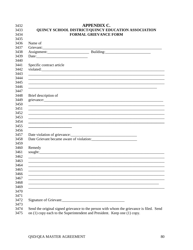|                                                                                                                  | <b>APPENDIX C.</b>                                                                                                   |
|------------------------------------------------------------------------------------------------------------------|----------------------------------------------------------------------------------------------------------------------|
|                                                                                                                  | QUINCY SCHOOL DISTRICT/QUINCY EDUCATION ASSOCIATION                                                                  |
|                                                                                                                  | <b>FORMAL GRIEVANCE FORM</b>                                                                                         |
| Name of                                                                                                          |                                                                                                                      |
|                                                                                                                  |                                                                                                                      |
|                                                                                                                  | Grievant:                                                                                                            |
|                                                                                                                  |                                                                                                                      |
| Specific contract article                                                                                        |                                                                                                                      |
|                                                                                                                  |                                                                                                                      |
|                                                                                                                  |                                                                                                                      |
|                                                                                                                  |                                                                                                                      |
|                                                                                                                  | <u> 1990 - Jan James James James James James James James James James James James James James James James James J</u> |
| Brief description of                                                                                             |                                                                                                                      |
|                                                                                                                  | grievance:                                                                                                           |
|                                                                                                                  |                                                                                                                      |
|                                                                                                                  |                                                                                                                      |
|                                                                                                                  | <u> 1989 - Jan James James James James James James James James James James James James James James James James J</u> |
| the control of the control of the control of the control of the control of the control of                        | <u> 1989 - Jan James James James James James James James James James James James James James James James James J</u> |
|                                                                                                                  |                                                                                                                      |
|                                                                                                                  |                                                                                                                      |
|                                                                                                                  |                                                                                                                      |
| Remedy                                                                                                           |                                                                                                                      |
|                                                                                                                  |                                                                                                                      |
|                                                                                                                  |                                                                                                                      |
| and the control of the control of the control of the control of the control of the control of the control of the |                                                                                                                      |
|                                                                                                                  |                                                                                                                      |
|                                                                                                                  |                                                                                                                      |
|                                                                                                                  |                                                                                                                      |
|                                                                                                                  |                                                                                                                      |
|                                                                                                                  |                                                                                                                      |
|                                                                                                                  |                                                                                                                      |
|                                                                                                                  |                                                                                                                      |
| Signature of Grievant:                                                                                           |                                                                                                                      |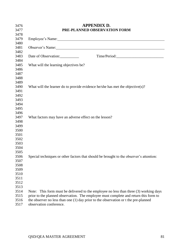| 3476 |                                                        | <b>APPENDIX D.</b>                                                                                             |
|------|--------------------------------------------------------|----------------------------------------------------------------------------------------------------------------|
| 3477 |                                                        | PRE-PLANNED OBSERVATION FORM                                                                                   |
| 3478 |                                                        |                                                                                                                |
| 3479 |                                                        | Employee's Name: 1988                                                                                          |
| 3480 |                                                        |                                                                                                                |
| 3481 |                                                        | Observer's Name: 1988 and 1988 and 1988 and 1988 and 1988 and 1988 and 1988 and 1988 and 1988 and 1988 and 198 |
| 3482 |                                                        |                                                                                                                |
| 3483 | Date of Observation:                                   |                                                                                                                |
| 3484 |                                                        |                                                                                                                |
| 3485 | What will the learning objectives be?                  |                                                                                                                |
| 3486 |                                                        |                                                                                                                |
| 3487 |                                                        |                                                                                                                |
| 3488 |                                                        |                                                                                                                |
| 3489 |                                                        |                                                                                                                |
| 3490 |                                                        | What will the learner do to provide evidence he/she has met the objective(s)?                                  |
| 3491 |                                                        |                                                                                                                |
| 3492 |                                                        |                                                                                                                |
| 3493 |                                                        |                                                                                                                |
| 3494 |                                                        |                                                                                                                |
| 3495 |                                                        |                                                                                                                |
| 3496 |                                                        |                                                                                                                |
| 3497 | What factors may have an adverse effect on the lesson? |                                                                                                                |
| 3498 |                                                        |                                                                                                                |
| 3499 |                                                        |                                                                                                                |
| 3500 |                                                        |                                                                                                                |
| 3501 |                                                        |                                                                                                                |
| 3502 |                                                        |                                                                                                                |
| 3503 |                                                        |                                                                                                                |
| 3504 |                                                        |                                                                                                                |
| 3505 |                                                        |                                                                                                                |
| 3506 |                                                        | Special techniques or other factors that should be brought to the observer's attention:                        |
| 3507 |                                                        |                                                                                                                |
| 3508 |                                                        |                                                                                                                |
| 3509 |                                                        |                                                                                                                |
| 3510 |                                                        |                                                                                                                |
| 3511 |                                                        |                                                                                                                |
| 3512 |                                                        |                                                                                                                |
| 3513 |                                                        |                                                                                                                |
| 3514 | Note:                                                  | This form must be delivered to the employee no less than three (3) working days                                |
| 3515 |                                                        | prior to the planned observation. The employee must complete and return this form to                           |
| 3516 |                                                        | the observer no less than one $(1)$ day prior to the observation or t the pre-planned                          |
| 3517 | observation conference.                                |                                                                                                                |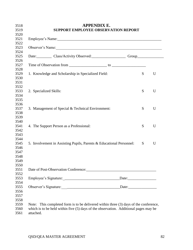| Observer's Name:                                                                      |   |  |
|---------------------------------------------------------------------------------------|---|--|
|                                                                                       |   |  |
| Date: Class/Activity Observed: Group                                                  |   |  |
|                                                                                       |   |  |
|                                                                                       |   |  |
| 1. Knowledge and Scholarship in Specialized Field:                                    | S |  |
|                                                                                       |   |  |
|                                                                                       |   |  |
|                                                                                       |   |  |
| 2. Specialized Skills:                                                                | S |  |
|                                                                                       |   |  |
|                                                                                       |   |  |
| 3. Management of Special & Technical Environment:                                     | S |  |
|                                                                                       |   |  |
|                                                                                       |   |  |
|                                                                                       |   |  |
| 4. The Support Person as a Professional:                                              | S |  |
|                                                                                       |   |  |
|                                                                                       |   |  |
|                                                                                       |   |  |
| 5. Involvement in Assisting Pupils, Parents & Educational Personnel:                  | S |  |
|                                                                                       |   |  |
|                                                                                       |   |  |
|                                                                                       |   |  |
|                                                                                       |   |  |
|                                                                                       |   |  |
|                                                                                       |   |  |
|                                                                                       |   |  |
|                                                                                       |   |  |
|                                                                                       |   |  |
|                                                                                       |   |  |
|                                                                                       |   |  |
| Note: This completed form is to be delivered within three (3) days of the conference, |   |  |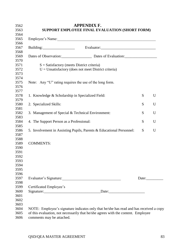| Employee's Name: 1988. [19] Manual Manual Manual Manual Manual Manual Manual Manual Manual Manual Manual Manua<br>Building: Evaluator: Evaluator:<br>Dates of Observation: Dates of Evaluation:<br>$S = S$ atisfactory (meets District criteria)<br>$U =$ Unsatisfactory (does not meet District criteria)<br>Note: Any "U" rating requires the use of the long form.<br>1. Knowledge & Scholarship in Specialized Field:<br>S<br>2. Specialized Skills:<br>S<br>S<br>3. Management of Special & Technical Environment:<br>S<br>4. The Support Person as a Professional:<br>S<br>5. Involvement in Assisting Pupils, Parents & Educational Personnel:<br><b>COMMENTS:</b><br>Evaluator's Signature:<br>Date: $\_\_\_\_\_\_\_\_\_\_\_\_\_$<br>Certificated Employee's |                           |  |  |
|----------------------------------------------------------------------------------------------------------------------------------------------------------------------------------------------------------------------------------------------------------------------------------------------------------------------------------------------------------------------------------------------------------------------------------------------------------------------------------------------------------------------------------------------------------------------------------------------------------------------------------------------------------------------------------------------------------------------------------------------------------------------|---------------------------|--|--|
|                                                                                                                                                                                                                                                                                                                                                                                                                                                                                                                                                                                                                                                                                                                                                                      |                           |  |  |
|                                                                                                                                                                                                                                                                                                                                                                                                                                                                                                                                                                                                                                                                                                                                                                      |                           |  |  |
|                                                                                                                                                                                                                                                                                                                                                                                                                                                                                                                                                                                                                                                                                                                                                                      |                           |  |  |
|                                                                                                                                                                                                                                                                                                                                                                                                                                                                                                                                                                                                                                                                                                                                                                      |                           |  |  |
|                                                                                                                                                                                                                                                                                                                                                                                                                                                                                                                                                                                                                                                                                                                                                                      |                           |  |  |
|                                                                                                                                                                                                                                                                                                                                                                                                                                                                                                                                                                                                                                                                                                                                                                      |                           |  |  |
|                                                                                                                                                                                                                                                                                                                                                                                                                                                                                                                                                                                                                                                                                                                                                                      |                           |  |  |
|                                                                                                                                                                                                                                                                                                                                                                                                                                                                                                                                                                                                                                                                                                                                                                      |                           |  |  |
|                                                                                                                                                                                                                                                                                                                                                                                                                                                                                                                                                                                                                                                                                                                                                                      |                           |  |  |
|                                                                                                                                                                                                                                                                                                                                                                                                                                                                                                                                                                                                                                                                                                                                                                      |                           |  |  |
|                                                                                                                                                                                                                                                                                                                                                                                                                                                                                                                                                                                                                                                                                                                                                                      |                           |  |  |
|                                                                                                                                                                                                                                                                                                                                                                                                                                                                                                                                                                                                                                                                                                                                                                      |                           |  |  |
|                                                                                                                                                                                                                                                                                                                                                                                                                                                                                                                                                                                                                                                                                                                                                                      |                           |  |  |
|                                                                                                                                                                                                                                                                                                                                                                                                                                                                                                                                                                                                                                                                                                                                                                      |                           |  |  |
|                                                                                                                                                                                                                                                                                                                                                                                                                                                                                                                                                                                                                                                                                                                                                                      |                           |  |  |
|                                                                                                                                                                                                                                                                                                                                                                                                                                                                                                                                                                                                                                                                                                                                                                      |                           |  |  |
|                                                                                                                                                                                                                                                                                                                                                                                                                                                                                                                                                                                                                                                                                                                                                                      |                           |  |  |
|                                                                                                                                                                                                                                                                                                                                                                                                                                                                                                                                                                                                                                                                                                                                                                      |                           |  |  |
|                                                                                                                                                                                                                                                                                                                                                                                                                                                                                                                                                                                                                                                                                                                                                                      |                           |  |  |
|                                                                                                                                                                                                                                                                                                                                                                                                                                                                                                                                                                                                                                                                                                                                                                      |                           |  |  |
|                                                                                                                                                                                                                                                                                                                                                                                                                                                                                                                                                                                                                                                                                                                                                                      |                           |  |  |
|                                                                                                                                                                                                                                                                                                                                                                                                                                                                                                                                                                                                                                                                                                                                                                      |                           |  |  |
|                                                                                                                                                                                                                                                                                                                                                                                                                                                                                                                                                                                                                                                                                                                                                                      |                           |  |  |
|                                                                                                                                                                                                                                                                                                                                                                                                                                                                                                                                                                                                                                                                                                                                                                      |                           |  |  |
|                                                                                                                                                                                                                                                                                                                                                                                                                                                                                                                                                                                                                                                                                                                                                                      |                           |  |  |
|                                                                                                                                                                                                                                                                                                                                                                                                                                                                                                                                                                                                                                                                                                                                                                      |                           |  |  |
|                                                                                                                                                                                                                                                                                                                                                                                                                                                                                                                                                                                                                                                                                                                                                                      |                           |  |  |
| NOTE: Employee's signature indicates only that he/she has read and has received a copy                                                                                                                                                                                                                                                                                                                                                                                                                                                                                                                                                                                                                                                                               |                           |  |  |
| of this evaluation, not necessarily that he/she agrees with the content. Employee                                                                                                                                                                                                                                                                                                                                                                                                                                                                                                                                                                                                                                                                                    | comments may be attached. |  |  |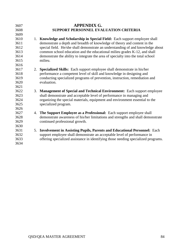| 3607 |    | <b>APPENDIX G.</b>                                                                 |
|------|----|------------------------------------------------------------------------------------|
| 3608 |    | <b>SUPPORT PERSONNEL EVALUATION CRITERIA</b>                                       |
| 3609 |    |                                                                                    |
| 3610 |    | 1. Knowledge and Scholarship in Special Field: Each support employee shall         |
| 3611 |    | demonstrate a depth and breadth of knowledge of theory and content in the          |
| 3612 |    | special field. He/she shall demonstrate an understanding of and knowledge about    |
| 3613 |    | common school education and the educational milieu grades K-12, and shall          |
| 3614 |    | demonstrate the ability to integrate the area of specialty into the total school   |
| 3615 |    | milieu.                                                                            |
| 3616 |    |                                                                                    |
| 3617 | 2. | <b>Specialized Skills:</b> Each support employee shall demonstrate in his/her      |
| 3618 |    | performance a competent level of skill and knowledge in designing and              |
| 3619 |    | conducting specialized programs of prevention, instruction, remediation and        |
| 3620 |    | evaluation.                                                                        |
| 3621 |    |                                                                                    |
| 3622 | 3. | <b>Management of Special and Technical Environment:</b> Each support employee      |
| 3623 |    | shall demonstrate and acceptable level of performance in managing and              |
| 3624 |    | organizing the special materials, equipment and environment essential to the       |
| 3625 |    | specialized program.                                                               |
| 3626 |    |                                                                                    |
| 3627 | 4. | The Support Employee as a Professional: Each support employee shall                |
| 3628 |    | demonstrate awareness of his/her limitations and strengths and shall demonstrate   |
| 3629 |    | continued professional growth.                                                     |
| 3630 |    |                                                                                    |
| 3631 | 5. | <b>Involvement in Assisting Pupils, Parents and Educational Personnel:</b> Each    |
| 3632 |    | support employee shall demonstrate an acceptable level of performance in           |
| 3633 |    | offering specialized assistance in identifying those needing specialized programs. |
| 3634 |    |                                                                                    |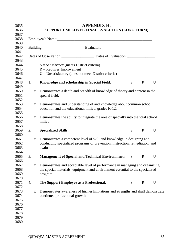|        |                                                                                              | <b>APPENDIX H.</b> |   |             |  |
|--------|----------------------------------------------------------------------------------------------|--------------------|---|-------------|--|
|        | SUPPORT EMPLOYEE FINAL EVALUTION (LONG FORM)                                                 |                    |   |             |  |
|        |                                                                                              |                    |   |             |  |
|        |                                                                                              |                    |   |             |  |
|        | Building: Evaluator: Evaluator:                                                              |                    |   |             |  |
|        |                                                                                              |                    |   |             |  |
|        |                                                                                              |                    |   |             |  |
|        | $S = Satisfactory$ (meets District criteria)                                                 |                    |   |             |  |
|        | $R =$ Requires Improvement                                                                   |                    |   |             |  |
|        | $U =$ Unsatisfactory (does not meet District criteria)                                       |                    |   |             |  |
| 1.     | <b>Knowledge and scholarship in Special Field:</b>                                           |                    | S | $\mathbf R$ |  |
| $\Box$ | Demonstrates a depth and breadth of knowledge of theory and content in the<br>special field. |                    |   |             |  |
| $\Box$ | Demonstrates and understanding of and knowledge about common school                          |                    |   |             |  |
|        | education and the educational milieu, grades K-12.                                           |                    |   |             |  |
|        |                                                                                              |                    |   |             |  |
| $\Box$ | Demonstrates the ability to integrate the area of specialty into the total school            |                    |   |             |  |
|        | milieu.                                                                                      |                    |   |             |  |
|        |                                                                                              |                    |   |             |  |
| 2.     | <b>Specialized Skills:</b>                                                                   |                    | S | $\mathbf R$ |  |
|        |                                                                                              |                    |   |             |  |
| $\Box$ | Demonstrates a competent level of skill and knowledge in designing and                       |                    |   |             |  |
|        | conducting specialized programs of prevention, instruction, remediation, and                 |                    |   |             |  |
|        | evaluation.                                                                                  |                    |   |             |  |
|        |                                                                                              |                    |   |             |  |
| 3.     | <b>Management of Special and Technical Environment:</b>                                      |                    | S | $\mathbf R$ |  |
|        |                                                                                              |                    |   |             |  |
|        | $\Box$ Demonstrates and acceptable level of performance in managing and organizing           |                    |   |             |  |
|        | the special materials, equipment and environment essential to the specialized                |                    |   |             |  |
|        | program.                                                                                     |                    |   |             |  |
|        |                                                                                              |                    |   |             |  |
| 4.     | The Support Employee as a Professional:                                                      |                    | S | $\mathbf R$ |  |
|        |                                                                                              |                    |   |             |  |
| $\Box$ | Demonstrates awareness of his/her limitations and strengths and shall demonstrate            |                    |   |             |  |
|        | continued professional growth                                                                |                    |   |             |  |
|        |                                                                                              |                    |   |             |  |
|        |                                                                                              |                    |   |             |  |
|        |                                                                                              |                    |   |             |  |
|        |                                                                                              |                    |   |             |  |
|        |                                                                                              |                    |   |             |  |
|        |                                                                                              |                    |   |             |  |
|        |                                                                                              |                    |   |             |  |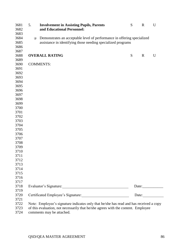| 3681<br>3682 | 5.     | <b>Involvement in Assisting Pupils, Parents</b><br>and Educational Personnel:          | S | $\mathbf R$ | U     |
|--------------|--------|----------------------------------------------------------------------------------------|---|-------------|-------|
| 3683         |        |                                                                                        |   |             |       |
| 3684         | $\Box$ | Demonstrates an acceptable level of performance in offering specialized                |   |             |       |
| 3685         |        | assistance in identifying those needing specialized programs                           |   |             |       |
| 3686         |        |                                                                                        |   |             |       |
| 3687         |        |                                                                                        |   |             |       |
| 3688         |        | <b>OVERALL RATING</b>                                                                  | S | $\mathbf R$ | U     |
| 3689         |        |                                                                                        |   |             |       |
| 3690         |        | <b>COMMENTS:</b>                                                                       |   |             |       |
| 3691         |        |                                                                                        |   |             |       |
| 3692         |        |                                                                                        |   |             |       |
| 3693         |        |                                                                                        |   |             |       |
| 3694         |        |                                                                                        |   |             |       |
| 3695         |        |                                                                                        |   |             |       |
| 3696         |        |                                                                                        |   |             |       |
| 3697         |        |                                                                                        |   |             |       |
| 3698         |        |                                                                                        |   |             |       |
| 3699         |        |                                                                                        |   |             |       |
| 3700         |        |                                                                                        |   |             |       |
| 3701         |        |                                                                                        |   |             |       |
| 3702         |        |                                                                                        |   |             |       |
| 3703         |        |                                                                                        |   |             |       |
| 3704         |        |                                                                                        |   |             |       |
| 3705         |        |                                                                                        |   |             |       |
| 3706         |        |                                                                                        |   |             |       |
| 3707         |        |                                                                                        |   |             |       |
| 3708         |        |                                                                                        |   |             |       |
| 3709         |        |                                                                                        |   |             |       |
| 3710         |        |                                                                                        |   |             |       |
| 3711         |        |                                                                                        |   |             |       |
| 3712         |        |                                                                                        |   |             |       |
| 3713         |        |                                                                                        |   |             |       |
| 3714         |        |                                                                                        |   |             |       |
| 3715         |        |                                                                                        |   |             |       |
| 3716         |        |                                                                                        |   |             |       |
| 3717         |        |                                                                                        |   |             |       |
| 3718         |        |                                                                                        |   |             | Date: |
| 3719         |        |                                                                                        |   |             |       |
| 3720         |        | Certificated Employee's Signature:                                                     |   |             | Date: |
| 3721         |        |                                                                                        |   |             |       |
| 3722         |        | Note: Employee's signature indicates only that he/she has read and has received a copy |   |             |       |
| 3723         |        | of this evaluation, not necessarily that he/she agrees with the content. Employee      |   |             |       |
| 3724         |        | comments may be attached.                                                              |   |             |       |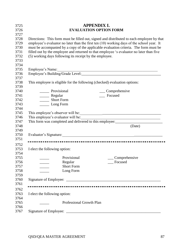| 3725 | <b>APPENDIX I.</b>                                                                                                                                          |  |  |  |  |  |
|------|-------------------------------------------------------------------------------------------------------------------------------------------------------------|--|--|--|--|--|
| 3726 | <b>EVALUATION OPTION FORM</b>                                                                                                                               |  |  |  |  |  |
| 3727 |                                                                                                                                                             |  |  |  |  |  |
| 3728 | Directions: This form must be filled out, signed and distributed to each employee by that                                                                   |  |  |  |  |  |
| 3729 | employee's evaluator no later than the first ten (10) working days of the school year. It                                                                   |  |  |  |  |  |
| 3730 | must be accompanied by a copy of the applicable evaluation criteria. The form must be                                                                       |  |  |  |  |  |
| 3731 | filled out by the employee and returned to that employee 's evaluator no later than five                                                                    |  |  |  |  |  |
| 3732 | (5) working days following its receipt by the employee.                                                                                                     |  |  |  |  |  |
| 3733 |                                                                                                                                                             |  |  |  |  |  |
| 3734 |                                                                                                                                                             |  |  |  |  |  |
| 3735 |                                                                                                                                                             |  |  |  |  |  |
| 3736 |                                                                                                                                                             |  |  |  |  |  |
| 3737 |                                                                                                                                                             |  |  |  |  |  |
| 3738 | This employee is eligible for the following (checked) evaluation options:                                                                                   |  |  |  |  |  |
| 3739 |                                                                                                                                                             |  |  |  |  |  |
| 3740 | _______ Provisional<br>__ Comprehensive                                                                                                                     |  |  |  |  |  |
| 3741 | __ Focused<br>_______ Regular                                                                                                                               |  |  |  |  |  |
| 3742 | Short Form                                                                                                                                                  |  |  |  |  |  |
| 3743 | Long Form                                                                                                                                                   |  |  |  |  |  |
| 3744 |                                                                                                                                                             |  |  |  |  |  |
| 3745 | This employee's observer will be:                                                                                                                           |  |  |  |  |  |
| 3746 | This employee's evaluator will be:<br><u> 1990 - Johann John Stoff, deutscher Stoffen und der Stoffen und der Stoffen und der Stoffen und der Stoffen u</u> |  |  |  |  |  |
| 3747 |                                                                                                                                                             |  |  |  |  |  |
| 3748 | (Date)                                                                                                                                                      |  |  |  |  |  |
| 3749 |                                                                                                                                                             |  |  |  |  |  |
| 3750 |                                                                                                                                                             |  |  |  |  |  |
| 3751 |                                                                                                                                                             |  |  |  |  |  |
| 3752 |                                                                                                                                                             |  |  |  |  |  |
| 3753 | I elect the following option:                                                                                                                               |  |  |  |  |  |
| 3754 |                                                                                                                                                             |  |  |  |  |  |
| 3755 | Provisional<br>Comprehensive                                                                                                                                |  |  |  |  |  |
| 3756 | Focused<br>Regular                                                                                                                                          |  |  |  |  |  |
| 3757 | <b>Short Form</b>                                                                                                                                           |  |  |  |  |  |
| 3758 | Long Form                                                                                                                                                   |  |  |  |  |  |
| 3759 |                                                                                                                                                             |  |  |  |  |  |
| 3760 |                                                                                                                                                             |  |  |  |  |  |
| 3761 |                                                                                                                                                             |  |  |  |  |  |
| 3762 |                                                                                                                                                             |  |  |  |  |  |
| 3763 | I elect the following option:                                                                                                                               |  |  |  |  |  |
| 3764 |                                                                                                                                                             |  |  |  |  |  |
| 3765 | <b>Professional Growth Plan</b>                                                                                                                             |  |  |  |  |  |
| 3766 |                                                                                                                                                             |  |  |  |  |  |
| 3767 |                                                                                                                                                             |  |  |  |  |  |
|      |                                                                                                                                                             |  |  |  |  |  |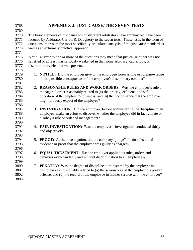| 3768         | <b>APPENDIX J. JUST CAUSE/THE SEVEN TESTS</b>                                                                                                                           |
|--------------|-------------------------------------------------------------------------------------------------------------------------------------------------------------------------|
| 3769         |                                                                                                                                                                         |
| 3770         | The basic elements of just cause which different arbitrators have emphasized have been                                                                                  |
| 3771         | reduced by Arbitrator Carroll R. Daugherty to the seven tests. These tests, in the form of                                                                              |
| 3772         | questions, represent the most specifically articulated analysis of the just cause standard as                                                                           |
| 3773         | well as an extremely practical approach.                                                                                                                                |
| 3774         |                                                                                                                                                                         |
| 3775         | A "no" answer to one or more of the questions may mean that just cause either was not                                                                                   |
| 3776         | satisfied or at least was seriously weakened in that some arbitrary, capricious, or                                                                                     |
| 3777         | discriminatory element was present.                                                                                                                                     |
| 3778         |                                                                                                                                                                         |
| 3779         | 1. NOTICE: Did the employer give to the employee forewarning or foreknowledge                                                                                           |
| 3780         | of the possible consequences of the employee's disciplinary conduct?                                                                                                    |
| 3781         |                                                                                                                                                                         |
| 3782         | 2. REASONABLE RULES AND WORK ORDERS: Was the employer's rule or                                                                                                         |
| 3783         | managerial order reasonably related to (a) the orderly, efficient, and safe                                                                                             |
| 3784         | operation of the employer's business, and (b) the performance that the employer                                                                                         |
| 3785         | might properly expect of the employee?                                                                                                                                  |
| 3786         |                                                                                                                                                                         |
| 3787         | 3. <b>INVESTIGATION:</b> Did the employer, before administering the discipline to an                                                                                    |
| 3788         | employee, make an effort to discover whether the employee did in fact violate or                                                                                        |
| 3789         | disobey a rule or order of management?                                                                                                                                  |
| 3790         |                                                                                                                                                                         |
| 3791         | 4. FAIR INVESTIGATION: Was the employer's investigation conducted fairly                                                                                                |
| 3792         | and objectively?                                                                                                                                                        |
| 3793         |                                                                                                                                                                         |
| 3794         | 5. <b>PROOF:</b> At the investigation, did the company "judge" obtain substantial                                                                                       |
| 3795         | evidence or proof that the employee was guilty as charged?                                                                                                              |
| 3796         |                                                                                                                                                                         |
| 3797         | 6. EQUAL TREATMENT: Has the employer applied its rules, orders and                                                                                                      |
| 3798         | penalties even-handedly and without discrimination to all employees?                                                                                                    |
| 3799         |                                                                                                                                                                         |
| 3800<br>3801 | 7. <b>PENATLY:</b> Was the degree of discipline administered by the employer in a<br>particular case reasonably related to (a) the seriousness of the employee's proven |
| 3802         | offense, and (b) the record of the employee in his/her service with the employer?                                                                                       |
| 3803         |                                                                                                                                                                         |
|              |                                                                                                                                                                         |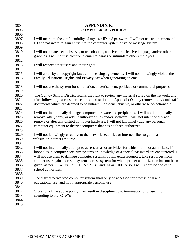| 3804 | <b>APPENDIX K.</b>                                                                               |
|------|--------------------------------------------------------------------------------------------------|
| 3805 | <b>COMPUTER USE POLICY</b>                                                                       |
| 3806 |                                                                                                  |
| 3807 | I will maintain the confidentiality of my user ID and password. I will not use another person's  |
| 3808 | ID and password to gain entry into the computer system or voice message system.                  |
| 3809 |                                                                                                  |
| 3810 | I will not create, seek observe, or use obscene, abusive, or offensive language and/or other     |
| 3811 | graphics. I will not use electronic email to harass or intimidate other employees.               |
| 3812 |                                                                                                  |
| 3813 | I will respect other users and their rights.                                                     |
| 3814 |                                                                                                  |
| 3815 | I will abide by all copyright laws and licensing agreements. I will not knowingly violate the    |
| 3816 | Family Educational Rights and Privacy Act when generating an email.                              |
| 3817 |                                                                                                  |
| 3818 | I will not use the system for solicitation, advertisement, political, or commercial purposes.    |
| 3819 |                                                                                                  |
| 3820 | The Quincy School District retains the right to review any material stored on the network, and   |
| 3821 | after following just cause procedures as described in Appendix O, may remove individual staff    |
| 3822 | documents which are deemed to be unlawful, obscene, abusive, or otherwise objectionable.         |
| 3823 |                                                                                                  |
| 3824 | I will not intentionally damage computer hardware and peripherals. I will not intentionally      |
| 3825 | remove, alter, copy, or add unauthorized files and/or software. I will not intentionally add,    |
| 3826 | remove or alter any district computer hardware. I will not knowingly add any personal            |
| 3827 | computer equipment to district computers that has not been authorized.                           |
| 3828 |                                                                                                  |
| 3829 | I will not knowingly circumvent the network securities or internet filter to get to a            |
| 3830 | website or internet resource.                                                                    |
| 3831 |                                                                                                  |
| 3832 | I will not intentionally attempt to access areas or activities for which I am not authorized. If |
| 3833 | loopholes in computer security systems or knowledge of a special password are encountered, I     |
| 3834 | will not use them to damage computer systems, obtain extra resources, take resources from        |
| 3835 | another user, gain access to systems, or use system for which proper authorization has not been  |
| 3836 | given, as per RCW 9A.52.110, 9A.52.130, and 9A.48.100. Also, I will report loopholes to          |
| 3837 | school authorities.                                                                              |
| 3838 |                                                                                                  |
| 3839 | The district networked computer system shall only be accessed for professional and               |
| 3840 | educational use, and not inappropriate personal use.                                             |
| 3841 |                                                                                                  |
| 3842 | Violation of the above policy may result in discipline up to termination or prosecution          |
| 3843 | according to the RCW's.                                                                          |
| 3844 |                                                                                                  |
| 3845 |                                                                                                  |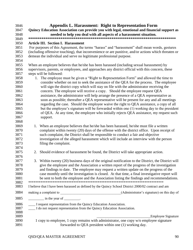| 3846 | <b>Appendix L. Harassment: Right to Representation Form</b>                                          |
|------|------------------------------------------------------------------------------------------------------|
| 3847 | Quincy Education Association can provide you with legal, emotional and financial support as          |
| 3848 | needed to help you deal with all aspects of a harassment situation.                                  |
| 3849 |                                                                                                      |
| 3850 | <b>Article III. Section I. Harassment</b>                                                            |
| 3851 | For purposes of this Agreement, the terms "harass" and "harassment" shall mean words, gestures       |
| 3852 | (including offensive touching), that inconvenience or are punitive, and/or actions which threaten or |
| 3853 | demean the individual and serve no legitimate professional purpose.                                  |
| 3854 |                                                                                                      |
| 3855 | When an employee believes that he/she has been harassed (including sexual harassment) by             |
| 3856 | supervisors, parents, or employees, and approaches any district official with this concern, these    |
| 3857 | steps will be followed:                                                                              |
| 3858 | The employee must be given a "Right to Representation Form" and allowed the time to                  |
| 3859 | consider whether on not to seek the assistance of the QEA for the process. The employee              |
| 3860 | will sign the district copy which will stay on file with the administrator receiving the             |
| 3861 | concern. The employee will receive a copy. Should the employee request QEA                           |
| 3862 | assistance, the administrator will help arrange the presence of a QEA representative as              |
| 3863 | soon as possible; thereafter a QEA representative will be present for any and all meetings           |
| 3864 | regarding the case. Should the employee waive the right to QEA assistance, a copy of all             |
| 3865 | but the employee's signature will be forwarded within one (1) working day to the president           |
| 3866 | of QEA. At any time, the employee who initially rejects QEA assistance, my request such              |
| 3867 | support.                                                                                             |
| 3868 |                                                                                                      |
| 3869 | 1. When an employee believes that he/she has been harassed, he/she must file a written               |
| 3870 | complaint within twenty (20) days of the offense with the district office. Upon receipt of           |
| 3871 | such complaint, the District shall be responsible to conduct a fair and objective                    |
| 3872 | investigation of the alleged harassment which will include an interview with the person              |
| 3873 | filing the complaint.                                                                                |
| 3874 |                                                                                                      |
| 3875 | 2. Should evidence of harassment be found, the District will take appropriate action.                |
| 3876 |                                                                                                      |
| 3877 | 3. Within twenty (20) business days of the original notification to the District, the District will  |
| 3878 | give the employee and the Association a written report of the progress of the investigation          |
| 3879 | and findings to date. The employee may request a written update on the progress of the               |
| 3880 | case monthly until the investigation is closed. At that time, a final investigative report will      |
| 3881 | be sent to both the employee and the Association listing the findings and recommendations.           |
| 3882 |                                                                                                      |
| 3883 | I believe that I have been harassed as defined by the Quincy School District 2000/02 contract and am |
| 3884 |                                                                                                      |
| 3885 | $\frac{1}{\sqrt{1-\frac{1}{2}}}\text{in the year of }$                                               |
| 3886 | I request representation from the Quincy Education Association.                                      |
| 3887 | I do not request representation from the Quincy Education Association.                               |
| 3888 |                                                                                                      |
| 3889 | <b>Employee Signature</b>                                                                            |
| 3890 | 1 copy to employee, 1 copy remains with administrator, one copy w/o employee signature               |
| 3891 | forwarded to QEA president within one (1) working day.                                               |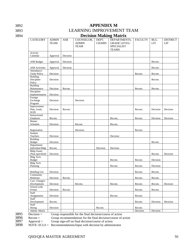## 3892 **APPENDIX M**

# 3893 LEARNING IMPROVEMENT TEAM

## 3894 **Decision Making Matrix**

| <b>CATEGORY</b>                                      | <b>ADMIN</b><br><b>TEAM</b> | ASB      | COUNSELOR,<br><b>ADMIN</b><br><b>TEAM</b>                 | DEPT.<br><b>CHAIRS</b> | DEPARTMENTS,<br><b>GRADE LEVEL/</b><br><b>SPECIALIST</b><br><b>TEAMS</b> | <b>FACULTY</b> | BLG.<br><b>LIT</b> | <b>DISTRICT</b><br><b>LIT</b> |
|------------------------------------------------------|-----------------------------|----------|-----------------------------------------------------------|------------------------|--------------------------------------------------------------------------|----------------|--------------------|-------------------------------|
| Activity<br>Calendar                                 | Approval                    | Decision |                                                           |                        |                                                                          |                |                    |                               |
| <b>ASB</b> Budget                                    | Approval                    | Decision |                                                           |                        |                                                                          |                | Recom.             |                               |
| <b>ASB</b> Activities                                | Approval                    | Decision |                                                           |                        |                                                                          |                | Recom.             |                               |
| Attendance/<br><b>Tardy Policy</b>                   | Decision                    |          |                                                           |                        |                                                                          | Recom.         | Recom.             |                               |
| <b>Building</b><br>Discipline<br>Policy              | Decision                    |          |                                                           |                        |                                                                          |                | Recom.             |                               |
| Building<br>Maintenance<br>Discipline                | Decision                    | Recom.   |                                                           |                        |                                                                          | Recom.         | Recom.             |                               |
| Implementation                                       | Decision                    |          |                                                           |                        |                                                                          |                |                    |                               |
| Foreign<br>Exchange<br>Program                       | Decision                    |          | Decision                                                  |                        |                                                                          |                |                    |                               |
| Improvement<br>Plan, Goals,<br>$\operatorname{SLID}$ | Decision                    | Recom.   |                                                           |                        |                                                                          | Recom.         | Decision           | Decision                      |
| Instructional<br>Emphasis                            | Recom.                      |          |                                                           |                        | Recom.                                                                   | Recom.         | Decision           | Decision                      |
| Master<br>Schedule                                   | Decision                    |          | Recom.                                                    |                        | Recom.                                                                   |                |                    |                               |
| Registration                                         |                             |          | Decision                                                  |                        |                                                                          | Recom.         |                    |                               |
| Student<br>Teachers                                  | Decision                    |          |                                                           |                        | Decision                                                                 |                |                    |                               |
| <b>Building</b><br><b>Budget</b>                     | Decision                    |          |                                                           |                        |                                                                          |                | Recom.             |                               |
| Department/<br><b>Individual Bdgt</b>                | Recom.                      |          |                                                           | Decision               | Decision                                                                 |                |                    |                               |
| <b>Bldg Grants</b><br>(Non-specified)                | Decision                    |          |                                                           |                        |                                                                          |                | Recom.             | Decision                      |
| <b>Bldg Tech</b><br><b>Budget</b>                    |                             |          |                                                           |                        | Recom.                                                                   | Recom.         | Decision           |                               |
| <b>Bldg Tech</b><br>Planning                         |                             |          |                                                           |                        | Recom.                                                                   | Recom.         | Decision           |                               |
| <b>Building Use</b>                                  | Decision                    |          |                                                           |                        |                                                                          | Recom.         | Recom.             |                               |
| Community<br>Relations                               | Decision                    | Recom.   |                                                           |                        |                                                                          | Recom.         | Recom.             |                               |
| Curr. Changes/<br>Development                        | Decision                    |          | Recom.                                                    |                        | Recom.                                                                   | Recom.         | Recom.             | Decision                      |
| School-wide<br>Events                                | Decision                    | Recom.   |                                                           |                        |                                                                          | Recom.         | Recom.             |                               |
| Staff<br>Assignments                                 | Decision                    |          |                                                           |                        | Recom.                                                                   | Recom.         |                    |                               |
| Staff<br>Development                                 | Recom.                      |          |                                                           |                        |                                                                          | Recom.         | Decision           | Decision                      |
| Staff<br>Hiring                                      | Decision                    |          |                                                           | Recom.                 |                                                                          | Recom.         |                    |                               |
| Admin. Match<br>$Decision =$                         |                             |          | Group responsible for the final decision/course of action |                        |                                                                          | Decision       | Decision           |                               |

 $3897$  Approval = Group sign-off on final decision/course of action  $3898$  NOTE: ECLS = Recommendations/Input with decision by adminis

NOTE:  $\text{ECLS} = \text{Recommendations/Input with decision by administrator}$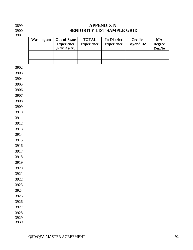3900<br>3901

## **APPENDIX N: SENIORITY LIST SAMPLE GRID**

| Washington | <b>Out-of-State</b><br><b>Experience</b><br>(Limit: 3 years) | <b>TOTAL</b><br><b>Experience</b> | <b>In-District</b><br><b>Experience</b> | <b>Credits</b><br><b>Beyond BA</b> | $\mathbf{M}\mathbf{A}$<br><b>Degree</b><br>Yes/No |
|------------|--------------------------------------------------------------|-----------------------------------|-----------------------------------------|------------------------------------|---------------------------------------------------|
|            |                                                              |                                   |                                         |                                    |                                                   |
|            |                                                              |                                   |                                         |                                    |                                                   |
|            |                                                              |                                   |                                         |                                    |                                                   |
|            |                                                              |                                   |                                         |                                    |                                                   |
|            |                                                              |                                   |                                         |                                    |                                                   |
|            |                                                              |                                   |                                         |                                    |                                                   |
|            |                                                              |                                   |                                         |                                    |                                                   |
|            |                                                              |                                   |                                         |                                    |                                                   |
|            |                                                              |                                   |                                         |                                    |                                                   |
|            |                                                              |                                   |                                         |                                    |                                                   |
|            |                                                              |                                   |                                         |                                    |                                                   |
|            |                                                              |                                   |                                         |                                    |                                                   |
|            |                                                              |                                   |                                         |                                    |                                                   |
|            |                                                              |                                   |                                         |                                    |                                                   |
|            |                                                              |                                   |                                         |                                    |                                                   |
|            |                                                              |                                   |                                         |                                    |                                                   |
|            |                                                              |                                   |                                         |                                    |                                                   |
|            |                                                              |                                   |                                         |                                    |                                                   |
|            |                                                              |                                   |                                         |                                    |                                                   |
|            |                                                              |                                   |                                         |                                    |                                                   |
|            |                                                              |                                   |                                         |                                    |                                                   |
|            |                                                              |                                   |                                         |                                    |                                                   |
|            |                                                              |                                   |                                         |                                    |                                                   |
|            |                                                              |                                   |                                         |                                    |                                                   |
|            |                                                              |                                   |                                         |                                    |                                                   |
|            |                                                              |                                   |                                         |                                    |                                                   |
|            |                                                              |                                   |                                         |                                    |                                                   |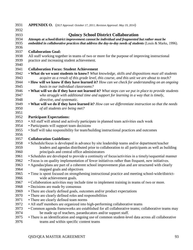| 3931         | <b>APPENDIX O.</b> (DLT Approval: October 17, 2011; Revision Approval: May 19, 2014)                                                                                                          |
|--------------|-----------------------------------------------------------------------------------------------------------------------------------------------------------------------------------------------|
| 3932         |                                                                                                                                                                                               |
| 3933         | <b>Quincy School District Collaboration</b>                                                                                                                                                   |
| 3934         | Attempts at school/district improvement cannot be individual and fragmented but rather must be                                                                                                |
| 3935         | embedded in collaborative practices that address the day-to-day needs of students (Louis & Marks, 1996).                                                                                      |
| 3936         |                                                                                                                                                                                               |
| 3937         | <b>Collaboration Goal:</b>                                                                                                                                                                    |
| 3938         | All staff working together in teams of two or more for the purpose of improving instructional                                                                                                 |
| 3939         | practice and increasing student achievement.                                                                                                                                                  |
| 3940         |                                                                                                                                                                                               |
| 3941         | <b>Collaboration Focus: Student Achievement</b>                                                                                                                                               |
| 3942         | . What do we want students to know? What knowledge, skills and dispositions must all students                                                                                                 |
| 3943         | acquire as a result of this grade level, this course, and this unit we are about to teach?                                                                                                    |
| 3944         | • How will we know if they have learned it? How can we check for understanding on an ongoing                                                                                                  |
| 3945         | basis in our individual classrooms?                                                                                                                                                           |
| 3946         | • What will we do if they have not learned it? What steps can we put in place to provide students                                                                                             |
| 3947         | who struggle with additional time and support for learning in a way that is timely,                                                                                                           |
| 3948         | directive, and systematic.                                                                                                                                                                    |
| 3949         | • What will we do if they have learned it? How can we differentiate instruction so that the needs                                                                                             |
| 3950         | of all students are being met?                                                                                                                                                                |
| 3951         |                                                                                                                                                                                               |
| 3952         | <b>Participant Expectations:</b>                                                                                                                                                              |
| 3953         | • All staff will attend and actively participate in planned team activities each week                                                                                                         |
| 3954         | • Participants will support team decisions                                                                                                                                                    |
| 3955         | • Staff will take responsibility for team/building instructional practices and outcomes                                                                                                       |
| 3956<br>3957 | <b>Collaboration Guidelines:</b>                                                                                                                                                              |
| 3958         |                                                                                                                                                                                               |
| 3959         | • Schedule/focus is developed in advance by site leadership teams and/or department/teacher<br>leaders and agendas distributed prior to collaboration to all participants as well as building |
| 3960         | principals and central office administrators                                                                                                                                                  |
| 3961         | • Schedules are developed to provide a continuity of focus/activities in a timely/sequential manner                                                                                           |
| 3962         | • Focus is on quality implementation of fewer initiatives rather than frequent, new initiatives.                                                                                              |
| 3963         | • Agendas/plans are part of a coherent school improvement plan and are structured with clearly                                                                                                |
| 3964         | mapped goals and objectives                                                                                                                                                                   |
| 3965         | • Time is spent focused on strengthening instructional practice and meeting school-wide/district-                                                                                             |
| 3966         | wide achievement goals.                                                                                                                                                                       |
| 3967         | • Collaboration activities may include time to implement training in teams of two or more.                                                                                                    |
| 3968         | • Decisions are made by consensus                                                                                                                                                             |
| 3969         | • There are clearly defined goals, outcomes and/or product expectations                                                                                                                       |
| 3970         | • There are clearly defined roles and responsibilities                                                                                                                                        |
| 3971         | • There are clearly defined team norms                                                                                                                                                        |
| 3972         | • All staff members are organized into high-performing collaborative teams                                                                                                                    |
| 3973         | • Common agenda frameworks are established for all collaborative teams; collaborative teams may                                                                                               |
| 3974         | be made up of teachers, paraeducators and/or support staff.                                                                                                                                   |
| 3975         | • There is an identification and ongoing use of common student-level data across all collaborative                                                                                            |
| 3976         | teams and within specific content teams                                                                                                                                                       |
|              |                                                                                                                                                                                               |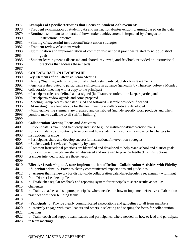#### **Examples of Specific Activities that Focus on Student Achievement:**  • Frequent examination of student data and instructional/intervention planning based on the data • Routine use of data to understand how student achievement is impacted by changes to instructional practice • Sharing of successful instructional/intervention strategies • Frequent review of student work • Identification and implementation of common instructional practices related to school/district goals • Student learning needs discussed and shared, reviewed, and feedback provided on instructional practices that address these needs **COLLABORATION LEADERSHIP Key Elements of an Effective Team Meeting**  • A very "tight" agenda is followed that includes standardized, district-wide elements • Agenda is distributed to participants sufficiently in advance (generally by Thursday before a Monday collaboration meeting with a copy to the principal) • Participant roles are defined and assigned (facilitator, recorder, time keeper, participant) • Participants review agenda and come prepared • Meeting/Group Norms are established and followed – sample provided if needed • At meeting, the agenda/focus for the next meeting is collaboratively developed • Minutes/meeting summary are prepared and distributed (include specific work products and when possible make available to all staff in building) **Collaboration Meeting Focus and Activities**  • Student data is examined frequently and used to guide instructional/intervention plans • Student data is used routinely to understand how student achievement is impacted by changes to instructional practice • Participants share and develop successful instructional/intervention strategies • Student work is reviewed frequently by teams • Common instructional practices are identified and developed to help reach school and district goals • Student learning needs are shared, discussed and reviewed to provide feedback on instructional practices intended to address those needs **Effective Leadership to Assure Implementation of Defined Collaboration Activities with Fidelity**  • **Superintendent:** o Provides clearly communicated expectations and guidelines o Assures that framework for district-wide collaboration calendar/schedule is set annually with input from District Leadership Team 4014 o Establishes regular feedback and reporting system for principals to share results as well as challenges 4016 o Trains, coaches and supports principals, where needed, in how to implement effective collaboration practices with their building teams • **Principals:** o Provide clearly communicated expectations and guidelines to all team members o Actively engage with team leaders and others in selecting and shaping the focus for collaboration meetings o Train, coach and support team leaders and participants, where needed, in how to lead and participate in team meetings